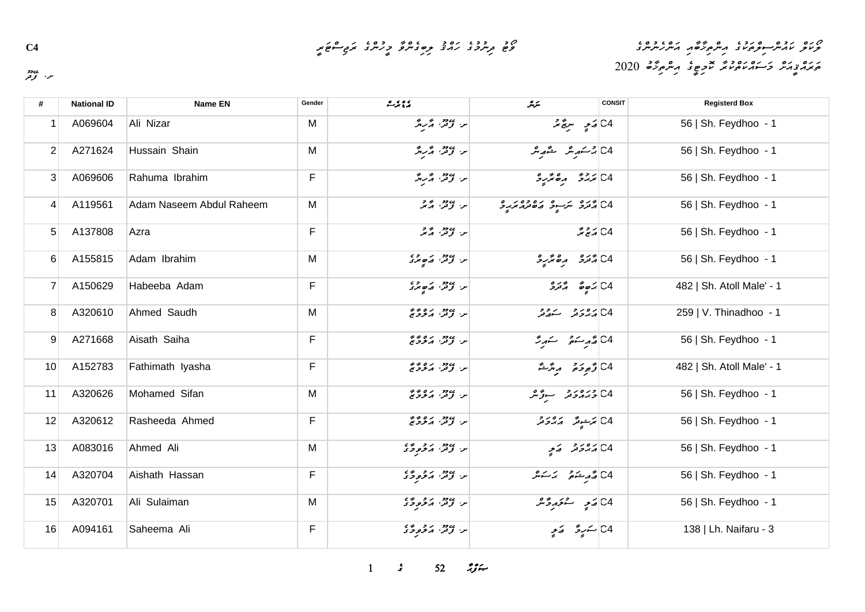*sCw7q7s5w7m< o<n9nOoAw7o< sCq;mAwBoEw7q<m; wBm;vB* م من المرة المرة المرة المرة المرة المرة العربية 2020<br>مجم*د المريض المريض المربع المربع المربع المراجع المراجع ال* 

| #         | <b>National ID</b> | Name EN                  | Gender      | ړ ور ک                 | ىتربىر                                                                                              | <b>CONSIT</b> | <b>Registerd Box</b>      |
|-----------|--------------------|--------------------------|-------------|------------------------|-----------------------------------------------------------------------------------------------------|---------------|---------------------------|
|           | A069604            | Ali Nizar                | M           | ىن ئۇقتۇ، ئەرىتى       | C4 کیے مرتج تک                                                                                      |               | 56   Sh. Feydhoo - 1      |
| $\vert$ 2 | A271624            | Hussain Shain            | M           | من محترقة المرسرة      | C4 يُرْسَمْ مِيْتَ مِيْتَ مِيْتَ بِيْتَ بِيْتَ بِيْتَ بِيْتَ بِيْتَ بِيْتَ بِيْتَ بِيْتَ بِيْتَ بِي |               | 56   Sh. Feydhoo - 1      |
| 3         | A069606            | Rahuma Ibrahim           | $\mathsf F$ | ىن ئۇقتۇ، ئەرىتر       | C4 <i>بَدْيَ</i> رَمُ مِنْ مِنْدِيْرِ                                                               |               | 56   Sh. Feydhoo - 1      |
| $\vert$   | A119561            | Adam Naseem Abdul Raheem | M           | اللاستي توفقرا المجاهر | C4 أَرْمَزْدَ سَرَبِّ وَ أَرْهُ مِرْبَرْ مَرِ وَ                                                    |               | 56   Sh. Feydhoo - 1      |
| 5         | A137808            | Azra                     | $\mathsf F$ | ىر، ئۇنىش ئەرج         | $z\overline{z}$ C4                                                                                  |               | 56   Sh. Feydhoo - 1      |
| 6         | A155815            | Adam Ibrahim             | M           | بر بیروم رکھ پری       | C4 مەمرى مەھم <i>ەرى</i>                                                                            |               | 56   Sh. Feydhoo - 1      |
| 7         | A150629            | Habeeba Adam             | $\mathsf F$ | س می دو ده کار ده د    | C4 بَرْصِرَةٌ مُرْتَزَدَّرْ                                                                         |               | 482   Sh. Atoll Male' - 1 |
| 8         | A320610            | Ahmed Saudh              | M           | ىن كەن بەرەپ بەر       | C4 كەبروتر سە <i>ھەتر</i>                                                                           |               | 259   V. Thinadhoo - 1    |
| 9         | A271668            | Aisath Saiha             | $\mathsf F$ | ر. به دو به دو و و     | C4 مەم ئىسكىمە سىكەرىشە                                                                             |               | 56   Sh. Feydhoo - 1      |
| 10        | A152783            | Fathimath Iyasha         | $\mathsf F$ | ر په دو بره وه         | C4 تَ <i>وجوجو ورمَّ</i> حَتَّ                                                                      |               | 482   Sh. Atoll Male' - 1 |
| 11        | A320626            | Mohamed Sifan            | M           | ر په دو بره وي         | C4 <i>ۋېرو دو</i> سو <i>ژ</i> ىر                                                                    |               | 56   Sh. Feydhoo - 1      |
| 12        | A320612            | Rasheeda Ahmed           | $\mathsf F$ | س کوتر، برونونج        | C4 بَرَسْوِتَرٌ <i>دَبَرْ دَ</i> تَرُ                                                               |               | 56   Sh. Feydhoo - 1      |
| 13        | A083016            | Ahmed Ali                | M           | ىن تۇتىن كەنتى تەنتى   | C4 كەش <b>ەتىر</b> كەمبە                                                                            |               | 56   Sh. Feydhoo - 1      |
| 14        | A320704            | Aishath Hassan           | $\mathsf F$ | ىن كۆتۈ، ئەقرەق ئ      | C4 مەمرىشكى ئەسكەنلىر                                                                               |               | 56   Sh. Feydhoo - 1      |
| 15        | A320701            | Ali Sulaiman             | M           | ىن تۇتىن كەنتى ئەن     | C4 كەمچە سىم <i>ۇرۇنى</i> ر                                                                         |               | 56   Sh. Feydhoo - 1      |
| 16        | A094161            | Saheema Ali              | $\mathsf F$ | ىن كۆتۈ، ئەقرەق ئ      | C4 ڪپر <del>ق</del> پرو                                                                             |               | 138   Lh. Naifaru - 3     |

*1 s* **52** *n***<sub>s</sub>**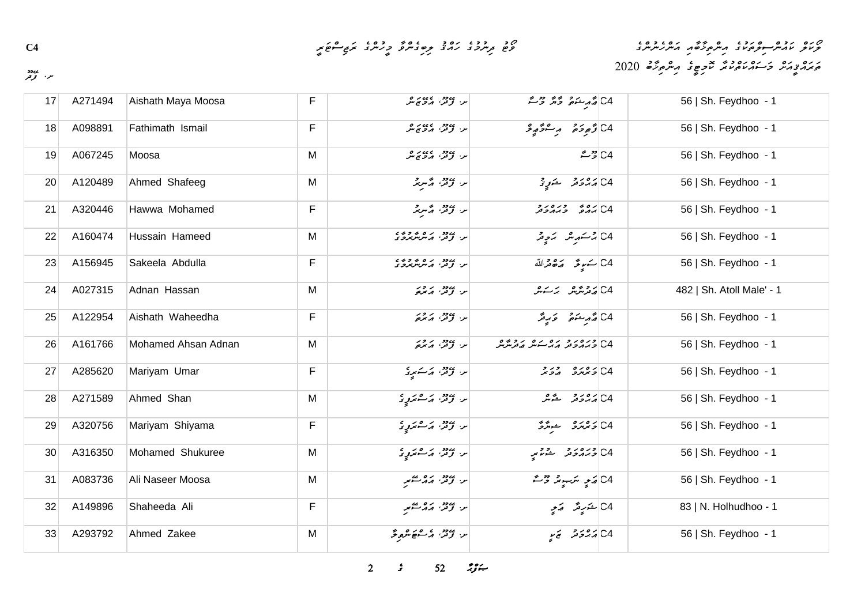*sCw7q7s5w7m< o<n9nOoAw7o< sCq;mAwBoEw7q<m; wBm;vB* م من المرة المرة المرة المرجع المرجع في المركبة 2020<br>مجم*د المريض المربوط المربع المرجع في المراجع المركبة* 

| 17 | A271494 | Aishath Maya Moosa  | $\mathsf F$  | ىن ئەدەبەت ئەيدەر                                 | C4 مەم ئىم ئىم ئىستىم                                                               | 56   Sh. Feydhoo - 1      |
|----|---------|---------------------|--------------|---------------------------------------------------|-------------------------------------------------------------------------------------|---------------------------|
| 18 | A098891 | Fathimath Ismail    | F            | ىن ئەدەبەت ئەيدەر<br>بىن ئۇقىرا مەخەنجاش          | C4 تۇ <sub>جو</sub> خەم ب <i>ې</i> شۇرېدى                                           | 56   Sh. Feydhoo - 1      |
| 19 | A067245 | Moosa               | M            | ىن ئەدەبەت ئەيدەر                                 | 23C4                                                                                | 56   Sh. Feydhoo - 1      |
| 20 | A120489 | Ahmed Shafeeg       | M            | اللا تؤفتن المسريحه                               | C4 كەندى كىمى ئىشكىتى ئىچە ئىچە ئىچە ئىچە ئ                                         | 56   Sh. Feydhoo - 1      |
| 21 | A320446 | Hawwa Mohamed       | $\mathsf{F}$ | ىن ئۇقۇم، ئەسرىتى                                 | C4 كەمۇر مەمەمەدىر                                                                  | 56   Sh. Feydhoo - 1      |
| 22 | A160474 | Hussain Hameed      | M            | بن ويوم بر ما عرف و د و ه                         | C4 يُرْسَمَ بِيَ سَرْحِ مِرْ                                                        | 56   Sh. Feydhoo - 1      |
| 23 | A156945 | Sakeela Abdulla     | F            | ىر. ئەدەب بەھ بەرە يەر<br>بىر: ئۇنىر، ئەسرىلىرى ي | C4 كسو <b>تز كە</b> ھىمەللە                                                         | 56   Sh. Feydhoo - 1      |
| 24 | A027315 | Adnan Hassan        | M            | ىن ئۇقرا مەيرە                                    | C4 كەنترىترىش بەسەئىر                                                               | 482   Sh. Atoll Male' - 1 |
| 25 | A122954 | Aishath Waheedha    | $\mathsf{F}$ | ىن ئۇقرا مەيرە                                    | C4 م <i>ەمبىشى ق ب</i> وت <i>گ</i>                                                  | 56   Sh. Feydhoo - 1      |
| 26 | A161766 | Mohamed Ahsan Adnan | M            | ىن ئۇقرا مەيدە                                    | C4  دیرہ دو بروے میں برورمبر                                                        | 56   Sh. Feydhoo - 1      |
| 27 | A285620 | Mariyam Umar        | $\mathsf F$  | ىن ئۇقرا مەسكەپرى                                 | C4 كرمرو ورو                                                                        | 56   Sh. Feydhoo - 1      |
| 28 | A271589 | Ahmed Shan          | M            | ىر. ئۇقرا مەسەمگەنى ئ                             | C4 كەبرى قىر شەھر                                                                   | 56   Sh. Feydhoo - 1      |
| 29 | A320756 | Mariyam Shiyama     | $\mathsf F$  | ىن ئۇنتى» بەسەنبىرى ئ                             |                                                                                     | 56   Sh. Feydhoo - 1      |
| 30 | A316350 | Mohamed Shukuree    | M            | ىن ئۇنتى» بەسەنبىرى ئ                             | C4 <i>3282 مشترامبر</i>                                                             | 56   Sh. Feydhoo - 1      |
| 31 | A083736 | Ali Naseer Moosa    | M            | س من دور ده سن پر                                 | C4 كەي ئى <i>رسىنى 2°سە</i>                                                         | 56   Sh. Feydhoo - 1      |
| 32 | A149896 | Shaheeda Ali        | $\mathsf F$  | یں بھاوور کا کام سے بات                           | C4 ڪريگر گ <i>رم</i> ي                                                              | 83   N. Holhudhoo - 1     |
| 33 | A293792 | Ahmed Zakee         | M            | ىر. ئۇنىز، مەسكەت ئىرى ئى                         | $\frac{1}{2}$ $\frac{2}{3}$ $\frac{2}{3}$ $\frac{2}{3}$ $\frac{1}{2}$ $\frac{1}{2}$ | 56   Sh. Feydhoo - 1      |

**2** *s* **52** *z***<sub>***3i***</sub>**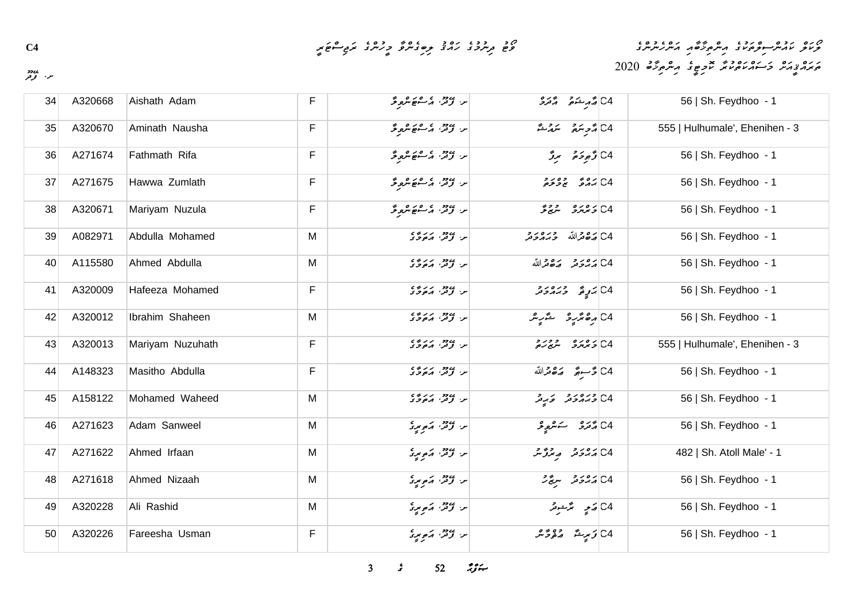*sCw7q7s5w7m< o<n9nOoAw7o< sCq;mAwBoEw7q<m; wBm;vB* م من المرة المرة المرة المرجع المرجع في المركبة 2020<br>مجم*د المريض المربوط المربع المرجع في المراجع المركبة* 

| 34 | A320668 | Aishath Adam     | $\mathsf F$ | ىر. ئۇنز، مەسكەت ئىبرىگە                | C4 مُمبِّسَمُ مُعَرَّدٍ           | 56   Sh. Feydhoo - 1           |
|----|---------|------------------|-------------|-----------------------------------------|-----------------------------------|--------------------------------|
| 35 | A320670 | Aminath Nausha   | F           | ىر. ئۇنز، مەسكەت ئىبرىگە                | C4 مُجَمِّسَمَّة سَمَّدْتُّةً     | 555   Hulhumale', Ehenihen - 3 |
| 36 | A271674 | Fathmath Rifa    | F           | ىر. ئۇنز، مەسكەت ئىبرىگە                | C4 تُرجوحَمُ مَرتَزَ              | 56   Sh. Feydhoo - 1           |
| 37 | A271675 | Hawwa Zumlath    | F           | ىر. ئۇنز، مەسكەت ئىبرىگە                | $5, 05$ $5, 02$ $C4$              | 56   Sh. Feydhoo - 1           |
| 38 | A320671 | Mariyam Nuzula   | F           | ىر. ئۇنز، مەسكەت ئىبرىگە                | C4 كەبىر بىر يونى ئىچ             | 56   Sh. Feydhoo - 1           |
| 39 | A082971 | Abdulla Mohamed  | M           | س که ده کرده و                          | C4 مَەقىراللە دېرەرد              | 56   Sh. Feydhoo - 1           |
| 40 | A115580 | Ahmed Abdulla    | M           | س کوتر، برگری<br>س کوتر، برگوری         | C4 كەبروتىر كەھەرللە              | 56   Sh. Feydhoo - 1           |
| 41 | A320009 | Hafeeza Mohamed  | F           | ر پیوو پردی                             | C4 <i>بَرْوِجٌ حَبَدُو</i> دَتَرَ | 56   Sh. Feydhoo - 1           |
| 42 | A320012 | Ibrahim Shaheen  | M           | ر، 3200 كەرگە تە<br>س: تۇقىر: 4.62 ك    | C4 مەھە <i>تگىي</i> ھايىتىسى بىر  | 56   Sh. Feydhoo - 1           |
| 43 | A320013 | Mariyam Nuzuhath | $\mathsf F$ | س کوتر، برگری<br>س کوتر، برگوری         | C4 كەبەرە يورى <i>مى</i>          | 555   Hulhumale', Ehenihen - 3 |
| 44 | A148323 | Masitho Abdulla  | F           | ىن ئەدەبەر ئەرەب                        | C4 جُرْسِعَ صَدَّقَتْدَاللَّهُ    | 56   Sh. Feydhoo - 1           |
| 45 | A158122 | Mohamed Waheed   | M           | س کوتر، برگری<br>س کوتر، برگوری         | C4  <i>32,325 كەب</i> ىر          | 56   Sh. Feydhoo - 1           |
| 46 | A271623 | Adam Sanweel     | M           | یں مجم <sup>ود</sup> ہ م <i>زموم</i> ری | C4 مُحَمَّدَ سَمَّعْتِ مُحَمَّدَ  | 56   Sh. Feydhoo - 1           |
| 47 | A271622 | Ahmed Irfaan     | M           | یں بھی کھیں تھ                          | C4 <i>مەمەدە مەمۇ</i> تىر         | 482   Sh. Atoll Male' - 1      |
| 48 | A271618 | Ahmed Nizaah     | M           | یں بھی کھیں تھ                          | C4 كەندى كەرىپى ئىسى ئە           | 56   Sh. Feydhoo - 1           |
| 49 | A320228 | Ali Rashid       | M           | یں نہیں کہ مریدی                        | C4 كەمجە گەشى <i>يەت</i> ر        | 56   Sh. Feydhoo - 1           |
| 50 | A320226 | Fareesha Usman   | F           | ىن ئۇقرا مەم بىرى                       | C4 كۆمچىشى ھەقەتكە                | 56   Sh. Feydhoo - 1           |

**3** *52* $25.76$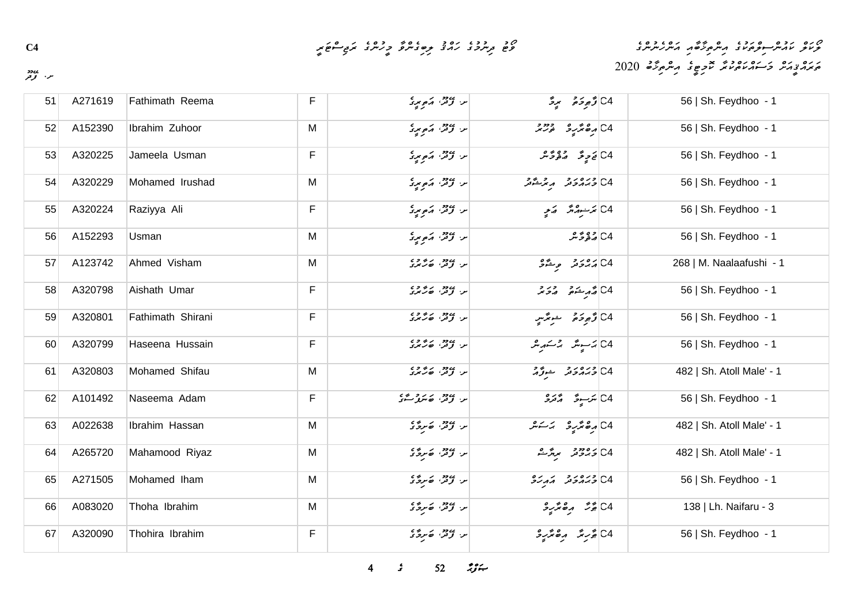*sCw7q7s5w7m< o<n9nOoAw7o< sCq;mAwBoEw7q<m; wBm;vB* م من المرة المرة المرة المرجع المرجع في المركبة 2020<br>مجم*د المريض المربوط المربع المرجع في المراجع المركبة* 

| 51 | A271619 | Fathimath Reema   | F | ىن ئۇقرا مەم بىرى                                                                                              | C4 <i>وَّج</i> وحَمْ     بِرحَّ            | 56   Sh. Feydhoo - 1      |
|----|---------|-------------------|---|----------------------------------------------------------------------------------------------------------------|--------------------------------------------|---------------------------|
| 52 | A152390 | Ibrahim Zuhoor    | M | بر پیچون مرکز مرکز                                                                                             | C4 مەھەمگە يەھەم ئىسىمىسى C4               | 56   Sh. Feydhoo - 1      |
| 53 | A320225 | Jameela Usman     | F | بر ہے جو مکھ ہوتا                                                                                              | C4 <i>ف<sub>َ</sub> جِرْءٌ شَوْدُ</i> سُرُ | 56   Sh. Feydhoo - 1      |
| 54 | A320229 | Mohamed Irushad   | M | اللا المحصي المكافح مويى                                                                                       | C4 <i>3222 مرين</i> شور                    | 56   Sh. Feydhoo - 1      |
| 55 | A320224 | Raziyya Ali       | F | ىر: ئۇقۇ، مەم بىرى                                                                                             | C4 بَرَس <i>وره بَرَّ مَرْمٍ</i>           | 56   Sh. Feydhoo - 1      |
| 56 | A152293 | <b>Usman</b>      | M | ىن ئۇقتۇ، مەم بىرى                                                                                             | C4 ڇڏھ شر                                  | 56   Sh. Feydhoo - 1      |
| 57 | A123742 | Ahmed Visham      | M | ىن ئەدەبەت ئەرەبەت<br>س: ئۇقىر: ئەگرىمەي                                                                       | C4 <i>مُدْدَنْدِ</i> مِشْرَدُ              | 268   M. Naalaafushi - 1  |
| 58 | A320798 | Aishath Umar      | F | ىن تۈتىر، ئەن دە<br>س: تۇتىر، ئەن بىرى                                                                         | C4 مەم ئىقتىم مەدىمە                       | 56   Sh. Feydhoo - 1      |
| 59 | A320801 | Fathimath Shirani | F | ر من دو ده و ده<br>رس توفر المن مرسور                                                                          | C4 تُرجوحَة مُ سُومَّرْسِ                  | 56   Sh. Feydhoo - 1      |
| 60 | A320799 | Haseena Hussain   | F | ىن ئەدەبەر ئەرەب                                                                                               | C4 كەسپەنگە كەسكىرىنگە                     | 56   Sh. Feydhoo - 1      |
| 61 | A320803 | Mohamed Shifau    | M | ىن ئەدەب ئەرەبىي                                                                                               | C4 <i>3222 شووَّة.</i>                     | 482   Sh. Atoll Male' - 1 |
| 62 | A101492 | Naseema Adam      | F | ىر. ئۇنتر، ھىترقىسىمى                                                                                          | C4 سَرَسِوتَر مُتَعَرَّدَ                  | 56   Sh. Feydhoo - 1      |
| 63 | A022638 | Ibrahim Hassan    | M | بر من دون که برد و د                                                                                           | C4 مەھم <i>گرى</i> ئەسكەنلىر               | 482   Sh. Atoll Male' - 1 |
| 64 | A265720 | Mahamood Riyaz    | M | بن من فقر كامر و محا                                                                                           | C4 كەنزلىقى ئېرىگەشتە                      | 482   Sh. Atoll Male' - 1 |
| 65 | A271505 | Mohamed Iham      | M | ر مصور کا دی کا برگانی که این کار دی که این این اور دی که این اور دی که این کار دی که این کار دی کار دی کار دی |                                            | 56   Sh. Feydhoo - 1      |
| 66 | A083020 | Thoha Ibrahim     | M | ر مصور کا دی کا برگانی که این کار دی که این این اور دی که این اور دی که این کار دی که این کار دی کار دی کار دی | C4 يۇتە مەھە <i>تدى</i> رى                 | 138   Lh. Naifaru - 3     |
| 67 | A320090 | Thohira Ibrahim   | F | ىر: ئۇنى، ھَىروگى                                                                                              | C4 ې <i>ۋرىتى مەھترىي</i> ئى               | 56   Sh. Feydhoo - 1      |

*4 52*  $\frac{1}{2}$  *52*  $\frac{1}{2}$ 

*roce*<br>مر. توق*م*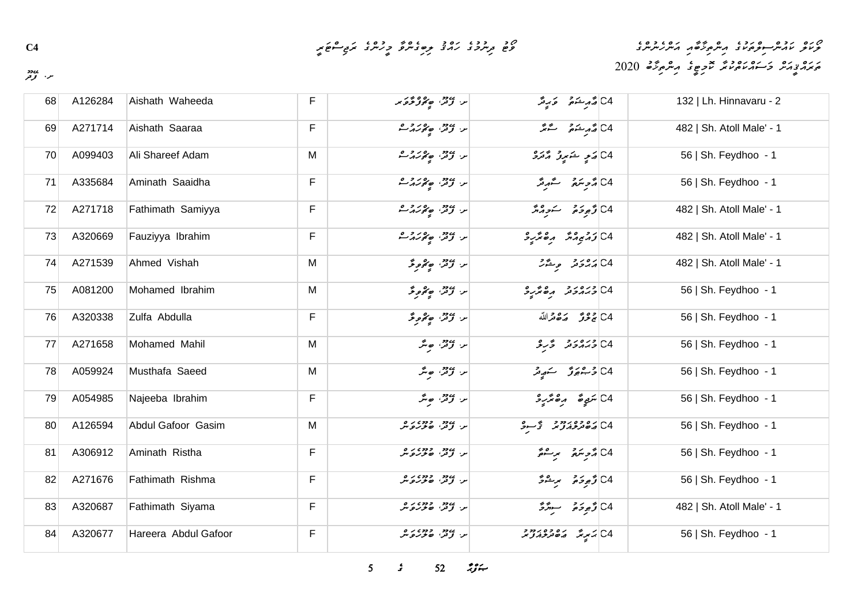*sCw7q7s5w7m< o<n9nOoAw7o< sCq;mAwBoEw7q<m; wBm;vB* م من المرة المرة المرة المرجع المرجع في المركبة 2020<br>مجم*د المريض المربوط المربع المرجع في المراجع المركبة* 

| 68 | A126284 | Aishath Waheeda      | $\mathsf F$  | ر پيوم ھاجو قرماند                           | C4 مُگرِسْدَة وَبِيَّتَر           | 132   Lh. Hinnavaru - 2   |
|----|---------|----------------------|--------------|----------------------------------------------|------------------------------------|---------------------------|
| 69 | A271714 | Aishath Saaraa       | F            | بر وسيد ھەممەر م                             | C4 مەم ئىستىمە ئىستىر              | 482   Sh. Atoll Male' - 1 |
| 70 | A099403 | Ali Shareef Adam     | M            | بر وسيد ھەردىس                               | C4 كەي خەمرى <sup>3</sup> كەترى    | 56   Sh. Feydhoo - 1      |
| 71 | A335684 | Aminath Saaidha      | F            | بر بيدد ھەردىق                               | C4 مَّ حِ سَمَّ مِ سَمْ مِتَّدَّ   | 56   Sh. Feydhoo - 1      |
| 72 | A271718 | Fathimath Samiyya    | F            | بر وقرا ھام رو ھ                             | C4 زٌجوحَمَّ سَو <i>َم</i> َّةً    | 482   Sh. Atoll Male' - 1 |
| 73 | A320669 | Fauziyya Ibrahim     | $\mathsf F$  | بر وقتر، ھەممەر م                            |                                    | 482   Sh. Atoll Male' - 1 |
| 74 | A271539 | Ahmed Vishah         | M            | ىن ئۇنتر، ھەھمىرىگە                          | C4 <i>مَدْدَوْرْ وِحْدَّرْ</i>     | 482   Sh. Atoll Male' - 1 |
| 75 | A081200 | Mohamed Ibrahim      | M            | بن وَفَرْ، ھِءُو پُر                         | C4 ديرورو م <i>ھٽرو</i>            | 56   Sh. Feydhoo - 1      |
| 76 | A320338 | Zulfa Abdulla        | $\mathsf{F}$ | ىن تۇتىن ھەھم قە                             | C4 يحورٌ صَ <b>صَ</b> قَراللَّه    | 56   Sh. Feydhoo - 1      |
| 77 | A271658 | Mohamed Mahil        | M            | ىر. ئۇنىز، ھەتگە                             | C4 <i>\$ر\$د \$ر\$</i>             | 56   Sh. Feydhoo - 1      |
| 78 | A059924 | Musthafa Saeed       | M            | بر. مجموع صنگر                               | C4 تۈشكۇ ئىكتىرىتىر                | 56   Sh. Feydhoo - 1      |
| 79 | A054985 | Najeeba Ibrahim      | F            | یں مجبھی صنگر                                |                                    | 56   Sh. Feydhoo - 1      |
| 80 | A126594 | Abdul Gafoor Gasim   | M            | ر، دور ودوه ره<br>در نوتر، م <i>ورو</i> س    | C4 مەھ <i>رىدە دەرەتى</i> تۇسىۋ    | 56   Sh. Feydhoo - 1      |
| 81 | A306912 | Aminath Ristha       | F            | ر، دوره دوده ده.<br>در نوتر، م <i>ورو</i> س  | C4 مُجرِسَم <sub>هُ</sub> برِحْمُو | 56   Sh. Feydhoo - 1      |
| 82 | A271676 | Fathimath Rishma     | $\mathsf F$  | ر. به دو دوده د ه<br>بر کوتر، <i>ه ورو</i> س | C4 تَ <i>جوحَمَ</i> برِحْمَّةً     | 56   Sh. Feydhoo - 1      |
| 83 | A320687 | Fathimath Siyama     | F            | ىر. ئەدەبە دەدەبەر ھ                         | C4 زَّجِرْدَةُ سِيَرَّدَّ          | 482   Sh. Atoll Male' - 1 |
| 84 | A320677 | Hareera Abdul Gafoor | F            | ی وو دوده د و<br>بر ژنتر، <i>ه ورو</i> س     | C4 ټمپرنټر پر <i>۱۹۶۵ ور</i><br>C4 | 56   Sh. Feydhoo - 1      |

 $5$   $5$   $52$   $52$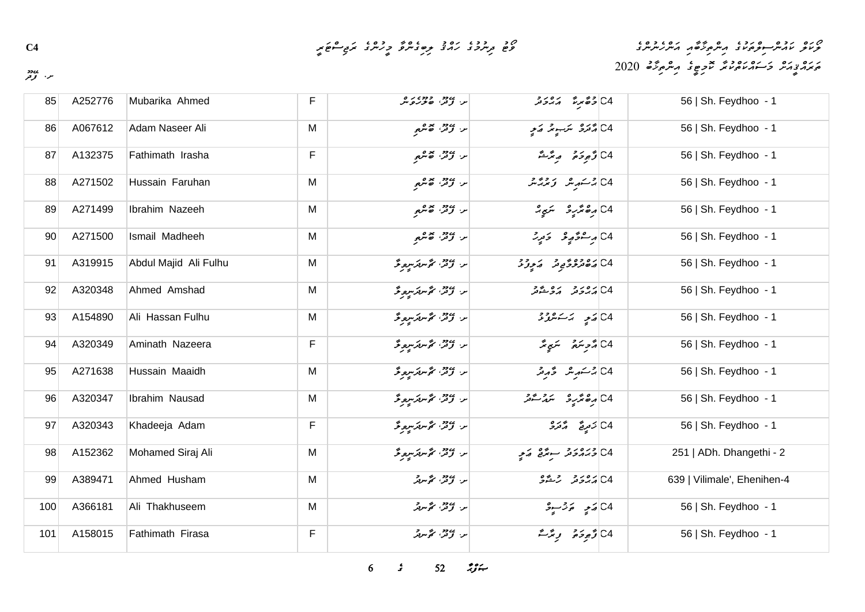*sCw7q7s5w7m< o<n9nOoAw7o< sCq;mAwBoEw7q<m; wBm;vB* م من المرة المرة المرة المرجع المرجع في المركبة 2020<br>مجم*د المريض المربوط المربع المرجع في المراجع المركبة* 

| 85  | A252776 | Mubarika Ahmed        | $\mathsf F$ | ر، پی دو دوده د ه<br>در نوتمر، م <i>ورو</i> س | C4 جۇڭمىر <i>ىتە مەج</i> ومىر                     | 56   Sh. Feydhoo - 1        |
|-----|---------|-----------------------|-------------|-----------------------------------------------|---------------------------------------------------|-----------------------------|
| 86  | A067612 | Adam Naseer Ali       | M           | ىر. يې دە بىر ھەشرەپ                          | C4 أَدْتَدَدُّ سَرَسِيمٌ أَرَبِّي                 | 56   Sh. Feydhoo - 1        |
| 87  | A132375 | Fathimath Irasha      | $\mathsf F$ | بر. من ده مورم                                | C4 تُرجوحَ مَ مِتَرْتُمْ                          | 56   Sh. Feydhoo - 1        |
| 88  | A271502 | Hussain Faruhan       | M           | ىر. يومۇر بىر ھەش <sub>جە</sub>               | C4 ير <i>شهر مر تر پر پ</i> ر                     | 56   Sh. Feydhoo - 1        |
| 89  | A271499 | Ibrahim Nazeeh        | M           | س محصوص مصريح                                 | C4 مەھەمگەيدى سىرىمى                              | 56   Sh. Feydhoo - 1        |
| 90  | A271500 | Ismail Madheeh        | M           | بر محمد معرضه                                 | C4 مرڪو <i>گوري ڪور</i> 2                         | 56   Sh. Feydhoo - 1        |
| 91  | A319915 | Abdul Majid Ali Fulhu | M           | ىن ئۇقرا كۇسترسىدۇ.                           | C4 مەھىر <i>3 مۇرۇ</i> 3 كىلىرى بىرىم             | 56   Sh. Feydhoo - 1        |
| 92  | A320348 | Ahmed Amshad          | M           | ىن ئۇقرا كۇسترسىدۇ.                           | C4 كەبرو مەھم كەن ئىس                             | 56   Sh. Feydhoo - 1        |
| 93  | A154890 | Ali Hassan Fulhu      | M           | ىر. ئەقتى، كەس بىر سرەنجە ئ                   | C4 كەير كەسكەردىگە                                | 56   Sh. Feydhoo - 1        |
| 94  | A320349 | Aminath Nazeera       | F           | ىن كۆمەتكە ئەس ئىرىس بىر                      | C4 مَرْحِ مَرَمْ مَسْتَدِيمٌ                      | 56   Sh. Feydhoo - 1        |
| 95  | A271638 | Hussain Maaidh        | M           | ىر. ئەقتى، كەس بىر سىرىگە                     | C4 يُرْسَمَ مِيْتَ وَجَمْ مِيْتَرِ                | 56   Sh. Feydhoo - 1        |
| 96  | A320347 | Ibrahim Nausad        | M           | ىر. ئەدەر. ئۇسترسىدۇ.                         | C4 مەھمگىر ئىسىمىسىدىكىسىدىكى بىر                 | 56   Sh. Feydhoo - 1        |
| 97  | A320343 | Khadeeja Adam         | $\mathsf F$ | ىن ئۇقرا كۇسترسىدۇ.                           | C4 كَتَعِيضٌ مُتَعَمَّدً                          | 56   Sh. Feydhoo - 1        |
| 98  | A152362 | Mohamed Siraj Ali     | M           | ىر. ئەقتى، كەس تەس بىر بىر                    | C4 <i>وُبَهُ وَبَوْ سِبْرَةٍ <sub>ه</sub>َ يِ</i> | 251   ADh. Dhangethi - 2    |
| 99  | A389471 | Ahmed Husham          | M           | ىن ئۈچۈش كەھرىگى                              | C4 كەبروتى كەشكى                                  | 639   Vilimale', Ehenihen-4 |
| 100 | A366181 | Ali Thakhuseem        | M           | ىن ئۈچۈن كۆسۈر                                | C4 كەمچە ئەرجىسى ئى                               | 56   Sh. Feydhoo - 1        |
| 101 | A158015 | Fathimath Firasa      | F           | ىن كۆتى، كۆسۈلە                               | C4 تۇموخۇ بوبىگە                                  | 56   Sh. Feydhoo - 1        |

 $6$   $3$   $52$   $29$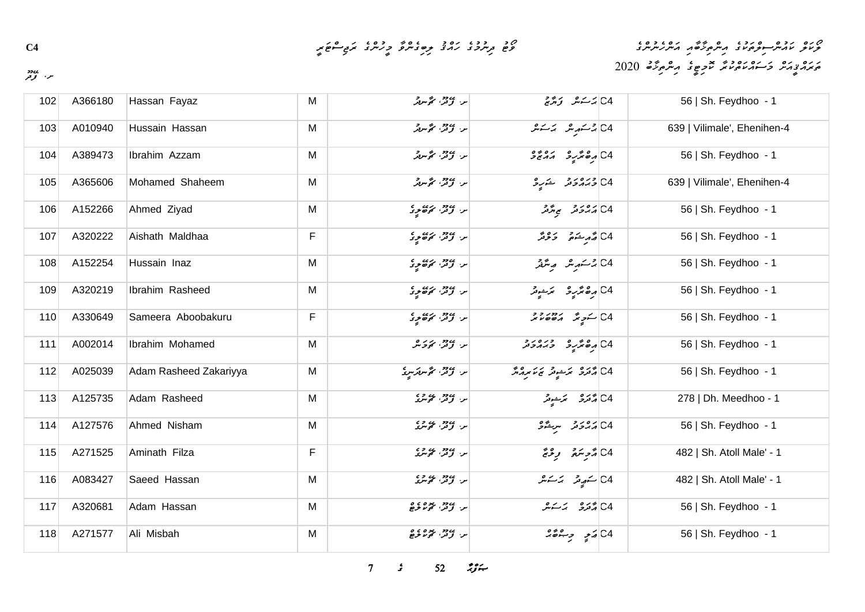*sCw7q7s5w7m< o<n9nOoAw7o< sCq;mAwBoEw7q<m; wBm;vB* م من المرة المرة المرة المرجع المرجع في المركبة 2020<br>مجم*د المريض المربوط المربع المرجع في المراجع المركبة* 

| 102 | A366180 | Hassan Fayaz           | M           | ىن ئۈچۈن كۆسۈر                         | C4 ئەسەئىشە بۇيۇنچ                                    | 56   Sh. Feydhoo - 1        |
|-----|---------|------------------------|-------------|----------------------------------------|-------------------------------------------------------|-----------------------------|
| 103 | A010940 | Hussain Hassan         | M           | ىن ئۇنى گەرىد                          | C4 يُرْسَمْ مِيْرَ مَرْسَمْلاً                        | 639   Vilimale', Ehenihen-4 |
| 104 | A389473 | Ibrahim Azzam          | M           | ىن ئۇنى گەرىد                          | $5501$ $2201$ $24$                                    | 56   Sh. Feydhoo - 1        |
| 105 | A365606 | Mohamed Shaheem        | M           | س كَرْمْرْ، كُرُّسْرَيْر               | C4 <i>3222 متمر 3</i>                                 | 639   Vilimale', Ehenihen-4 |
| 106 | A152266 | Ahmed Ziyad            | M           | ر می وجود مردم و می<br>س: توفر، مخ     | C4 كەش <b>كەتتى</b> بېر <del>م</del> گەتتى            | 56   Sh. Feydhoo - 1        |
| 107 | A320222 | Aishath Maldhaa        | $\mathsf F$ | ر می دو در بره و د                     | C4 مەم ئىقتىمە ئىمى ئىتىلگى بىر                       | 56   Sh. Feydhoo - 1        |
| 108 | A152254 | Hussain Inaz           | M           | ر می دو در ده د ه                      | C4 برڪوپٽر پرينٽر                                     | 56   Sh. Feydhoo - 1        |
| 109 | A320219 | Ibrahim Rasheed        | M           | بر په دو سرعه ده ک                     | C4 مەھەمگەر تەسىم ئىسىمىتىكى بىر                      | 56   Sh. Feydhoo - 1        |
| 110 | A330649 | Sameera Aboobakuru     | F           | بر پیوو دی په                          | $72222$ $722$ $104$                                   | 56   Sh. Feydhoo - 1        |
| 111 | A002014 | Ibrahim Mohamed        | M           | ىن ئۇقرا كۆكەش                         | C4 مەھەر بەر دىمەدىر                                  | 56   Sh. Feydhoo - 1        |
| 112 | A025039 | Adam Rasheed Zakariyya | M           | یں دوسری گھر سرچر سرچ                  | C4 <i>مُقرَى مَنْ</i> شِيْتَرْ ىَمْ <i>مْ مِهْ مُ</i> | 56   Sh. Feydhoo - 1        |
| 113 | A125735 | Adam Rasheed           | M           | ىن كەن ئەرە دە<br>س كۆتىن كىمى سرى     | C4 مُرْتَزَرْ مَرَ <sub>ْشُو</sub> تِرْ               | 278   Dh. Meedhoo - 1       |
| 114 | A127576 | Ahmed Nisham           | M           | ىر. ئەدەبىي دە<br>س كۆتىر، گىجەسرى     | C4 <i>مُدْدَمْ</i> سِتْدُرُ                           | 56   Sh. Feydhoo - 1        |
| 115 | A271525 | Aminath Filza          | F           | ىر. يەدە يەرە دە<br>ىر. تۇقىر، گىجەسمى | C4 مُتَعِسَمَةً وَلَحَقَّ                             | 482   Sh. Atoll Male' - 1   |
| 116 | A083427 | Saeed Hassan           | M           | ىر. يەدە يەرە<br>ىر. ۋىر، كۈسرى        | C4 ڪيھي تر <i>سکينل</i>                               | 482   Sh. Atoll Male' - 1   |
| 117 | A320681 | Adam Hassan            | M           | ىر. ئەدد. بىرە يەھ                     | C4 مجموع بر تەنتىر                                    | 56   Sh. Feydhoo - 1        |
| 118 | A271577 | Ali Misbah             | M           | ر، پرو، بره پره<br>س ژنر، محمد شريع    | C4 حَدِ وِجْعَةٌ                                      | 56   Sh. Feydhoo - 1        |

*7 sC 52 nNw?mS*

*roce*<br>مر. توق*م*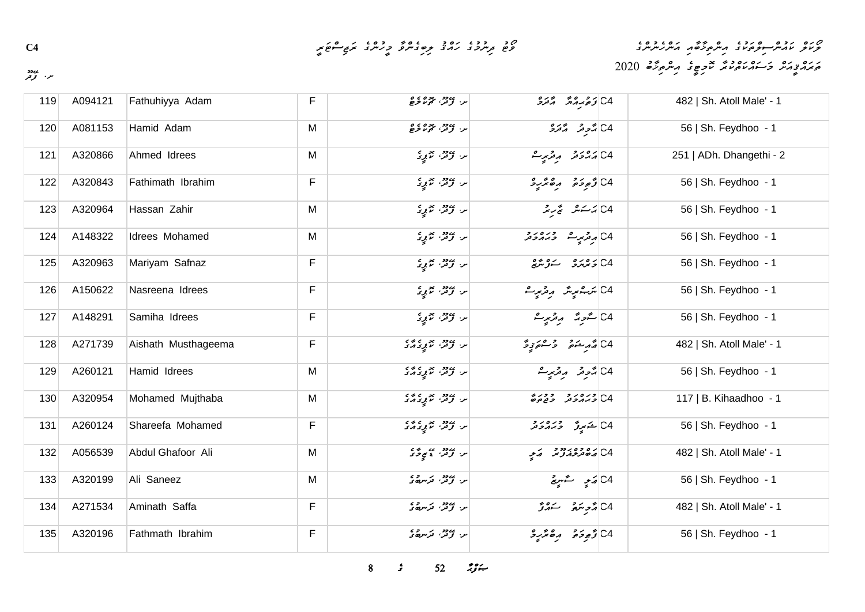*sCw7q7s5w7m< o<n9nOoAw7o< sCq;mAwBoEw7q<m; wBm;vB* م من المرة المرة المرة المرجع المرجع في المركبة 2020<br>مجم*د المريض المربوط المربع المرجع في المراجع المركبة* 

| 119 | A094121 | Fathuhiyya Adam     | F | ىن تۈتۈ، ئېچەم توقع                         | C4 توح <i>ومب</i> ھر محمد                   | 482   Sh. Atoll Male' - 1 |
|-----|---------|---------------------|---|---------------------------------------------|---------------------------------------------|---------------------------|
| 120 | A081153 | Hamid Adam          | M | ر، بیرو، بره بره<br>در توتر، محمد خرج       | C4 جَّحِيمٌ مُحَمَّدٌ                       | 56   Sh. Feydhoo - 1      |
| 121 | A320866 | Ahmed Idrees        | M | بر ہوتی ہو ہ                                | C4   <i>زود د م</i> قرمریته                 | 251   ADh. Dhangethi - 2  |
| 122 | A320843 | Fathimath Ibrahim   | F | ىر. ئ <sup>ەۋۋ</sup> ە ئىزى                 | C4 تَوجِدَة مِصْتَرِيدَ                     | 56   Sh. Feydhoo - 1      |
| 123 | A320964 | Hassan Zahir        | M | ىر. ئۇنىڭ ئىرى ئ                            | C4 ئەسەنىش ئىچ رىتى <sup>1</sup>            | 56   Sh. Feydhoo - 1      |
| 124 | A148322 | Idrees Mohamed      | M | ىر. ئۇقتر، ئىزى <sub>رى</sub>               | C4 موتر موسط ح محدد حمد حس                  | 56   Sh. Feydhoo - 1      |
| 125 | A320963 | Mariyam Safnaz      | F | ىر. ئۇقتر، ئىزى <sub>رى</sub>               | C4 كەندىرى سەۋىترى                          | 56   Sh. Feydhoo - 1      |
| 126 | A150622 | Nasreena Idrees     | F | ىر، ئەدەر، بىر ئ                            | C4 مَرْبُوْمِرِمَّرْ بِرِمْزِمِرِتْ         | 56   Sh. Feydhoo - 1      |
| 127 | A148291 | Samiha Idrees       | F | موسیقی میرانی<br>  موسیقی معمولیت           | C4 سَمَّحِ بَرَّ مِیرَ <i>م</i> ِیرِ مُشْہِ | 56   Sh. Feydhoo - 1      |
| 128 | A271739 | Aishath Musthageema | F | یں دوسر ہوتا ہے۔<br>اس کی تش کا تعریف میں ت | C4 مەم شەم ئىس ئىس ئىستىرىتى ئىستىر         | 482   Sh. Atoll Male' - 1 |
| 129 | A260121 | Hamid Idrees        | M | ر، بہود ہو ، د ،<br>س گرفتن سمبی پر پر ہر ی | C4 بَرْحِ مِرْ مِرْمَرِ مِسْ                | 56   Sh. Feydhoo - 1      |
| 130 | A320954 | Mohamed Mujthaba    | M | ىر، ئەدە بىرى ئەت<br>س كۆتى، شېرى مى        | C4 دره رور دره                              | 117   B. Kihaadhoo - 1    |
| 131 | A260124 | Shareefa Mohamed    | F | ر بیرود بر ده د<br>بر ژنس ناپردادد          | C4 شىرى ئەرەر دىر                           | 56   Sh. Feydhoo - 1      |
| 132 | A056539 | Abdul Ghafoor Ali   | M | یں بیج ہے ہے۔<br>اس کرفران کا مج فری        | C4 خەمز <i>دە بەدە ج</i> ېر                 | 482   Sh. Atoll Male' - 1 |
| 133 | A320199 | Ali Saneez          | M | ىر. يەدد.<br>س: توفر، فرس                   | C4 <i>ھَ۔</i> جَسِيمٌ                       | 56   Sh. Feydhoo - 1      |
| 134 | A271534 | Aminath Saffa       | F | ىر. يې دە ئەسھ                              | C4 مُجِسَعَةِ سَهْرُقَ                      | 482   Sh. Atoll Male' - 1 |
| 135 | A320196 | Fathmath Ibrahim    | F | ر، ورد و ده<br>در وفر، فرس                  | C4 ز <sub>ىمو</sub> دۇ مەھ <i>ترى</i> د     | 56   Sh. Feydhoo - 1      |

**8** *s* **52** *z***<sub>***f***</sub>**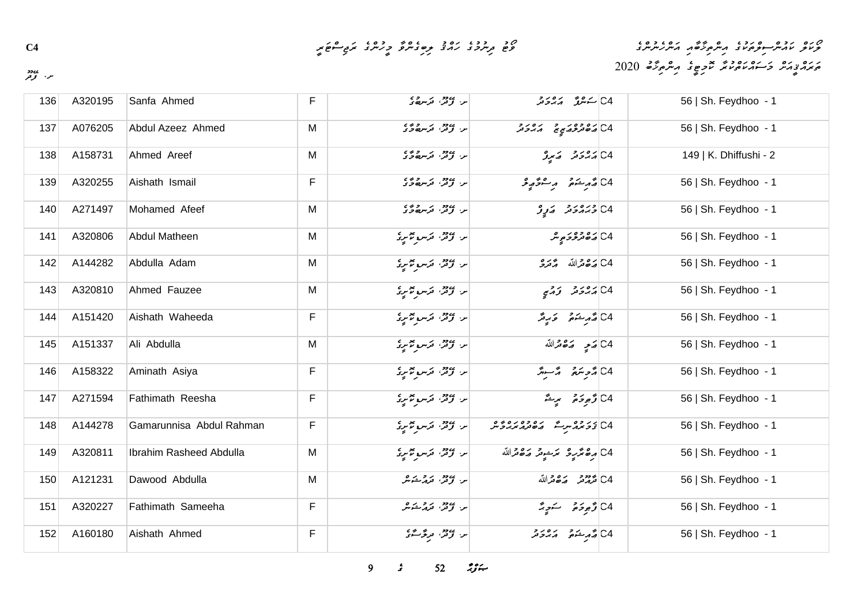*sCw7q7s5w7m< o<n9nOoAw7o< sCq;mAwBoEw7q<m; wBm;vB* م من المرة المرة المرة المرجع المرجع في المركبة 2020<br>مجم*د المريض المربوط المربع المرجع في المراجع المركبة* 

| 136 | A320195 | Sanfa Ahmed              | $\mathsf F$ | ىر. يەدد.<br>ىر. ئۇنىر، تەسھى            | C4 سەئىدۇ ئەيزىر ئى                          | 56   Sh. Feydhoo - 1   |
|-----|---------|--------------------------|-------------|------------------------------------------|----------------------------------------------|------------------------|
| 137 | A076205 | Abdul Azeez Ahmed        | M           | ر. دود. د سروره د<br>س ژمر، مرس          | C4 كەھىر <i>جەم يەن كەندى</i> ر              | 56   Sh. Feydhoo - 1   |
| 138 | A158731 | Ahmed Areef              | M           | ر، 320 ترسمبرو دی.<br>در نوتر، ترسمبرو د | C4 كەش <sup>ى</sup> كەتىر قىلىر بىر          | 149   K. Dhiffushi - 2 |
| 139 | A320255 | Aishath Ismail           | F           | ر. 2004 كەس 201                          | C4 مەم ئىقتى مەش <i>ۇم</i> ۇ                 | 56   Sh. Feydhoo - 1   |
| 140 | A271497 | Mohamed Afeef            | M           | ر. دود.<br>در توکر، ترس <i>مه و</i> ی    | C4 <i>جەنگە خۇر ھۆۋ</i>                      | 56   Sh. Feydhoo - 1   |
| 141 | A320806 | Abdul Matheen            | M           | ىر. ئۇقرا قەسمەتتېرى                     | C4 مەھىر <i>خى</i> م يىر                     | 56   Sh. Feydhoo - 1   |
| 142 | A144282 | Abdulla Adam             | M           | ىن ئەدەر ئەس ئەرى                        | C4 مَرْهُ قَرْاللّه مُرْمَرْدِ               | 56   Sh. Feydhoo - 1   |
| 143 | A320810 | Ahmed Fauzee             | M           | برا وسيج فرانس المعربي                   | C4 كەش <b>كەتتى</b> ئۇر <i>قىي</i>           | 56   Sh. Feydhoo - 1   |
| 144 | A151420 | Aishath Waheeda          | F           | برا وسيج فرانس المعربي                   | C4 مەم ئىسكەم ئىق ئىقىدىگە                   | 56   Sh. Feydhoo - 1   |
| 145 | A151337 | Ali Abdulla              | M           | یں کافران میں معاملے                     | C4 كەمچە كەھەقراللە                          | 56   Sh. Feydhoo - 1   |
| 146 | A158322 | Aminath Asiya            | F           | برا وسيج فرانس والمعربي                  | C4 مُرْحِبَهُ مُرْسِيْرُ                     | 56   Sh. Feydhoo - 1   |
| 147 | A271594 | Fathimath Reesha         | F           | برا وسيج فرانس والمعربي                  | C4 ۇ <sub>جو</sub> رَمْ بېشْ                 | 56   Sh. Feydhoo - 1   |
| 148 | A144278 | Gamarunnisa Abdul Rahman | $\mathsf F$ |                                          |                                              | 56   Sh. Feydhoo - 1   |
| 149 | A320811 | Ibrahim Rasheed Abdulla  | M           | برا وسيج فرانس والمعربي                  | C4 مِرْحَمَّرِ يَحْسِنُومَ مَرْحَمْدَاللَّهُ | 56   Sh. Feydhoo - 1   |
| 150 | A121231 | Dawood Abdulla           | M           | ىر. ئۇقرا قرىرشكەش                       | C4 مُرْمَّتْر مَرْهُقْرَاللَّه               | 56   Sh. Feydhoo - 1   |
| 151 | A320227 | Fathimath Sameeha        | F           | ىر. ئۇقرا قرەرشكەش                       | C4 زَّجِودَةْ سَوِيَّةْ                      | 56   Sh. Feydhoo - 1   |
| 152 | A160180 | Aishath Ahmed            | F           | ىن ئۇنتر، مېرگەشتى                       | C4 مەم شەھ مەم <i>دى</i> ر                   | 56   Sh. Feydhoo - 1   |

*9 s* 52 *fg*  $\rightarrow$ 

*roce*<br>مر. توق*م*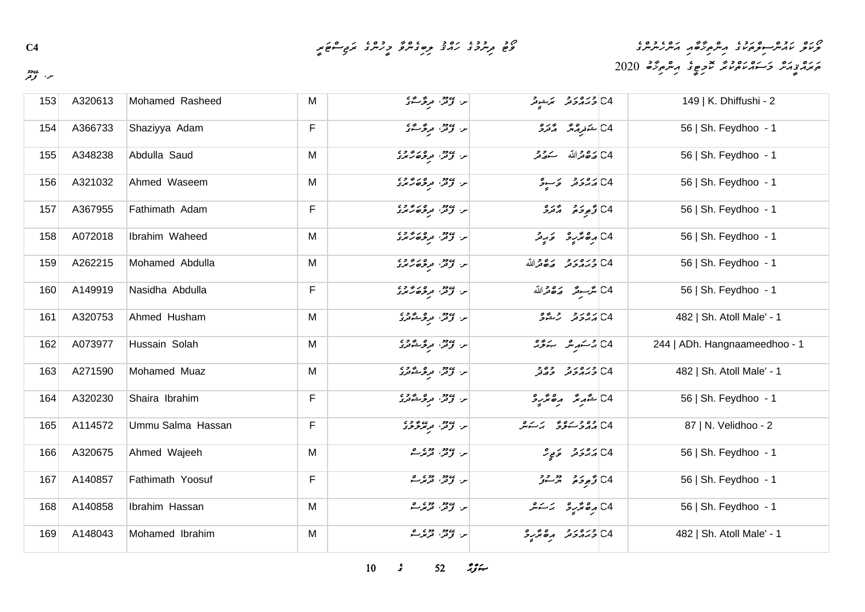*sCw7q7s5w7m< o<n9nOoAw7o< sCq;mAwBoEw7q<m; wBm;vB* م من المرة المرة المرة المرجع المرجع في المركبة 2020<br>مجم*د المريض المربوط المربع المرجع في المراجع المركبة* 

| 153 | A320613 | Mohamed Rasheed   | M | ىر: ئۇنى، بېرىگەنىكى                                 | C4 <i>32828 برَحوم</i> ر               | 149   K. Dhiffushi - 2        |
|-----|---------|-------------------|---|------------------------------------------------------|----------------------------------------|-------------------------------|
| 154 | A366733 | Shaziyya Adam     | F | ىر: ئۇنى، بېرىگەنىكى                                 | C4 شَو <i>َبْرِهُ مَّهْ مُقَرَّدٌ</i>  | 56   Sh. Feydhoo - 1          |
| 155 | A348238 | Abdulla Saud      | M | ىن ئەدەر ھەم بەر ئ                                   | C4 مَەقراللە سىمەتر                    | 56   Sh. Feydhoo - 1          |
| 156 | A321032 | Ahmed Waseem      | M | ر، بیرو، در ورو و ،<br>در کرفر، تروکاربرد            | C4 <i>مەندى ئىس</i> ونى                | 56   Sh. Feydhoo - 1          |
| 157 | A367955 | Fathimath Adam    | F | ىر. بەدە.<br>ىر. تۈگر، تېرى <i>ۋە ئەي</i> رى         | C4 تُهِ <i>حَمَّة مُ</i> تَرَّدَّ      | 56   Sh. Feydhoo - 1          |
| 158 | A072018 | Ibrahim Waheed    | M | ر به دو ده وره و ،<br>  س توفر، فرخ <i>وه ر</i> س    | C4 مەھە <i>تگىي</i> قىرىتىلى           | 56   Sh. Feydhoo - 1          |
| 159 | A262215 | Mohamed Abdulla   | M | ر بیرود مرکزه د ،                                    | C4 وَيَرْمُ حَتَّى مَدَّةَ مِّدَاللَّه | 56   Sh. Feydhoo - 1          |
| 160 | A149919 | Nasidha Abdulla   | F | ىن بەدە.<br>ىن كۆش <sup>،</sup> تېرى <i>ڭ ئەي</i> رى |                                        | 56   Sh. Feydhoo - 1          |
| 161 | A320753 | Ahmed Husham      | M | ىر: ئۇنىڭ بولۇشتەترى                                 | C4 كەبروتى ئەشكى                       | 482   Sh. Atoll Male' - 1     |
| 162 | A073977 | Hussain Solah     | M | ىر: ئۇنۇ، بېرى شەرى                                  | C4 يُرْسَمْ مِيلْ سَدَخْرَ مُنْ        | 244   ADh. Hangnaameedhoo - 1 |
| 163 | A271590 | Mohamed Muaz      | M | ىر: ئۇنىڭ بولۇشتەترى                                 | C4 3222 وه.                            | 482   Sh. Atoll Male' - 1     |
| 164 | A320230 | Shaira Ibrahim    | F | ر، ۶۵۵ وگروه و د<br>مراکزاند، اورنگویس               | C4 شەمەتتە مەھە <i>تدىي</i><br>        | 56   Sh. Feydhoo - 1          |
| 165 | A114572 | Ummu Salma Hassan | F | ر ده ده د ده و د و                                   | C4 <i>جەج خۇڭ بى</i> كىش               | 87   N. Velidhoo - 2          |
| 166 | A320675 | Ahmed Wajeeh      | M | ىر. يەدە دەپرى<br>س ئۇقىر، قىزىمەسى                  | C4 <i>مَدْدَى مَّ</i> وِرْ             | 56   Sh. Feydhoo - 1          |
| 167 | A140857 | Fathimath Yoosuf  | F | ىر. »دە « »<br>ىر. ۋىر، تى <i>رى</i> رىــ            | C4 رَّجِ دَحْمَدَ مِنْ سَنْرَ          | 56   Sh. Feydhoo - 1          |
| 168 | A140858 | Ibrahim Hassan    | M | ىر. يەدە. دەپرىش                                     | C4 مەھە <i>ترى</i> دۇ كەسكىلار         | 56   Sh. Feydhoo - 1          |
| 169 | A148043 | Mohamed Ibrahim   | M | ىر. يەدە دەپرى<br>ىر. توفر، قرىرىت                   | C4 <i>دېمم</i> ونه م <b>گې</b> ږو      | 482   Sh. Atoll Male' - 1     |

 $10$  *s* 52  $2.94$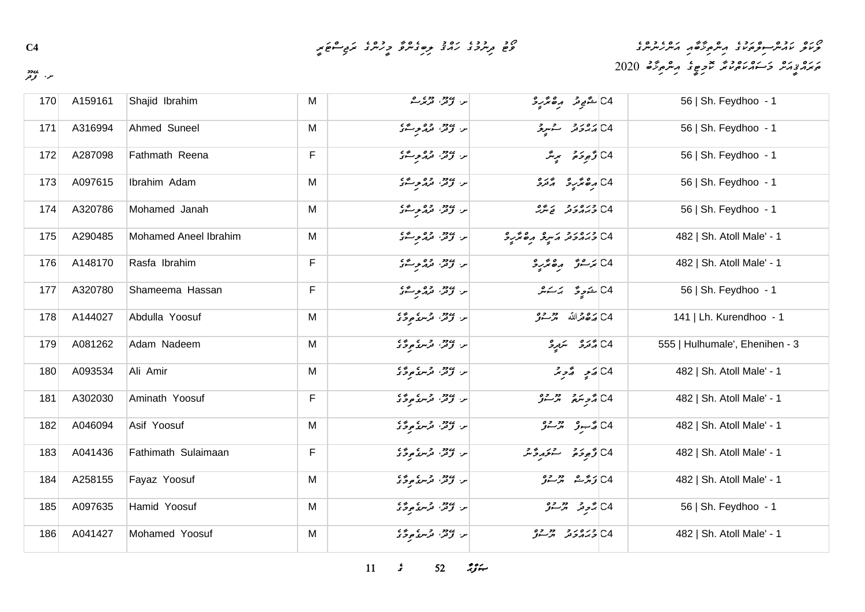*sCw7q7s5w7m< o<n9nOoAw7o< sCq;mAwBoEw7q<m; wBm;vB* م من المرة المرة المرة المرجع المرجع في المركبة 2020<br>مجم*د المريض المربوط المربع المرجع في المراجع المركبة* 

| 170 | A159161 | Shajid Ibrahim        | M | ىر. يەدە. دەپرىش                               | C4 شوم مەھەر يە                            | 56   Sh. Feydhoo - 1           |
|-----|---------|-----------------------|---|------------------------------------------------|--------------------------------------------|--------------------------------|
| 171 | A316994 | Ahmed Suneel          | M | ىر. ئەدە روە بەر ئەي                           | C4 كەندى قىلى مىلىرى قىلىش بىر ئىلىرى ئىل  | 56   Sh. Feydhoo - 1           |
| 172 | A287098 | Fathmath Reena        | F | ىر. ئەدەر مەھم سىرى                            | C4 ۇ <sub>جو</sub> رَمْ پ <sub>ى</sub> سَّ | 56   Sh. Feydhoo - 1           |
| 173 | A097615 | Ibrahim Adam          | M | ىر. ئەدەر مەھم سىرى                            | C4 مەھەمگەيى ھەممىزى                       | 56   Sh. Feydhoo - 1           |
| 174 | A320786 | Mohamed Janah         | M | ىر. ئەدەر مەھمەتتى ئ                           | C4 دېرو د تورو                             | 56   Sh. Feydhoo - 1           |
| 175 | A290485 | Mohamed Aneel Ibrahim | M | یں ہے جو حوص ہے ہ                              | C4 دبرورد برسرد مقتربرد                    | 482   Sh. Atoll Male' - 1      |
| 176 | A148170 | Rasfa Ibrahim         | F | ىر. ئەدەر دە بەر ئەي                           | C4 ىر شوتر مەھە <i>ترى</i> رى              | 482   Sh. Atoll Male' - 1      |
| 177 | A320780 | Shameema Hassan       | F | ىر. ئەدەر دە بەر ئەي                           | C4 ختموٍ حٌ پرَ سَمَسٌ                     | 56   Sh. Feydhoo - 1           |
| 178 | A144027 | Abdulla Yoosuf        | M | ىن ئەدەر جەم ئەرەرى<br>ئىن ئۇقىرا قىزىس ئەم ئ  | C4 مَەقىراللە مەدىر                        | 141   Lh. Kurendhoo - 1        |
| 179 | A081262 | Adam Nadeem           | M | ر، بیرود و در باره بار<br>در از قرار مرس و و د | C4 <i>مُحَرَّدُ</i> سَمَعِرْدُ             | 555   Hulhumale', Ehenihen - 3 |
| 180 | A093534 | Ali Amir              | M | ر، سمجھار، جو سماج جا<br>س کرھر، فرس جا جا جا  | C4 <i>ھَجِ</i> مُحْرِمَةَ                  | 482   Sh. Atoll Male' - 1      |
| 181 | A302030 | Aminath Yoosuf        | F | ىن ئەدەر جەم ئەرەرى<br>بىن ئۇقىرا قىرسىمى ئەرى | C4 مُرْحِبَتَهُ مُرْسَوْرٌ                 | 482   Sh. Atoll Male' - 1      |
| 182 | A046094 | Asif Yoosuf           | M | ر، بیرود و دی دی.<br>در کرفر، فرس و و د        | C4 گەسبوقر مەسىر<br>م                      | 482   Sh. Atoll Male' - 1      |
| 183 | A041436 | Fathimath Sulaimaan   | F | ر، بیرود و در باره بار<br>در از قرار مرس و و د | C4 ۇ <sub>ج</sub> وڭ مەمۇر ئىر             | 482   Sh. Atoll Male' - 1      |
| 184 | A258155 | Fayaz Yoosuf          | M | ر، سمجھار، جو سماج جا<br>س کرھر، فرس جا جا جا  | C4 ئۈچرىشە جۇمشۇ                           | 482   Sh. Atoll Male' - 1      |
| 185 | A097635 | Hamid Yoosuf          | M | ر، بیرود و در باره بار<br>در از قرار مرس و و د | C4 بَرْدِ بَرْ بِرْ مِنْ بِرْ مِنْ بِهِ    | 56   Sh. Feydhoo - 1           |
| 186 | A041427 | Mohamed Yoosuf        | M | ىر. ئەدەر جىرى ئەي                             | C4 32,023 من دو                            | 482   Sh. Atoll Male' - 1      |

 $11$  *s* 52  $294$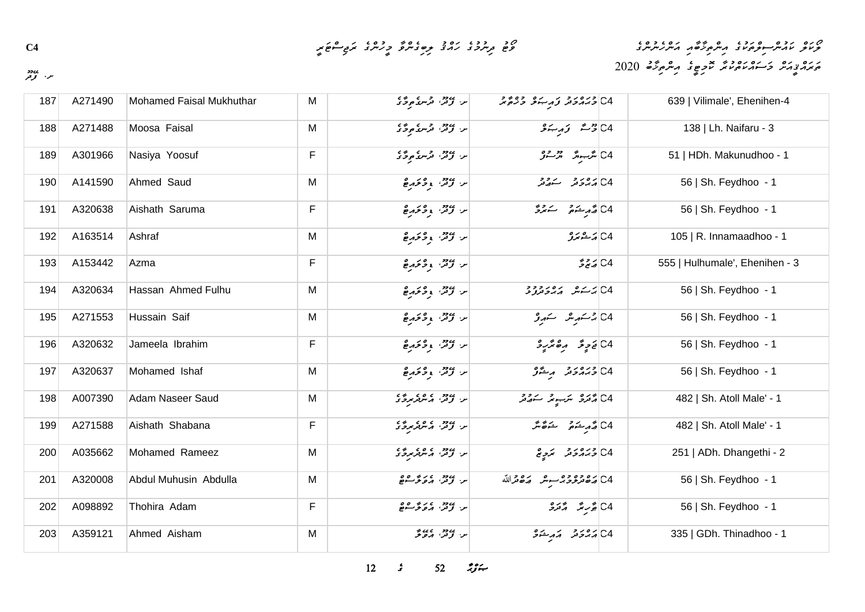*sCw7q7s5w7m< o<n9nOoAw7o< sCq;mAwBoEw7q<m; wBm;vB* م من المرة المرة المرة المرجع المرجع في المركبة 2020<br>مجم*د المريض المربوط المربع المرجع في المراجع المركبة* 

| 187 | A271490 | Mohamed Faisal Mukhuthar | M | من تخوين المرسمة مورضى                          | C4 درورد زېږېد ده ده.                               | 639   Vilimale', Ehenihen-4    |
|-----|---------|--------------------------|---|-------------------------------------------------|-----------------------------------------------------|--------------------------------|
| 188 | A271488 | Moosa Faisal             | M | ر به دور و دره و دره کار                        | C4 رخش قەرىبكى                                      | 138   Lh. Naifaru - 3          |
| 189 | A301966 | Nasiya Yoosuf            | F | ر، بیرود و دی دی.<br>در کرفر، فرس و و د         | C4 تُرْسِع <sup>ِ مَ</sup> كَرْ مَرْسُعُو           | 51   HDh. Makunudhoo - 1       |
| 190 | A141590 | Ahmed Saud               | M | للمستفرق وتحميدها                               | C4 كەبرو بىر يەر يەر                                | 56   Sh. Feydhoo - 1           |
| 191 | A320638 | Aishath Saruma           | F | ين وقراء وتحميدها                               | C4 مەم ئىقتى ئىس كىلىدىگە                           | 56   Sh. Feydhoo - 1           |
| 192 | A163514 | Ashraf                   | M | ىر، ئۇنىش، بەر ئەرەھ                            | C4 كەشقەتد <b>ۇ</b>                                 | 105   R. Innamaadhoo - 1       |
| 193 | A153442 | Azma                     | F | ىر. ئۇنتر، بەلم ئەرىقى                          | 525C4                                               | 555   Hulhumale', Ehenihen - 3 |
| 194 | A320634 | Hassan Ahmed Fulhu       | M | ين وقراء وتحميدها                               | C4 ټر <i>شهر پرونورو</i> نو                         | 56   Sh. Feydhoo - 1           |
| 195 | A271553 | Hussain Saif             | M | ر پيوم وځمه                                     | C4 يرت مريد ستهرقر                                  | 56   Sh. Feydhoo - 1           |
| 196 | A320632 | Jameela Ibrahim          | F | برز وده ووکرم                                   | C4 ق <sub>َ</sub> حِرِ حَدَّ مِنْ مِنْ مِرْدِ حَدَّ | 56   Sh. Feydhoo - 1           |
| 197 | A320637 | Mohamed Ishaf            | M | ر پيود و څرمه                                   | C4 <i>3222 م</i> شو                                 | 56   Sh. Feydhoo - 1           |
| 198 | A007390 | Adam Naseer Saud         | M | ر. ۳۶۴. ۲۵۶. و.<br>د. ژنر، ماسرپربرد و          | C4 أَرْتَدَدُّ سَرَسِومِّرَ سَنَّهُ تَدْ            | 482   Sh. Atoll Male' - 1      |
| 199 | A271588 | Aishath Shabana          | F | ر به دور ده د د د د                             | C4 مەم ئىق ئىق ئىش ئىق ئىس                          | 482   Sh. Atoll Male' - 1      |
| 200 | A035662 | Mohamed Rameez           | M | ر. ۳۶۴. ۲۵۶. و.<br>د. ژنر، ماسرپربرد و          | C4 <i>\$222 مكرچ</i>                                | 251   ADh. Dhangethi - 2       |
| 201 | A320008 | Abdul Muhusin Abdulla    | M | بر به دو بر ده وه                               | C4 مەھىر جەم دەر مەھەرللە                           | 56   Sh. Feydhoo - 1           |
| 202 | A098892 | Thohira Adam             | F | ىن ئەدەر يەر ئەھ                                | C4 يُحرِ بَحَّهُ مُحَمَّدَةٌ                        | 56   Sh. Feydhoo - 1           |
| 203 | A359121 | Ahmed Aisham             | M | ر، میرود می دید.<br>مرد توفر، مرحو <del>م</del> | $Ca2$ $Ca2$ $Ca2$                                   | 335   GDh. Thinadhoo - 1       |

 $12$  *s* 52  $25$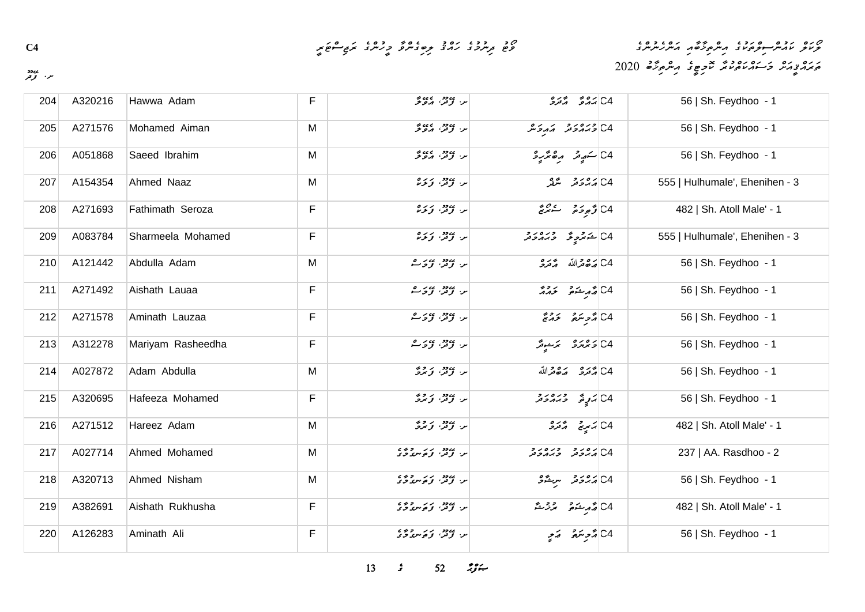*sCw7q7s5w7m< o<n9nOoAw7o< sCq;mAwBoEw7q<m; wBm;vB* م من المرة المرة المرة المرجع المرجع المرجع في 2020<br>مجم*د المريض المرجع المرجع المرجع المرجع المراجع المراجع الم*رجع

| 204 | A320216 | Hawwa Adam        | F            | ىن ئەدەرە ئەيرە<br>ىن كەنتىر بىرەن ئى                     | C4 بَرْدَةَ مُحْمَدَةِ               | 56   Sh. Feydhoo - 1           |
|-----|---------|-------------------|--------------|-----------------------------------------------------------|--------------------------------------|--------------------------------|
| 205 | A271576 | Mohamed Aiman     | M            | ر مصور مصری<br>مزد توفر، ارجام                            | C4 <i>جەمەدىر مەم</i> كىر            | 56   Sh. Feydhoo - 1           |
| 206 | A051868 | Saeed Ibrahim     | M            | ر می دو می ده.<br>این توفر، اردون                         | C4 كىھەتىر مەھ <i>ت</i> رىيە         | 56   Sh. Feydhoo - 1           |
| 207 | A154354 | Ahmed Naaz        | M            | ىر: ئۇنق، ئەنزى                                           | C4 كەبرى بىر ئىشتىر                  | 555   Hulhumale', Ehenihen - 3 |
| 208 | A271693 | Fathimath Seroza  | F            | ىر: ئۇنىش، ئەنزى                                          | $rac{200}{2000}$ $rac{25}{200}$ $C4$ | 482   Sh. Atoll Male' - 1      |
| 209 | A083784 | Sharmeela Mohamed | F            | ىر: ئۇنىش: ئۇنۇنغ                                         | C4 خەترى <i>رى دېمم</i> وتر          | 555   Hulhumale', Ehenihen - 3 |
| 210 | A121442 | Abdulla Adam      | M            | ىر. ئەدەب ئەرگ                                            | C4 مَصْعَرِ اللَّهُ مَعْرَضٍ         | 56   Sh. Feydhoo - 1           |
| 211 | A271492 | Aishath Lauaa     | $\mathsf F$  | ىر. ئەدەب ئەرگ                                            | $222$ $222$                          | 56   Sh. Feydhoo - 1           |
| 212 | A271578 | Aminath Lauzaa    | F            | ىر. ئەدەبەر قاراش                                         | C4 مُحصِبَ مِعْ مَعْدَمَ حَمَدَةً    | 56   Sh. Feydhoo - 1           |
| 213 | A312278 | Mariyam Rasheedha | F            | ىر. ئەدەب ئەرگ                                            | C4 كەنگەنگە ئىمى ئىسىدىگە            | 56   Sh. Feydhoo - 1           |
| 214 | A027872 | Adam Abdulla      | $\mathsf{M}$ | ىن ئۇنىش كۆيۈنتى                                          | C4 مُتَعَرَّدُ مَكَّاهُ مِنْ اللَّهُ | 56   Sh. Feydhoo - 1           |
| 215 | A320695 | Hafeeza Mohamed   | F            | ىن ئۇنىش كەندى                                            | C4 <i>بَرْدٍ جُهُ دَوْرُو تَرْ</i>   | 56   Sh. Feydhoo - 1           |
| 216 | A271512 | Hareez Adam       | M            | ىن كەن كەندە                                              | C4 بَرْمِيعٌ مُرَّمَّرً <i>و</i>     | 482   Sh. Atoll Male' - 1      |
| 217 | A027714 | Ahmed Mohamed     | M            | ىن ئەدەر بەر دەر.<br>بىن ئۇنتر، ئۇن <i>ە</i> سىدىرى       | C4 كەبرو دەرەرو                      | 237   AA. Rasdhoo - 2          |
| 218 | A320713 | Ahmed Nisham      | M            | ىن ئۇقتى، ئەكەسلەردە ئ                                    | C4 <i>مُدْوَمْ</i> سِتْوُوْ          | 56   Sh. Feydhoo - 1           |
| 219 | A382691 | Aishath Rukhusha  | F            | ىن ئەدەر دەرە                                             | C4 مەم ئىقىمە ئىرگە ئىگە             | 482   Sh. Atoll Male' - 1      |
| 220 | A126283 | Aminath Ali       | F            | ىن تۈتتى، ئەكەسىدە تەت<br>س: ئۇقتى، ئۇن <i>ە</i> سىدە تەت | C4 مُتَعِسَعُهُ مَعِ                 | 56   Sh. Feydhoo - 1           |

 $13$  *s* 52  $25$ 

*roce*<br>مر. توق*م*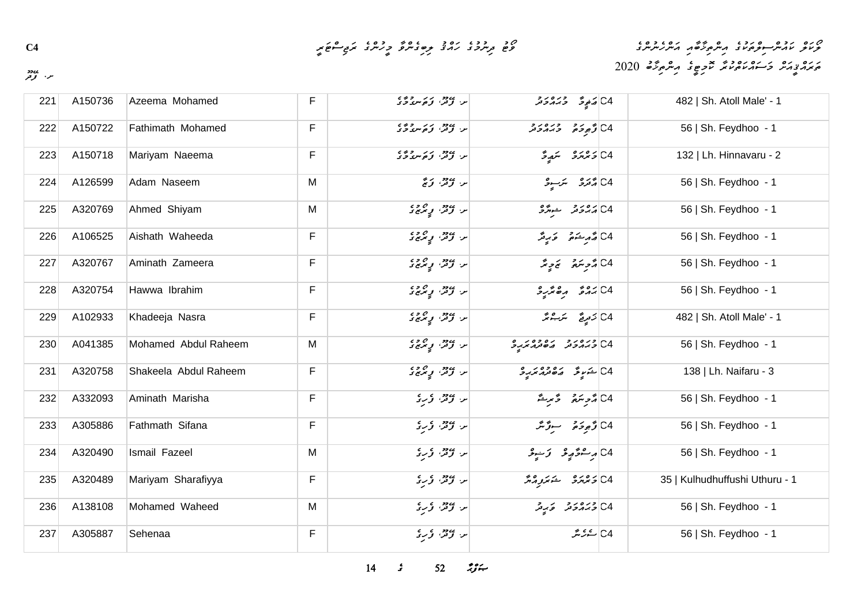*sCw7q7s5w7m< o<n9nOoAw7o< sCq;mAwBoEw7q<m; wBm;vB* م من المرة المرة المرة المرجع المرجع المرجع في 2020<br>مجم*د المريض المرجع المرجع المرجع المرجع المراجع المراجع الم*رجع

| 221 | A150736 | Azeema Mohamed        | F | ىن ئۇنتى، ئەكەسلەم ئ                       | C4 كەنب <i>وڭ دېمەدەت</i> ر                         | 482   Sh. Atoll Male' - 1      |
|-----|---------|-----------------------|---|--------------------------------------------|-----------------------------------------------------|--------------------------------|
| 222 | A150722 | Fathimath Mohamed     | F | ىن ئۇنتر، ئەكەسىدە ئ                       | C4 تُرجوح حيد المحمد المحمد                         | 56   Sh. Feydhoo - 1           |
| 223 | A150718 | Mariyam Naeema        | F | ر به دو به دره دره با                      | C4 كەبىر كىرگە ئىكدىن كەنتىر ئىككە                  | 132   Lh. Hinnavaru - 2        |
| 224 | A126599 | Adam Naseem           | M | ىر. ئۇنتر، ئەنج                            | C4 مُحَمَّدٌ سَمَــِدْ مَنْ                         | 56   Sh. Feydhoo - 1           |
| 225 | A320769 | Ahmed Shiyam          | M | من بيروج , ص و ۽<br>  من گوفٽن - پي مربع ي | C4 كەبرى قىر ئىش <i>ەرگى</i>                        | 56   Sh. Feydhoo - 1           |
| 226 | A106525 | Aishath Waheeda       | F | ین بیروم و می و م                          | C4 مەم ئىقىم ئىق تىر                                | 56   Sh. Feydhoo - 1           |
| 227 | A320767 | Aminath Zameera       | F | بر ہیں وہ دی                               | C4 مُجِسَع <sup>ة</sup> يَجِهَّ                     | 56   Sh. Feydhoo - 1           |
| 228 | A320754 | Hawwa Ibrahim         | F | ین می ده می و ه<br>پس نوکر ، نومن می       | C4 <i>بَهُمْ وَهُتَّرِدْ</i>                        | 56   Sh. Feydhoo - 1           |
| 229 | A102933 | Khadeeja Nasra        | F | ین می ده می و ه<br>پس نوکر ، نومن می       | C4 كَتَعِيقٌ سَمَيْتُمْتَمُّ                        | 482   Sh. Atoll Male' - 1      |
| 230 | A041385 | Mohamed Abdul Raheem  | M | ین بیروم و می و م                          | C4 CHOSE LOCOLLO                                    | 56   Sh. Feydhoo - 1           |
| 231 | A320758 | Shakeela Abdul Raheem | F | ین بیروم و می و م                          | C4 خىرى <i>گە مەھەممىرى</i>                         | 138   Lh. Naifaru - 3          |
| 232 | A332093 | Aminath Marisha       | F | بر پیچ کی ت                                | C4 مَّ <i>وِ سَمَّةٍ _ وَّ مِ</i> حَ <sup>مَّ</sup> | 56   Sh. Feydhoo - 1           |
| 233 | A305886 | Fathmath Sifana       | F | بر پیچ کی ت                                | C4 ۇ <sub>جو</sub> رَمْ سِوَتْتَر                   | 56   Sh. Feydhoo - 1           |
| 234 | A320490 | <b>Ismail Fazeel</b>  | M | بن عصم عصر ع                               | C4 م <sup>ر</sup> مۇھەبى تىزىنى ئى                  | 56   Sh. Feydhoo - 1           |
| 235 | A320489 | Mariyam Sharafiyya    | F | بر پیچ و و                                 | C4 كەبىر ئىرىمى ئىكتىن ئىرىدىكى ئىل                 | 35   Kulhudhuffushi Uthuru - 1 |
| 236 | A138108 | Mohamed Waheed        | M | بن عصم عصر ع                               | C4 <i>\$ بەيمۇ ئەتىر ھې</i> تر                      | 56   Sh. Feydhoo - 1           |
| 237 | A305887 | Sehenaa               | F | ىر. ئۇنىڭ كۆپ                              | C4 كەبزىتر                                          | 56   Sh. Feydhoo - 1           |

 $14$  *s* 52  $2.3$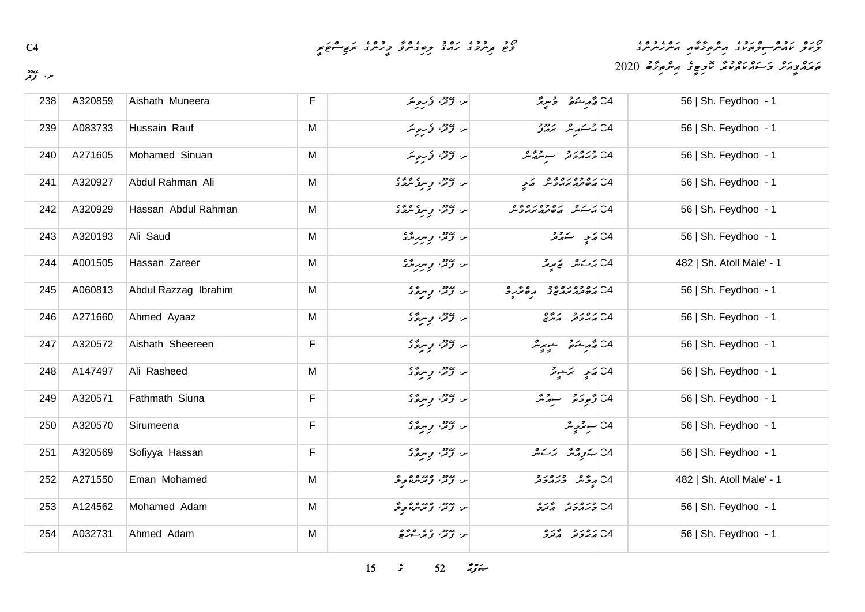*sCw7q7s5w7m< o<n9nOoAw7o< sCq;mAwBoEw7q<m; wBm;vB* م من المرة المرة المرة المرجع المرجع المرجع في 2020<br>مجم*د المريض المرجع المرجع المرجع المرجع المراجع المراجع الم*رجع

| 238 | A320859 | Aishath Muneera      | F           | یں توفرا تحریریں          | C4 مەم ئەمۇر بىر ئىبرىگە               | 56   Sh. Feydhoo - 1      |
|-----|---------|----------------------|-------------|---------------------------|----------------------------------------|---------------------------|
| 239 | A083733 | Hussain Rauf         | M           | مزاوج تورو مگر            | C4 پر کے مرکز میر پر تھے               | 56   Sh. Feydhoo - 1      |
| 240 | A271605 | Mohamed Sinuan       | M           | مزاوج تورو مگر            | C4 32025 برميز                         | 56   Sh. Feydhoo - 1      |
| 241 | A320927 | Abdul Rahman Ali     | M           | پر اوروپا و مورد و ده و د | C4 مەھىرمەمدە مىر مەر                  | 56   Sh. Feydhoo - 1      |
| 242 | A320929 | Hassan Abdul Rahman  | M           | بر کافر ویبویوی           | C4 ئەسكىر كەنھە <i>ر مەكتەر</i>        | 56   Sh. Feydhoo - 1      |
| 243 | A320193 | Ali Saud             | M           | یں نہیں وسربر پر کا       | C4 <i>مَج سَمَعْ</i> تُر               | 56   Sh. Feydhoo - 1      |
| 244 | A001505 | Hassan Zareer        | M           | یں نخص ویبریزی            | C4   يَرْسَدُ عَنْ سِرْسَرُ            | 482   Sh. Atoll Male' - 1 |
| 245 | A060813 | Abdul Razzag Ibrahim | M           | ىن ئۇنتر، بەيدەنجى        | $C4$ $C4$ $C9$ $C9$                    | 56   Sh. Feydhoo - 1      |
| 246 | A271660 | Ahmed Ayaaz          | M           | ین نؤتش و بیروگی          | C4 كەبرى قىر مەردىنى C4                | 56   Sh. Feydhoo - 1      |
| 247 | A320572 | Aishath Sheereen     | $\mathsf F$ | ىن ئۇنتى، بەيدۇكى         | C4 مەركىقى ھەمرىكر                     | 56   Sh. Feydhoo - 1      |
| 248 | A147497 | Ali Rasheed          | M           | ىن ئۇنتر، بەيدەنجى        | C4 كەمچە كەشى <i>يەت</i> ر             | 56   Sh. Feydhoo - 1      |
| 249 | A320571 | Fathmath Siuna       | F           | ین نوش و سره د            | C4 تۇ <sub>جو</sub> خۇ سو <i>م</i> ىگە | 56   Sh. Feydhoo - 1      |
| 250 | A320570 | Sirumeena            | $\mathsf F$ | بر نقص وبرده و            | C4 سوبۇرە بىگە                         | 56   Sh. Feydhoo - 1      |
| 251 | A320569 | Sofiyya Hassan       | F           | ین نوش و سره د            | C4 ج <i>ۇرۇنگە</i> ئەسكەنلە            | 56   Sh. Feydhoo - 1      |
| 252 | A271550 | Eman Mohamed         | M           | ىن ئۇتىن ۋىرسرىزە ئە      | C4 موڭس <i>دىمم</i> ۇتر                | 482   Sh. Atoll Male' - 1 |
| 253 | A124562 | Mohamed Adam         | M           | ر. به دو ده به ده و نو    | C4 3222 محمدہ                          | 56   Sh. Feydhoo - 1      |
| 254 | A032731 | Ahmed Adam           | M           | ىن ئۇتتى، ئەيرىسىرتىھ     | C4 كەبرى قىر ئەرە                      | 56   Sh. Feydhoo - 1      |

 $15$  *s*  $52$  *n***<sub>i</sub>** *n***<sub>i</sub>**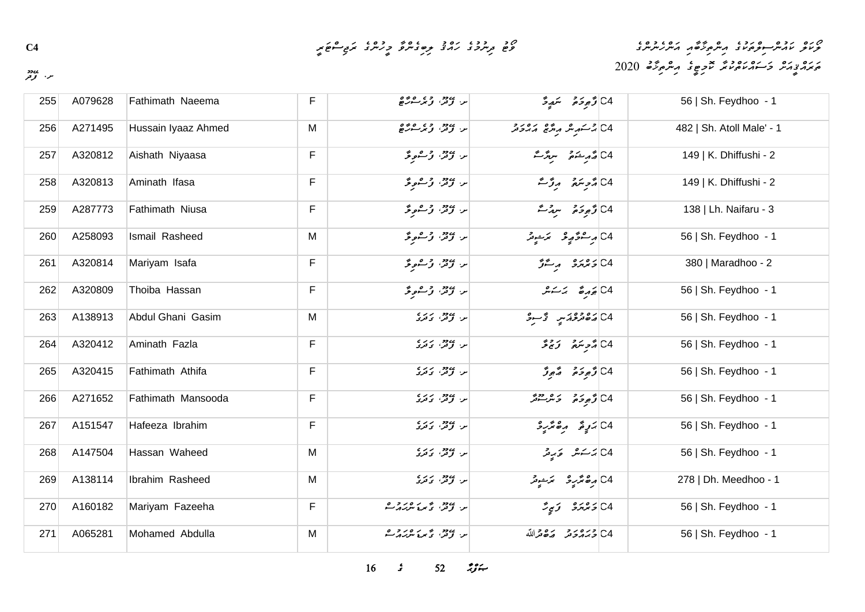*sCw7q7s5w7m< o<n9nOoAw7o< sCq;mAwBoEw7q<m; wBm;vB* م من المرة المرة المرة المرجع المرجع المرجع في 2020<br>مجم*د المريض المرجع المرجع المرجع المرجع المراجع المراجع الم*رجع

| 255 | A079628 | Fathimath Naeema    | $\mathsf F$ | ىن ئەدەر دىن ھەرە                    | C4 زَّجِ دَمَ مَنْ سَمَّةٍ دَّ                | 56   Sh. Feydhoo - 1      |
|-----|---------|---------------------|-------------|--------------------------------------|-----------------------------------------------|---------------------------|
| 256 | A271495 | Hussain Iyaaz Ahmed | M           | ىر. ئۇنتر، بۇ يەر مەم ھ              | C4 يُرْسَورِ شُر مِرْدَى مَ بَرْرَ قَرْ       | 482   Sh. Atoll Male' - 1 |
| 257 | A320812 | Aishath Niyaasa     | $\mathsf F$ | ىن ئەق ۋەمرىگە                       | C4 مەم ئىقتى ئىس ئىستىگە                      | 149   K. Dhiffushi - 2    |
| 258 | A320813 | Aminath Ifasa       | F           | ىن كۆش ۋىسىمىگ                       | C4 مَّ حِسَمَةَ مِتَرَ مَّـ                   | 149   K. Dhiffushi - 2    |
| 259 | A287773 | Fathimath Niusa     | F           | ىر. ئەقتى: تۇسىمبونى                 | C4 تَ <i>وجوحو سِهدْتَ</i>                    | 138   Lh. Naifaru - 3     |
| 260 | A258093 | Ismail Rasheed      | M           | ىن ئەق ۋەمرىگە                       | C4 مرڪو <i>گھي</i> و - مَرَش <sub>و</sub> مُر | 56   Sh. Feydhoo - 1      |
| 261 | A320814 | Mariyam Isafa       | F           | ىر. ئۇنىر، ئۇسىمبۇ ئى                | C4 <i>جىمىردى م</i> ېشۇ                       | 380   Maradhoo - 2        |
| 262 | A320809 | Thoiba Hassan       | $\mathsf F$ | ىن ئەق ۋەمرىگە                       | C4 يَوْمِرْ شَهْ بَرْسَوْسْر                  | 56   Sh. Feydhoo - 1      |
| 263 | A138913 | Abdul Ghani Gasim   | M           | ىر <sup>،</sup> تۇنتر، كەنترى        | C4 مَ <i>ھوگھ مَبْرِ</i> گَرِ وَ مُ           | 56   Sh. Feydhoo - 1      |
| 264 | A320412 | Aminath Fazla       | $\mathsf F$ | ىن كەچەم كەنزى<br>ئىن كى كى تىرى     | C4 مُجرِسَع <sub>ة</sub> وَيَحْمَّ            | 56   Sh. Feydhoo - 1      |
| 265 | A320415 | Fathimath Athifa    | F           | ىن كەچەم كەنزى<br>ئىن كى كى تىرى     | C4 وَّجِوحَةً صَّجِوَّ                        | 56   Sh. Feydhoo - 1      |
| 266 | A271652 | Fathimath Mansooda  | F           | ىن كەچەر كەرگە<br>بىن كۆكتىر، كەتىرى | C4 تۇي <sub>م</sub> وخەر خەرجەتر              | 56   Sh. Feydhoo - 1      |
| 267 | A151547 | Hafeeza Ibrahim     | $\mathsf F$ | ىن كەچەر كەرگە<br>بىن كۆكتىر، كەتىرى | C4 بَرَرٍ بِمَ مِنْ مِرْجِرِ وَ               | 56   Sh. Feydhoo - 1      |
| 268 | A147504 | Hassan Waheed       | M           | ىن كۆتى، كەتىرى                      | C4 بَرَسَة مَدِيمَر                           | 56   Sh. Feydhoo - 1      |
| 269 | A138114 | Ibrahim Rasheed     | M           | ىن ئەدەر كەندى                       | C4 مەھەر ئىچە ئىم ئىسىمىسى ئىس                | 278   Dh. Meedhoo - 1     |
| 270 | A160182 | Mariyam Fazeeha     | $\mathsf F$ | ىن كەدەر كەيدە بەر دەر ق             | C4 كەنگە <i>ر ئى ئى ج</i>                     | 56   Sh. Feydhoo - 1      |
| 271 | A065281 | Mohamed Abdulla     | M           | ىن ئۇچ ئەيدە بەر دەپ                 | C4 32025 مَرْدَة مَدَّاللَّه                  | 56   Sh. Feydhoo - 1      |

 $16$  *s* 52  $25$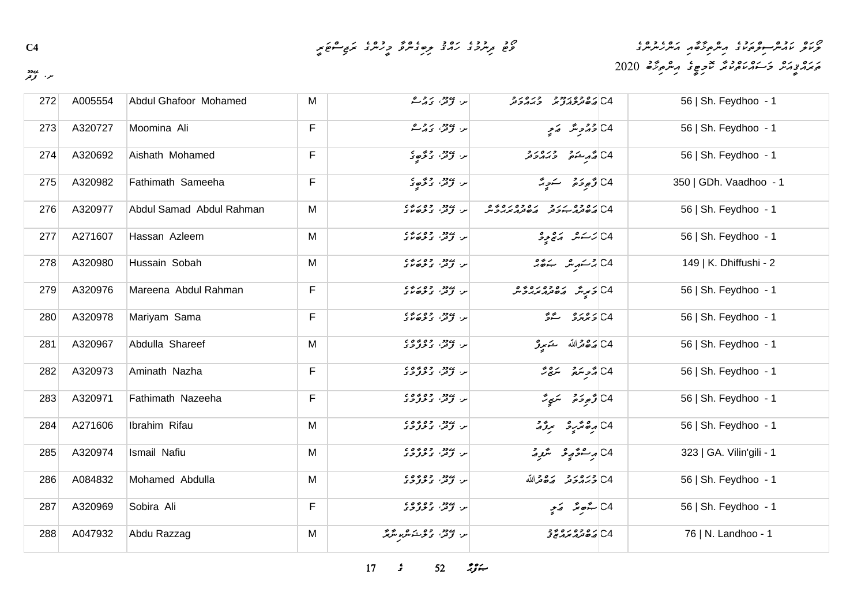*sCw7q7s5w7m< o<n9nOoAw7o< sCq;mAwBoEw7q<m; wBm;vB* م من المرة المرة المرة المرجع المرجع المرجع في 2020<br>مجم*د المريض المرجع المرجع المرجع المرجع المراجع المراجع الم*رجع

| 272 | A005554 | Abdul Ghafoor Mohamed    | M           | لىر، ئۇقرا ئەمرىق                                          | C4/ پره وه بروو د وبره برو                     | 56   Sh. Feydhoo - 1     |
|-----|---------|--------------------------|-------------|------------------------------------------------------------|------------------------------------------------|--------------------------|
| 273 | A320727 | Moomina Ali              | $\mathsf F$ | ىن ئەدەر بەر ھ                                             | C4 دقم قرم قرم بر                              | 56   Sh. Feydhoo - 1     |
| 274 | A320692 | Aishath Mohamed          | F           | ر په دو وي په                                              | C4 مەم ئىق ئەيدە دىر                           | 56   Sh. Feydhoo - 1     |
| 275 | A320982 | Fathimath Sameeha        | $\mathsf F$ | بر عادو وو ه                                               | C4 تۇموخۇ مەمرى <i>گ</i>                       | 350   GDh. Vaadhoo - 1   |
| 276 | A320977 | Abdul Samad Abdul Rahman | M           | ر به ده ده د ده د و                                        | C4 كەھەم بەردە بەرە بەرە بەرە بەر              | 56   Sh. Feydhoo - 1     |
| 277 | A271607 | Hassan Azleem            | M           | ر، دور وه د ده.<br>در کوتر، د <del>و</del> رمان            | C4 كەسكەنلەر كەنج <sub>ى ت</sub> ورى           | 56   Sh. Feydhoo - 1     |
| 278 | A320980 | Hussain Sobah            | M           | ر می ده ده ده ده<br>را تونس د خرد در                       | C4 ير <i>شهر شهر جنگ</i> ير                    | 149   K. Dhiffushi - 2   |
| 279 | A320976 | Mareena Abdul Rahman     | $\mathsf F$ | ر بیرود وه روبر<br> س+زنس و محرکان                         | C4 كرىرىش مەھ <i>ەرمەمبر ك</i> ىر              | 56   Sh. Feydhoo - 1     |
| 280 | A320978 | Mariyam Sama             | $\mathsf F$ | ر، دور وه د ده.<br>در کوتر، د <del>و</del> رمان            | $5 - 5 - 2 = 0.4$                              | 56   Sh. Feydhoo - 1     |
| 281 | A320967 | Abdulla Shareef          | M           | ر، دوره وه ده ده<br>در کوتر، د مرتوح د                     | C4 مَەھمَّرَاللَّه خَمَعِيْرَ                  | 56   Sh. Feydhoo - 1     |
| 282 | A320973 | Aminath Nazha            | $\mathsf F$ | ر، دوره وه ده ده<br>در کوتر، د مرتوح د                     | C4 مُجِسَعَة سَيَّءَ                           | 56   Sh. Feydhoo - 1     |
| 283 | A320971 | Fathimath Nazeeha        | $\mathsf F$ | ر دی ده وه ده ده<br>س توتس و مرتور د                       | C4 تَ <i>جوحَمْ سَبِي</i> مَّ                  | 56   Sh. Feydhoo - 1     |
| 284 | A271606 | Ibrahim Rifau            | M           | ر، دور وه ده ده<br>س توتر، د <del>ت</del> رتو تر           | C4 مەھەمگە يوغ مىرتى ئى                        | 56   Sh. Feydhoo - 1     |
| 285 | A320974 | Ismail Nafiu             | M           | ر ده ده وه ده ده<br>در کوتر، د موتوح د                     | C4 م <i>وس<sup>و</sup>ڈمی</i> و س <i>گرم</i> ہ | 323   GA. Vilin'gili - 1 |
| 286 | A084832 | Mohamed Abdulla          | M           | ر دور وه ده ده<br>در کوتر، د مرتوح د                       | C4 3223 مَصْعَراللَّه                          | 56   Sh. Feydhoo - 1     |
| 287 | A320969 | Sobira Ali               | $\mathsf F$ | ىن ئەدەبەرە تەرەپى<br>بىن كۆتىن كە <b>م</b> رى <i>ۋە</i> ك | C4 جُم <i>ع مَّة م</i> َع                      | 56   Sh. Feydhoo - 1     |
| 288 | A047932 | Abdu Razzag              | M           | ىر. ئۇقرا ئۇقرىشكىرىيەنگەنگە                               | C4 مەھەممەرە ج                                 | 76   N. Landhoo - 1      |

 $17$  *s* 52  $25$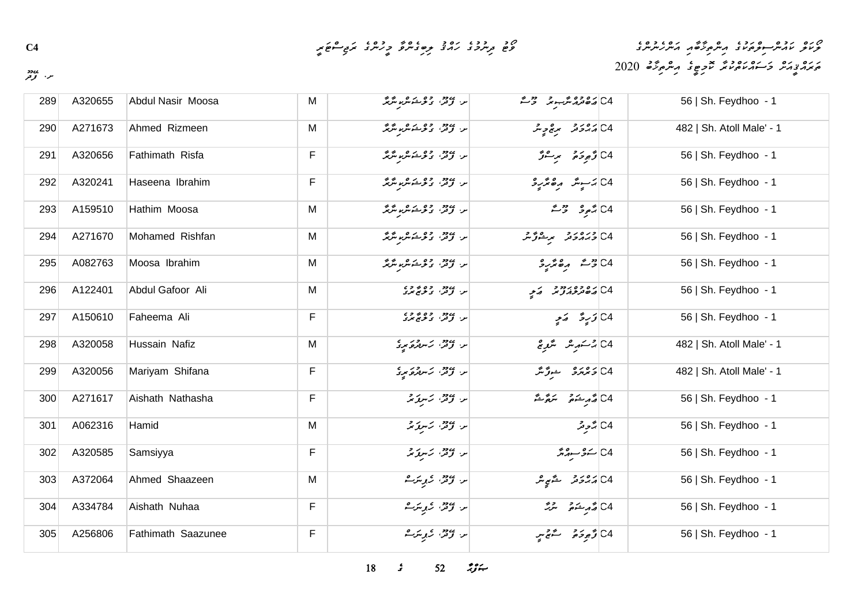*sCw7q7s5w7m< o<n9nOoAw7o< sCq;mAwBoEw7q<m; wBm;vB* م من المرة المرة المرة المرجع المرجع المرجع في 2020<br>مجم*د المريض المرجع المرجع المرجع المرجع المراجع المراجع الم*رجع

| 289 | A320655 | Abdul Nasir Moosa  | M           | ىن كۆش كەھمىتىرىن ئىگە                                                                                                                                                                                                             | C4 مەھەرمەشبەتر ت <sup>و</sup> ش                         | 56   Sh. Feydhoo - 1      |
|-----|---------|--------------------|-------------|------------------------------------------------------------------------------------------------------------------------------------------------------------------------------------------------------------------------------------|----------------------------------------------------------|---------------------------|
| 290 | A271673 | Ahmed Rizmeen      | M           | ىر. ئۇنىر، بۇقۇشكەن ئۇنگە                                                                                                                                                                                                          | C4   كەبرى كۆر بىر <i>يى ج</i> ويىر                      | 482   Sh. Atoll Male' - 1 |
| 291 | A320656 | Fathimath Risfa    | $\mathsf F$ | ىن كۆمەر دەندىكەتلەشگە                                                                                                                                                                                                             | C4 تۇم <sub>ۇ</sub> خۇ مې <sup>ش</sup> ىر                | 56   Sh. Feydhoo - 1      |
| 292 | A320241 | Haseena Ibrahim    | $\mathsf F$ | لىن ئۈچى ئۈچكەنگرىدىنگەنگەنگە                                                                                                                                                                                                      | C4 ئەسپى <i>گە مەھەتگە</i> يى                            | 56   Sh. Feydhoo - 1      |
| 293 | A159510 | Hathim Moosa       | M           |                                                                                                                                                                                                                                    | $\mathcal{L}$ گرمو 3 گرنگر C4                            | 56   Sh. Feydhoo - 1      |
| 294 | A271670 | Mohamed Rishfan    | M           | ىن كۆمەر دەندىكەتلەشگە                                                                                                                                                                                                             | C4 <i>32025 برخوش</i> ر                                  | 56   Sh. Feydhoo - 1      |
| 295 | A082763 | Moosa Ibrahim      | M           | ىر. ئەقتى، ئەبۇجەشرىيەنترىگە                                                                                                                                                                                                       | C4 جيءُ م <i>ن مُ</i> ئير مُح                            | 56   Sh. Feydhoo - 1      |
| 296 | A122401 | Abdul Gafoor Ali   | M           | ر دی دو وه بود و د<br>در کوتعر، از موسع مرد                                                                                                                                                                                        | 04] ره وه دود و<br>24] مەھىر بىر مەم                     | 56   Sh. Feydhoo - 1      |
| 297 | A150610 | Faheema Ali        | F           | د ده ده ده ده ده.<br>د کرفر د مربع برد                                                                                                                                                                                             | C4 تۇر <sub>ى</sub> ق م <i>ەي</i>                        | 56   Sh. Feydhoo - 1      |
| 298 | A320058 | Hussain Nafiz      | M           | ا د از دور از برابر د د برابر د د استان برابر د استان برابر د استان برابر د استان برابر د استان برابر د استان<br>مسائل برابر د استان برابر د استان برابر د استان برابر د استان برابر د استان برابر د استان برابر د استان برابر<br> | C4 بر سَمبر بشَر مُتَّدَبِيحَ                            | 482   Sh. Atoll Male' - 1 |
| 299 | A320056 | Mariyam Shifana    | F           | ىن كەدەر كەس بىرى بىرى                                                                                                                                                                                                             | C4 كۆچر <i>ى ئىبۇ</i> ئىر                                | 482   Sh. Atoll Male' - 1 |
| 300 | A271617 | Aishath Nathasha   | F           | ىن كۆتى، كەنبەرگە                                                                                                                                                                                                                  | C4 مُمْ مِسْمَعْ مَمْ مَشْرَ                             | 56   Sh. Feydhoo - 1      |
| 301 | A062316 | Hamid              | M           | ىن كۆتى، كەندىكى                                                                                                                                                                                                                   | C4 گەجەتمە                                               | 56   Sh. Feydhoo - 1      |
| 302 | A320585 | Samsiyya           | $\mathsf F$ | ىن كۆتى، كەنبەرگە                                                                                                                                                                                                                  | $\mathcal{Z}^o \rightarrow \mathcal{Z}^o \rightarrow C4$ | 56   Sh. Feydhoo - 1      |
| 303 | A372064 | Ahmed Shaazeen     | M           | یں نخص کے پر مگرک                                                                                                                                                                                                                  | C4 كەبر <i>و بىر</i> ئىگەنىچە ئىر                        | 56   Sh. Feydhoo - 1      |
| 304 | A334784 | Aishath Nuhaa      | F           | یں توفرا کے پر مگر کے                                                                                                                                                                                                              | C4 مەم شىرقە ئىرگ                                        | 56   Sh. Feydhoo - 1      |
| 305 | A256806 | Fathimath Saazunee | F           | ىر. ئۇنىڭ كەيەتكەش                                                                                                                                                                                                                 | C4 تۇ <sub>جو</sub> خۇ مەمتىم بېر                        | 56   Sh. Feydhoo - 1      |

 $18$  *s* 52  $25$ 

*roce*<br>مر. توق*م*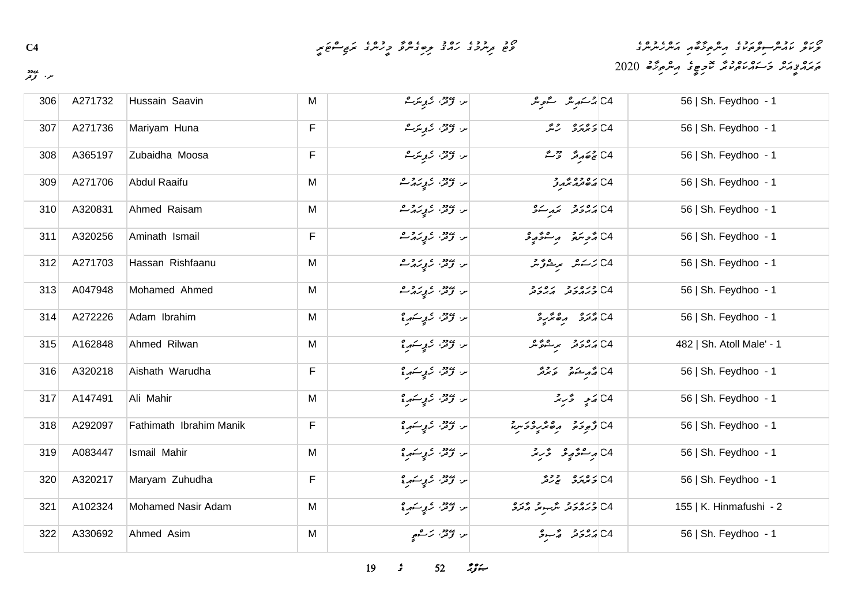*sCw7q7s5w7m< o<n9nOoAw7o< sCq;mAwBoEw7q<m; wBm;vB* م من المرة المرة المرة المرجع المرجع المرجع في 2020<br>مجم*د المريض المرجع المرجع المرجع المرجع المراجع المراجع الم*رجع

| 306 | A271732 | Hussain Saavin          | M           | ىر. ئۇنتر، ئەبەتترىشە          | C4 پرستمبر شر مستمویٹر                      | 56   Sh. Feydhoo - 1      |
|-----|---------|-------------------------|-------------|--------------------------------|---------------------------------------------|---------------------------|
| 307 | A271736 | Mariyam Huna            | F           | ىر، ئۇقرا، ئەيەتتەش            | C4 كەبەر 2 مىگە                             | 56   Sh. Feydhoo - 1      |
| 308 | A365197 | Zubaidha Moosa          | $\mathsf F$ | ىر. ئۇنىڭ كەيەتكەش             | $23$ $200$ $200$ $20$ $20$                  | 56   Sh. Feydhoo - 1      |
| 309 | A271706 | Abdul Raaifu            | M           | ىر. ئۇنق ئورىدىك               | C4 مەھىرمەتمەرتى                            | 56   Sh. Feydhoo - 1      |
| 310 | A320831 | Ahmed Raisam            | M           | ىر. ئۇقرا ش <sub>ە</sub> رىر ھ | C4 <i>مەدى مەسكى</i>                        | 56   Sh. Feydhoo - 1      |
| 311 | A320256 | Aminath Ismail          | $\mathsf F$ | ىر. ئۇقرا ش <sub>ە</sub> رىر ھ | C4 مُجِسَمَةٌ مِسْتَخْمِيثُرُ               | 56   Sh. Feydhoo - 1      |
| 312 | A271703 | Hassan Rishfaanu        | M           | ىر. ئۇنىز، ئەرىرىمىت           | C4 ئەسەھر بىرىش <i>ەۋ</i> تىر               | 56   Sh. Feydhoo - 1      |
| 313 | A047948 | Mohamed Ahmed           | M           | ىر. ئۇنق ئورىدىك               | 0.2222220                                   | 56   Sh. Feydhoo - 1      |
| 314 | A272226 | Adam Ibrahim            | M           | ىر، ئۇنىڭ شەرىسىدە ؟           | C4 مُتَعَرَّدُ مِنْ مُحَمَّدِةِ             | 56   Sh. Feydhoo - 1      |
| 315 | A162848 | Ahmed Rilwan            | M           | ىن ئۇنتۇ، شەرىخەر ج            | C4 <i>م برجو موسوم مر</i>                   | 482   Sh. Atoll Male' - 1 |
| 316 | A320218 | Aishath Warudha         | $\mathsf F$ | ىن ئۇنتر، ئەيرىسىمە ؟          | C4 مەم ئىقىم ھەمدىگر                        | 56   Sh. Feydhoo - 1      |
| 317 | A147491 | Ali Mahir               | M           | ىن ئۇنىڭ كەيپەسىمە ؟           | C4 كەمچە گەرى <i>گ</i> ە                    | 56   Sh. Feydhoo - 1      |
| 318 | A292097 | Fathimath Ibrahim Manik | $\mathsf F$ | یں نہیں کے پیکھرنا             | C4 توجو مەھەر دەرىر                         | 56   Sh. Feydhoo - 1      |
| 319 | A083447 | Ismail Mahir            | M           | ىر، ئۇقرا رىم يەسىم ئا         | C4 م <sup>ەش</sup> ۇم بۇ ئ <sup>ې</sup> رىز | 56   Sh. Feydhoo - 1      |
| 320 | A320217 | Maryam Zuhudha          | F           | ىن ئۇنىڭ كەيمەسكەنى ئا         | C4 كەبەر قارقە                              | 56   Sh. Feydhoo - 1      |
| 321 | A102324 | Mohamed Nasir Adam      | M           | من توفر، كروسكير هي            | C4 <i>دېمم</i> وتر نگرېنځ م <i>گرو</i>      | 155   K. Hinmafushi - 2   |
| 322 | A330692 | Ahmed Asim              | M           | ىن ئۇقر، ئەسھىي                | C4  كەبرى قىلى قەسبوقى                      | 56   Sh. Feydhoo - 1      |

*19 s* 52 *i*<sub>S</sub> $\approx$ 

*roce*<br>مر. توق*م*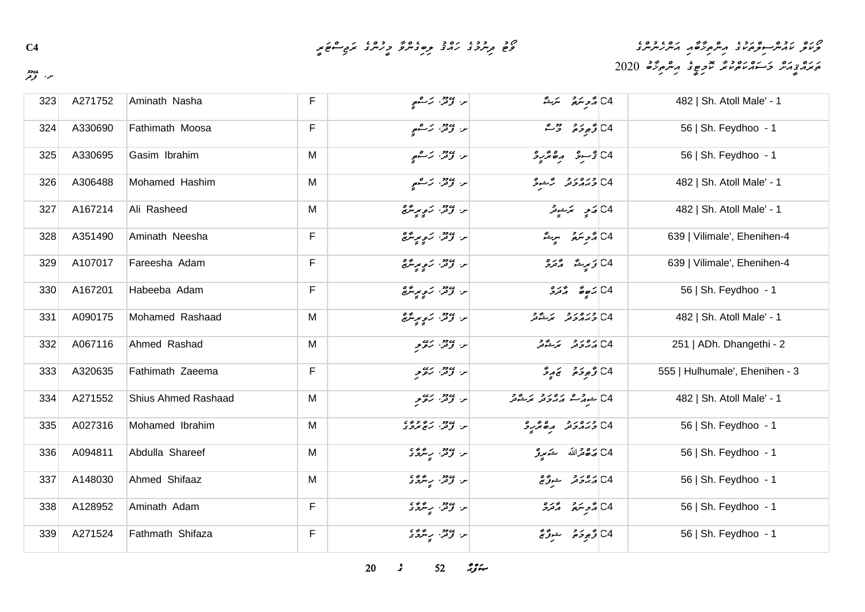*sCw7q7s5w7m< o<n9nOoAw7o< sCq;mAwBoEw7q<m; wBm;vB* م من المرة المرة المرة المرجع المرجع المرجع في 2020<br>مجم*د المريض المرجع المرجع المرجع المرجع المراجع المراجع الم*رجع

| 323 | A271752 | Aminath Nasha              | $\mathsf F$ | ىر. ئۇقرا كەسمە        | C4 مُتَّحِسَمَةً سَرْشَةً         | 482   Sh. Atoll Male' - 1      |
|-----|---------|----------------------------|-------------|------------------------|-----------------------------------|--------------------------------|
| 324 | A330690 | Fathimath Moosa            | F           | بر وسيج ترک مشهج       | C4 وَجِعَة وَمَسَّمَّ             | 56   Sh. Feydhoo - 1           |
| 325 | A330695 | Gasim Ibrahim              | M           | ىر. ئۇنىر، كەسىم       | C4 تَخْسِرْ مِنْ مِنْ مِنْ مِنْ   | 56   Sh. Feydhoo - 1           |
| 326 | A306488 | Mohamed Hashim             | M           | بر پیچر، ترکھیج        | C4 <i>جەنگە جى جى</i> سو          | 482   Sh. Atoll Male' - 1      |
| 327 | A167214 | Ali Rasheed                | M           | ىر. ئەدەر كەيدىتىنى    | C4 كەمچە كەشى <i>يەت</i> ر        | 482   Sh. Atoll Male' - 1      |
| 328 | A351490 | Aminath Neesha             | F           | ىر: ئۇقرا كەھ بېرىترى  | C4 مُرْحِسَمُ مِنْ سِيْسُمُ       | 639   Vilimale', Ehenihen-4    |
| 329 | A107017 | Fareesha Adam              | F           | ىر: ئۇقرا كەھ بېرىترى  | C4 كۆمپىشى مەترى                  | 639   Vilimale', Ehenihen-4    |
| 330 | A167201 | Habeeba Adam               | F           | ما يوفر، سكوم مريترج   | C4 يَهِ صَبَّ مُحَمَّد            | 56   Sh. Feydhoo - 1           |
| 331 | A090175 | Mohamed Rashaad            | M           | ىر: ئۇقرا كەھ بېرىتىنى | C4 <i>32823 مَنْ شَعْقُ</i>       | 482   Sh. Atoll Male' - 1      |
| 332 | A067116 | Ahmed Rashad               | M           | ىن ئەقتى كەنتى ب       | C4 كەبروتىر كىرىشى قىر            | 251   ADh. Dhangethi - 2       |
| 333 | A320635 | Fathimath Zaeema           | $\mathsf F$ | ىن ئەقتى كەنتى بىر     | C4 وَج <i>وحَمْ</i> يَمَ مِرْحً   | 555   Hulhumale', Ehenihen - 3 |
| 334 | A271552 | <b>Shius Ahmed Rashaad</b> | M           | ىر. ئۇقرا رىمۇم        | C4 خەرجى كەبرو بىر ئەتەتر         | 482   Sh. Atoll Male' - 1      |
| 335 | A027316 | Mohamed Ibrahim            | M           | ىن ئەدەر كەنتى بولۇرى  | C4 ديروبر مقترب                   | 56   Sh. Feydhoo - 1           |
| 336 | A094811 | Abdulla Shareef            | M           | ىر. ئەدەب بەشگەن       | C4 كەھەراللە خەمب <i>وت</i>       | 56   Sh. Feydhoo - 1           |
| 337 | A148030 | Ahmed Shifaaz              | M           | پر نومی په پرچ         | C4 كەندى كىلى ئىسىرتى تى          | 56   Sh. Feydhoo - 1           |
| 338 | A128952 | Aminath Adam               | $\mathsf F$ | ین وژه په پروه         | C4 مُجرِسَع <sub>ة</sub> مُعَرَّد | 56   Sh. Feydhoo - 1           |
| 339 | A271524 | Fathmath Shifaza           | F           | ىر. ئۇنىڭ بەيترى ئ     | C4 تَ <i>جوحَمَّة</i> مُسِتَرَجَّ | 56   Sh. Feydhoo - 1           |

 $20$  *s* 52 *n***<sub>3</sub>** *n***<sub>3</sub>** *n***<sub>1</sub>**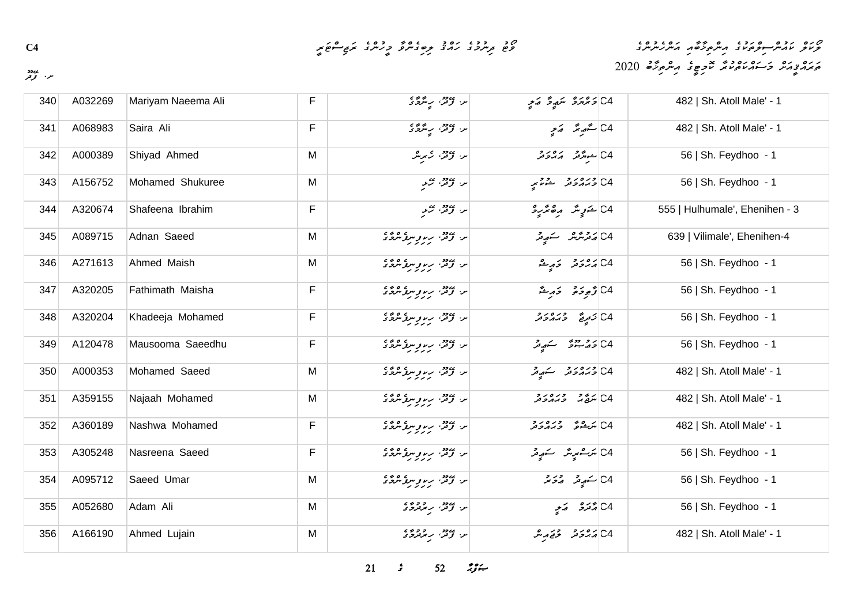*sCw7q7s5w7m< o<n9nOoAw7o< sCq;mAwBoEw7q<m; wBm;vB* م من المرة المرة المرة المرجع المرجع المرجع في 2020<br>مجم*د المريض المرجع المرجع المرجع المرجع المراجع المراجع الم*رجع

| 340 | A032269 | Mariyam Naeema Ali | F | ما پہنچ کا سرچ کا                                                 | C4 كانترىكى مەرگە كەير                        | 482   Sh. Atoll Male' - 1      |
|-----|---------|--------------------|---|-------------------------------------------------------------------|-----------------------------------------------|--------------------------------|
| 341 | A068983 | Saira Ali          | F | ما په دوه په مرکزی                                                | C4 شەپتى <sub>ق</sub> مَعٍ                    | 482   Sh. Atoll Male' - 1      |
| 342 | A000389 | Shiyad Ahmed       | M | ىر. ئۇقرا كەيدىگ                                                  | C4 شوپژمر كەبرىتى كىل                         | 56   Sh. Feydhoo - 1           |
| 343 | A156752 | Mohamed Shukuree   | M | ىر. ئەدەب بىر                                                     | C4 <i>2282 مقام</i> ر                         | 56   Sh. Feydhoo - 1           |
| 344 | A320674 | Shafeena Ibrahim   | F | مز کوفر، محی                                                      | C4 خورٍ شَر مِرصَ <i>مَّرْبِ</i> \$           | 555   Hulhumale', Ehenihen - 3 |
| 345 | A089715 | Adnan Saeed        | M | پارسی در محصول مورد کارویدی<br>  پارسی کوه مورد مورد مورد کارویدی | C4 كەنترىترىتر سەم <sub>و</sub> نتر           | 639   Vilimale', Ehenihen-4    |
| 346 | A271613 | Ahmed Maish        | M | ئۈچەر سىرىسىدىكە ئەنج                                             | C4 <i>مَدْدَقر</i> دَرِيْد                    | 56   Sh. Feydhoo - 1           |
| 347 | A320205 | Fathimath Maisha   | F | ئۈچى سەرسۇمۇمۇ                                                    | C4 تَ <i>وْجِوْحَةْ</i> حَ <sub>مِ</sub> سَةَ | 56   Sh. Feydhoo - 1           |
| 348 | A320204 | Khadeeja Mohamed   | F | پر پیچو ریزویدگی مرکز                                             | C4 زَمرِيحَ     دَبَرُ دَوترَ                 | 56   Sh. Feydhoo - 1           |
| 349 | A120478 | Mausooma Saeedhu   | F | پر پیچ رسوسرو مرکز مرکز د                                         | C4 <i>جەمبىرى سۈمدى</i> ر                     | 56   Sh. Feydhoo - 1           |
| 350 | A000353 | Mohamed Saeed      | M | ىر. ئۇقتۇر سىرىسىدىكىنى ئە                                        | C4 <i>\$222 سَنْ مِي</i> قْر                  | 482   Sh. Atoll Male' - 1      |
| 351 | A359155 | Najaah Mohamed     | M | ىن ئەدەر سەرسۇمدە ئ                                               | C4 يَرْدُجُ بِهِ 1995 مَ                      | 482   Sh. Atoll Male' - 1      |
| 352 | A360189 | Nashwa Mohamed     | F | پر پیچ رسوسرو مرکز مرکز د                                         | C4 سَرْشْوَّ ويُرْمُرْ قر                     | 482   Sh. Atoll Male' - 1      |
| 353 | A305248 | Nasreena Saeed     | F | ئۈچەر سىرىسىدىكە ئەنج                                             | C4 ىزر_مېرىنز سى <i>مې</i> تر                 | 56   Sh. Feydhoo - 1           |
| 354 | A095712 | Saeed Umar         | M | ىن ئۇقتا سىروسۇمىدۇ ئ                                             | C4 ڪوپير ۾ <i>جي جي</i>                       | 56   Sh. Feydhoo - 1           |
| 355 | A052680 | Adam Ali           | M | ر، عصود العروج مع المعروج بي<br>المواضح في المعروج المحمد         | C4 جۇنى ھ <i>ەي</i> ج                         | 56   Sh. Feydhoo - 1           |
| 356 | A166190 | Ahmed Lujain       | M | ىن كۆتۈ، سەتەرەپى                                                 | C4   كەبرى قىرىگى ئىسى ئىسى ئىسى ئىسى ئىسى ئ  | 482   Sh. Atoll Male' - 1      |

 $21$  *s* 52  $294$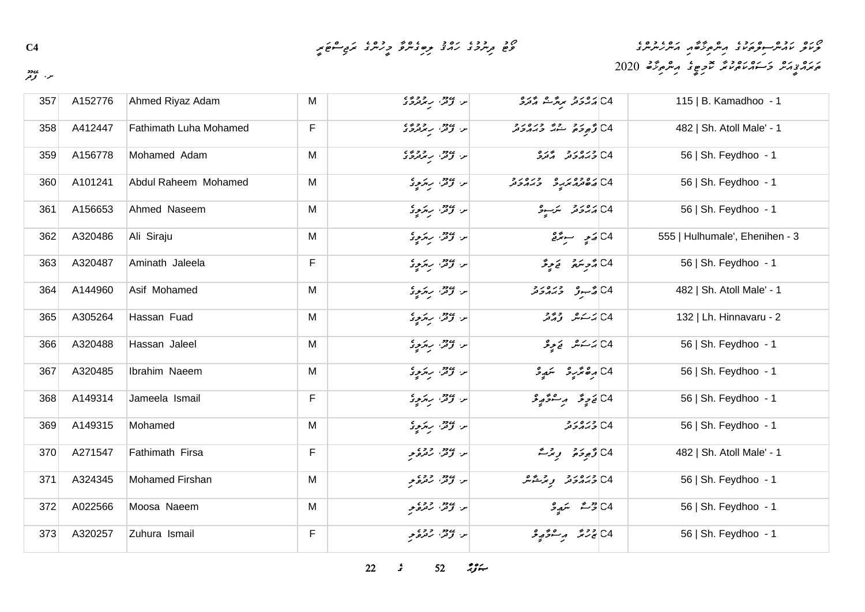*sCw7q7s5w7m< o<n9nOoAw7o< sCq;mAwBoEw7q<m; wBm;vB* م من المرة المرة المرة المرجع المرجع المرجع في 2020<br>مجم*د المريض المرجع المرجع المرجع المرجع المراجع المراجع الم*رجع

| 357 | A152776 | Ahmed Riyaz Adam              | M         | ر په دو رووو په          | C4 كەبردىر بەبۇر مەمرى                                                                                              | 115   B. Kamadhoo - 1          |
|-----|---------|-------------------------------|-----------|--------------------------|---------------------------------------------------------------------------------------------------------------------|--------------------------------|
| 358 | A412447 | <b>Fathimath Luha Mohamed</b> | F         | ر میود. ریژوی            | C4 تُهِ وَمَعْ سَنَدُ وَيَرْمُ وَمَنْ                                                                               | 482   Sh. Atoll Male' - 1      |
| 359 | A156778 | Mohamed Adam                  | M         | ر په دو رووو په          | C4 <i>32923</i> محمدہ                                                                                               | 56   Sh. Feydhoo - 1           |
| 360 | A101241 | Abdul Raheem Mohamed          | M         | بر پیود به پروی          | C4 كەھەركە بول دىرە دەر د                                                                                           | 56   Sh. Feydhoo - 1           |
| 361 | A156653 | Ahmed Naseem                  | M         | من نؤتش سر ترجيحه        | C4 <i>مەندى مىشبى</i> ئىستىدى بىر ئىستىدى بىر ئىستىدى بىر ئىستىدى ئىستىدى بىر ئىستىدىكى بىر ئىستىدىن كىش بىر ئىستىد | 56   Sh. Feydhoo - 1           |
| 362 | A320486 | Ali Siraju                    | M         | من نؤتين سر مرموري       | C4 <i>مَنْجِ سِعَنَّةِ</i>                                                                                          | 555   Hulhumale', Ehenihen - 3 |
| 363 | A320487 | Aminath Jaleela               | F         | س تؤثث سائر مربح         | C4 مُرْحِسَمُ مَعَ يَحِرُّدُ                                                                                        | 56   Sh. Feydhoo - 1           |
| 364 | A144960 | Asif Mohamed                  | M         | بر وسيج ريزون            | C4 مەسبۇ <i>25مەدىر</i>                                                                                             | 482   Sh. Atoll Male' - 1      |
| 365 | A305264 | Hassan Fuad                   | M         | من نؤفر، سر مرمو پر      | C4 ئەسەنىشە بۇرگەنتر                                                                                                | 132   Lh. Hinnavaru - 2        |
| 366 | A320488 | Hassan Jaleel                 | M         | بر وسيج ريزون            | C4   پرسترس نے م <sub>ح</sub> وث                                                                                    | 56   Sh. Feydhoo - 1           |
| 367 | A320485 | Ibrahim Naeem                 | M         | بر وسيج من سر بريد و سيم | C4 مەھ <i>ئۇي</i> ئاسىم يىتقىدى                                                                                     | 56   Sh. Feydhoo - 1           |
| 368 | A149314 | Jameela Ismail                | F         | مزاوَّقْرُ، سِهْرَمْزِهِ | C4 ق <sub>َ</sub> حِرِ حَمَّ مِسْحَم <i>ِي</i> وْ                                                                   | 56   Sh. Feydhoo - 1           |
| 369 | A149315 | Mohamed                       | M         | بر وسيج مريد بركريد و بر | $559.5$ C4                                                                                                          | 56   Sh. Feydhoo - 1           |
| 370 | A271547 | Fathimath Firsa               | F         | ىر. ئەن رودى بە          | C4 تۇموخۇ بولىمى <sup>م</sup>                                                                                       | 482   Sh. Atoll Male' - 1      |
| 371 | A324345 | <b>Mohamed Firshan</b>        | M         | من تؤثير، رحمو عبر       | C4 <i>32825 ويرتم</i> شر                                                                                            | 56   Sh. Feydhoo - 1           |
| 372 | A022566 | Moosa Naeem                   | ${\sf M}$ | بر ہیں جوتی ہے           | $3.45$ $\approx$ $3^{\circ}$ C4                                                                                     | 56   Sh. Feydhoo - 1           |
| 373 | A320257 | Zuhura Ismail                 | F         | ىر. ئەن رودى بە          | C4 ىج <sup>3</sup> بىر مەمۇر بو                                                                                     | 56   Sh. Feydhoo - 1           |

 $22$  *s* 52  $25$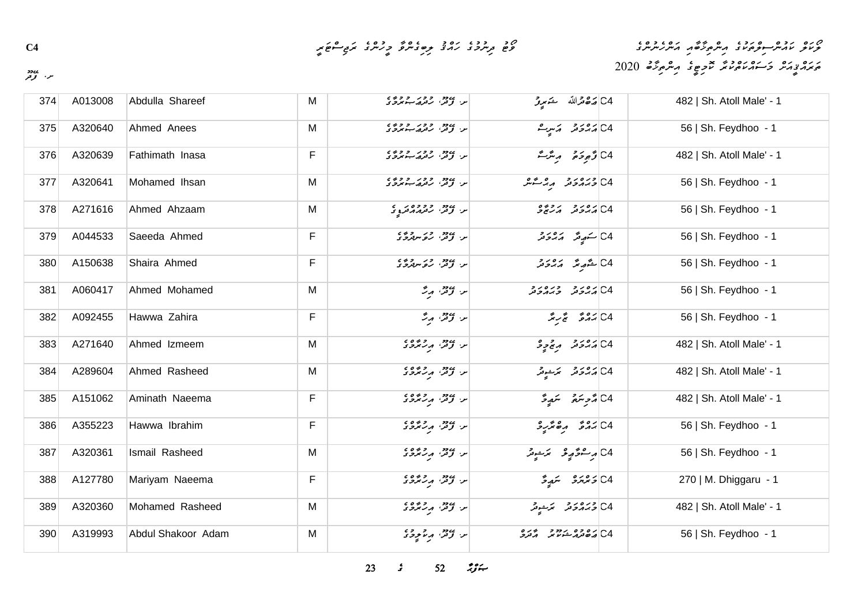*sCw7q7s5w7m< o<n9nOoAw7o< sCq;mAwBoEw7q<m; wBm;vB* م من المرة المرة المرة المرجع المرجع المرجع في 2020<br>مجم*د المريض المرجع المرجع المرجع المرجع المراجع المراجع الم*رجع

| 374 | A013008 | Abdulla Shareef    | M | ر، بیروز و و ده به<br>در کوتر، رتور سوپرو ی     | C4 مَەھْرَاللە خەمب <i>وقى</i>                                                                                | 482   Sh. Atoll Male' - 1 |
|-----|---------|--------------------|---|-------------------------------------------------|---------------------------------------------------------------------------------------------------------------|---------------------------|
| 375 | A320640 | Ahmed Anees        | M | מים בכן בכנים<br>תי צטי העג <del>י ה</del> ינדע | C4 كەبرى كىلى كەسىرىسى بىر                                                                                    | 56   Sh. Feydhoo - 1      |
| 376 | A320639 | Fathimath Inasa    | F |                                                 | C4 ۇ <sub>جو</sub> رَة مەش <sup>ت</sup> ە                                                                     | 482   Sh. Atoll Male' - 1 |
| 377 | A320641 | Mohamed Ihsan      | M | ر. ۲۶۵ - ۶۶۶ - ۶۶۶۶<br>در کوتر، رتور به بروی    | C4 <i>جەممىتى مەشتىر</i>                                                                                      | 56   Sh. Feydhoo - 1      |
| 378 | A271616 | Ahmed Ahzaam       | M | ر به دو دوه در پای                              | $55.25$ $22.5$ $C4$                                                                                           | 56   Sh. Feydhoo - 1      |
| 379 | A044533 | Saeeda Ahmed       | F | ىن بەدە. 22 سەردى.<br>س كۆتى، شەكىس بىرى ئ      | C4 سَم <i>هِ مَدْ مَدَوْمَ</i> ر                                                                              | 56   Sh. Feydhoo - 1      |
| 380 | A150638 | Shaira Ahmed       | F | ىن كۆمى قرىر ھەم ئ                              | C4 ش <i>ۇم ئۇ مەدە</i> تر                                                                                     | 56   Sh. Feydhoo - 1      |
| 381 | A060417 | Ahmed Mohamed      | M | مز کوتش اور ش                                   | C4 كەبرو دىرەرو                                                                                               | 56   Sh. Feydhoo - 1      |
| 382 | A092455 | Hawwa Zahira       | F | مزامج قرش الرقم                                 | C4 ئەممى ئىقى بىر                                                                                             | 56   Sh. Feydhoo - 1      |
| 383 | A271640 | Ahmed Izmeem       | M | ین نومبر مرکز ده د                              | C4 <i>مُدْدَ</i> مْ مِعْجِدْ                                                                                  | 482   Sh. Atoll Male' - 1 |
| 384 | A289604 | Ahmed Rasheed      | M | بر به دو برگردی                                 | C4 كەبرى قىر سىر ئىرىدىش                                                                                      | 482   Sh. Atoll Male' - 1 |
| 385 | A151062 | Aminath Naeema     | F | بر نصور مرتزوده                                 | C4 مُجِسَمَةٌ سَمِيرَةٌ                                                                                       | 482   Sh. Atoll Male' - 1 |
| 386 | A355223 | Hawwa Ibrahim      | F | بر به دو برگردی                                 | C4 <i>بَهُمَّة مِعْتَّرِدْ</i>                                                                                | 56   Sh. Feydhoo - 1      |
| 387 | A320361 | Ismail Rasheed     | M | بر بیرود برگروی                                 | C4 مرڪو <i>گوري ترجي</i> مر                                                                                   | 56   Sh. Feydhoo - 1      |
| 388 | A127780 | Mariyam Naeema     | F | بر بیرود برگروی                                 | C4 كەمگە ئىگە ئىككىنى ئىككىنى ئىككىن ئىككىن ئىككىن ئىككىن ئىككىن ئىككىن ئىككىن ئىككىن ئىككىن ئىككىن ئىككىن ئى | 270   M. Dhiggaru - 1     |
| 389 | A320360 | Mohamed Rasheed    | M | بر به دو برگردی                                 | C4 <i>وُبَهُ دُو دُ</i> سَمَسِوِمُرُ                                                                          | 482   Sh. Atoll Male' - 1 |
| 390 | A319993 | Abdul Shakoor Adam | M | بر ژند، ما دور                                  | C4ھ تره دوم دوم دره                                                                                           | 56   Sh. Feydhoo - 1      |

 $23$  *s*  $52$  *n***<sub>3</sub>** *n***<sub>3</sub>**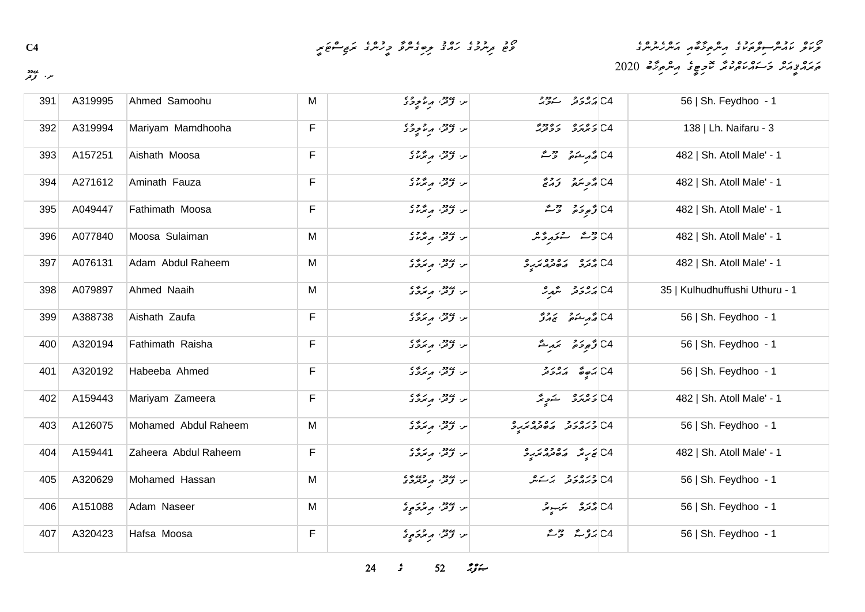*sCw7q7s5w7m< o<n9nOoAw7o< sCq;mAwBoEw7q<m; wBm;vB* م من المرة المرة المرة المرجع المرجع المرجع في 2020<br>مجم*د المريض المرجع المرجع المرجع المرجع المراجع المراجع الم*رجع

| 391 | A319995 | Ahmed Samoohu        | M | ین ژبی مانگروی                               | $232 - 222$ C4                           | 56   Sh. Feydhoo - 1           |
|-----|---------|----------------------|---|----------------------------------------------|------------------------------------------|--------------------------------|
| 392 | A319994 | Mariyam Mamdhooha    | F | ین ژبی مانگروی                               | C4 كرمره رودو                            | 138   Lh. Naifaru - 3          |
| 393 | A157251 | Aishath Moosa        | F | یں بھی پہ بڑے ہ                              | C4 مەم شەھرە تۆگ                         | 482   Sh. Atoll Male' - 1      |
| 394 | A271612 | Aminath Fauza        | F | یں بھی پہ بڑے ہ                              | C4 مُجِسَع دَمَّتَى                      | 482   Sh. Atoll Male' - 1      |
| 395 | A049447 | Fathimath Moosa      | F | مز: حج جو م مرکز و د<br>مز: حج قراء مرکز و د | C4 تۇ <sub>جو</sub> خەر ج <sup>ەمم</sup> | 482   Sh. Atoll Male' - 1      |
| 396 | A077840 | Moosa Sulaiman       | M | یں بھی پر بڑے۔                               | 4.C4 شى <i>مۇم</i> ۇنىر                  | 482   Sh. Atoll Male' - 1      |
| 397 | A076131 | Adam Abdul Raheem    | M | ین نوفز، منظری                               | C4 جُوَدُ مُصْرِمْ مَرْبِرِدْ            | 482   Sh. Atoll Male' - 1      |
| 398 | A079897 | Ahmed Naaih          | M | ین نوفز، بربروی                              | C4 كەندى قىدى                            | 35   Kulhudhuffushi Uthuru - 1 |
| 399 | A388738 | Aishath Zaufa        | F | یں نہیں پہنچی                                | C4 مەم شىم ئىم ئى                        | 56   Sh. Feydhoo - 1           |
| 400 | A320194 | Fathimath Raisha     | F | ین نوفز، بربروی                              | C4 تُرجوحَة تَمَدِيثَةً                  | 56   Sh. Feydhoo - 1           |
| 401 | A320192 | Habeeba Ahmed        | F | ین نوفز، بربروی                              | C4 بَصِرَةً مَ <sup>رو</sup> د           | 56   Sh. Feydhoo - 1           |
| 402 | A159443 | Mariyam Zameera      | F | ین نوفر، بر بروی                             | C4 <i>5 جروري ڪوچر</i>                   | 482   Sh. Atoll Male' - 1      |
| 403 | A126075 | Mohamed Abdul Raheem | M | ین نوفز، پرسره پر                            | C4 درورو روووريرو                        | 56   Sh. Feydhoo - 1           |
| 404 | A159441 | Zaheera Abdul Raheem | F | من نوفر، و بروی                              | C4 يَحرِ بَرٌ مَصْعَمْ مَعَ بِرِ حَ      | 482   Sh. Atoll Male' - 1      |
| 405 | A320629 | Mohamed Hassan       | M | مز کوتر، برمزترو تا<br>مز کوتر، برمزترو ت    | C4 <i>32823</i> برسكس                    | 56   Sh. Feydhoo - 1           |
| 406 | A151088 | Adam Naseer          | M | ر و ود مرکز ک                                | C4 مُرْمَرْدْ مَرْسِوِمْرْ               | 56   Sh. Feydhoo - 1           |
| 407 | A320423 | Hafsa Moosa          | F | ىر. ئۇنتۇ، مەيردە ي                          | $23$ $29$ $20$                           | 56   Sh. Feydhoo - 1           |

 $24$  *s* 52  $294$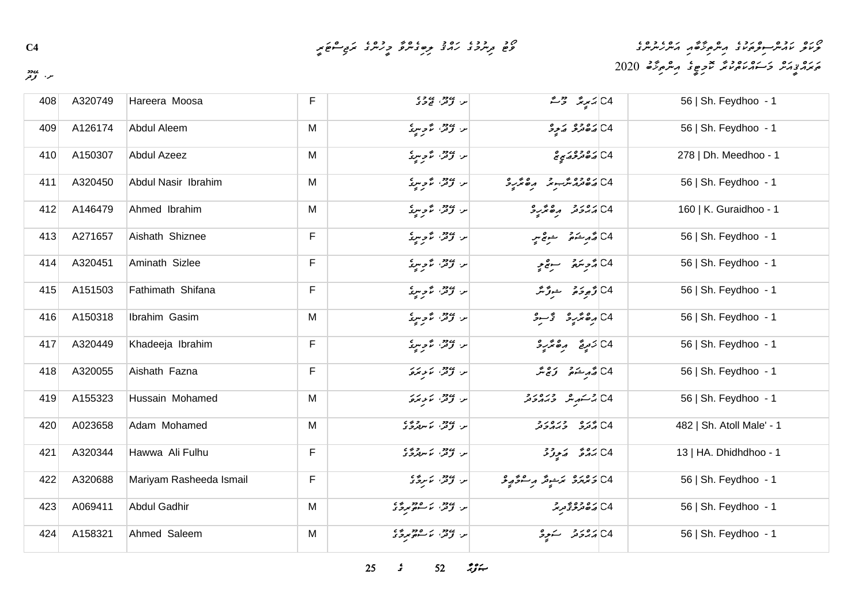*sCw7q7s5w7m< o<n9nOoAw7o< sCq;mAwBoEw7q<m; wBm;vB* م من المرة المرة المرة المرجع المرجع المرجع في 2020<br>مجم*د المريض المرجع المرجع المرجع المرجع المراجع المراجع الم*رجع

| 408 | A320749 | Hareera Moosa           | F            | ر به دود.<br>در کوتر، قع حر ی  | C4 برمبر محر شد من                     | 56   Sh. Feydhoo - 1      |
|-----|---------|-------------------------|--------------|--------------------------------|----------------------------------------|---------------------------|
| 409 | A126174 | Abdul Aleem             | M            | ىر. ئۇقرا مۇج ئىرىگە           | C4 كەھەرى كەرە                         | 56   Sh. Feydhoo - 1      |
| 410 | A150307 | Abdul Azeez             | M            | بر، پیچ مگر سره                | C4 مەھىر <i>خەرى يى</i>                | 278   Dh. Meedhoo - 1     |
| 411 | A320450 | Abdul Nasir Ibrahim     | M            | بر. پیچ مگر سره                | C4 مەھىرمەشبەتر مەھترىرى               | 56   Sh. Feydhoo - 1      |
| 412 | A146479 | Ahmed Ibrahim           | M            | بر، پیچر، مڈجامیڈ              | C4 <i>مُحدَّد م</i> ِ <i>مُحَبِّدِ</i> | 160   K. Guraidhoo - 1    |
| 413 | A271657 | Aishath Shiznee         | F            | بر، پیچر، مڈجامیڈ              | C4 م <i>ەرىشكەتى</i> ھەرتتى بىر        | 56   Sh. Feydhoo - 1      |
| 414 | A320451 | Aminath Sizlee          | F            | بر. پیچ مگویدهٔ                | C4 مُرْحِبَتَهُمْ مُسِبَحْرِ بِ        | 56   Sh. Feydhoo - 1      |
| 415 | A151503 | Fathimath Shifana       | F            | بر، پیچز، مڈجامیڈ              | C4 وَّجِعَةً سِوَّتَّرَ                | 56   Sh. Feydhoo - 1      |
| 416 | A150318 | Ibrahim Gasim           | M            | بر. پیچ مگر سره                | C4 مەھەر بۇ تۇسىۋ                      | 56   Sh. Feydhoo - 1      |
| 417 | A320449 | Khadeeja Ibrahim        | F            | بر، پیچر، مڈجامیڈ              | C4 كَتَعِيقٌ مِنْ صُغَّرِيْتُرَ        | 56   Sh. Feydhoo - 1      |
| 418 | A320055 | Aishath Fazna           | F            | بن ہیں تمویزی                  | C4 مەم ئىشقىق ئونجى ئىگە               | 56   Sh. Feydhoo - 1      |
| 419 | A155323 | Hussain Mohamed         | M            | من من بيج من من من من من من من | C4 يُرَ مَدِينَ حَ يَدَ مَرَ وَ يَهْ   | 56   Sh. Feydhoo - 1      |
| 420 | A023658 | Adam Mohamed            | M            | ىن ئەدەب كەس دەپ               | C4 كەندە مەدەمەد                       | 482   Sh. Atoll Male' - 1 |
| 421 | A320344 | Hawwa Ali Fulhu         | F            | ىن تەدەبەت ئەس <i>ەرەت</i>     | C4 بَرْدُوَّ <sub>م</sub> َجِوَزْ      | 13   HA. Dhidhdhoo - 1    |
| 422 | A320688 | Mariyam Rasheeda Ismail | F            | اللاستحقر المكرومى             | C4 كەنگەر ئەسىمە ئەرسىم ئەربى          | 56   Sh. Feydhoo - 1      |
| 423 | A069411 | Abdul Gadhir            | $\mathsf{M}$ |                                | C4 كەھ تىرى تۈرىر                      | 56   Sh. Feydhoo - 1      |
| 424 | A158321 | Ahmed Saleem            | M            |                                | C4   كەبۇ ئەڭ سىكى يەر 2               | 56   Sh. Feydhoo - 1      |

 $25$  *s*  $52$  *n***<sub>i</sub>** *n***<sub>i</sub>** 

*roce*<br>مر. توق*م*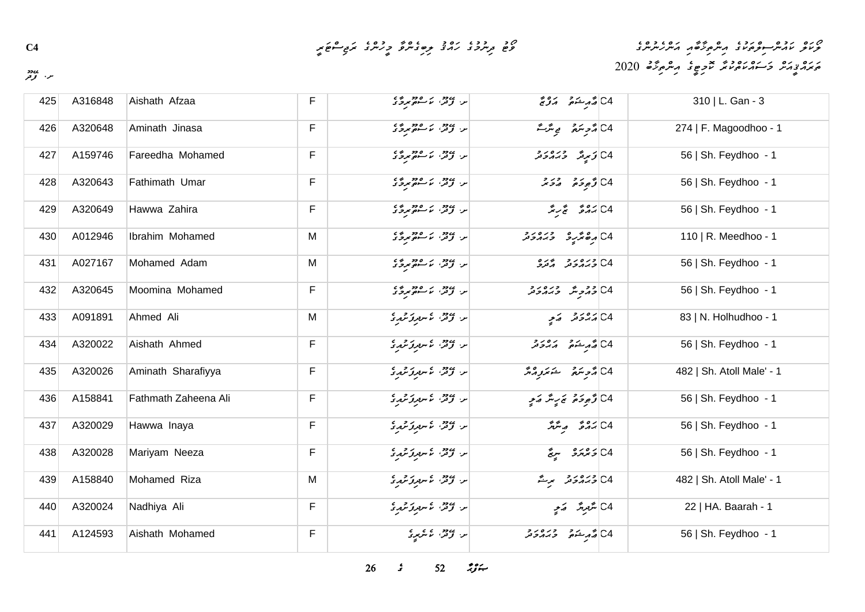*sCw7q7s5w7m< o<n9nOoAw7o< sCq;mAwBoEw7q<m; wBm;vB* م من المرة المرة المرة المرجع المرجع المرجع في 2020<br>مجم*د المريض المرجع المرجع المرجع المرجع المراجع المراجع الم*رجع

| 425 | A316848 | Aishath Afzaa        | $\mathsf{F}$ | ر بیرود در ۶۵ ورو<br>در نوتر، در ۶۵ مرکزی                                                         | C4 مەم شىم مەرىخ                                             | 310   L. Gan - 3          |
|-----|---------|----------------------|--------------|---------------------------------------------------------------------------------------------------|--------------------------------------------------------------|---------------------------|
| 426 | A320648 | Aminath Jinasa       | F            | ر بر دور در ۲۵ در در در برای<br>در از قرار ماسوم مرد د                                            | C4 مُرْحِسَمُ مِسَّرَّ                                       | 274   F. Magoodhoo - 1    |
| 427 | A159746 | Fareedha Mohamed     | $\mathsf F$  | ر بر دور در ۲۵ در در در برای<br>در از قرار ماسوم مرد د                                            | C4 كۆمىيەتتى ئەم <i>ئەم ئا</i> رد                            | 56   Sh. Feydhoo - 1      |
| 428 | A320643 | Fathimath Umar       | $\mathsf F$  | ر به دو بر ۶۵ و د د و                                                                             | C4 تۇج <sub>و</sub> خى مەكتىر                                | 56   Sh. Feydhoo - 1      |
| 429 | A320649 | Hawwa Zahira         | F            | س می دور در ۲۵ در در در بازد.<br>س کرفر، سال سوم مرد در                                           | C4 يَدْرُمَّ تَجْرِبَّرَ                                     | 56   Sh. Feydhoo - 1      |
| 430 | A012946 | Ibrahim Mohamed      | M            | ر بر دور در ۲۵ در در در برای<br>در از قرار ماسوم مرد د                                            | C4 مەھمەر 25مەم دىر                                          | 110   R. Meedhoo - 1      |
| 431 | A027167 | Mohamed Adam         | M            | س می دور در ۲۵ در در در بازد.<br>س کرفر، سال سوم مرد در                                           | C4 32923 كره                                                 | 56   Sh. Feydhoo - 1      |
| 432 | A320645 | Moomina Mohamed      | F            |                                                                                                   | C4 دُمْعِ شَرْ دَبَرْ مَعْرَ مَرْ                            | 56   Sh. Feydhoo - 1      |
| 433 | A091891 | Ahmed Ali            | M            | الرا المجمج المحاسبة وكريم وكالمحمد                                                               | C4 كەندى <i>قىلى</i> قىلىقى بىر                              | 83   N. Holhudhoo - 1     |
| 434 | A320022 | Aishath Ahmed        | $\mathsf F$  | لاستحق الأسعرة ترمية                                                                              | C4 مەم ئەر ئەردىر                                            | 56   Sh. Feydhoo - 1      |
| 435 | A320026 | Aminath Sharafiyya   | $\mathsf F$  | س عصود على عليه المحروم المحمد المحمد المحمد المحمد المحمد المحمد المحمد المحمد المحمد المحمد الم | C4 مُرْحِسَةٌ سُنَمَرُو مُمَّ                                | 482   Sh. Atoll Male' - 1 |
| 436 | A158841 | Fathmath Zaheena Ali | F            | الرا المجمج الأسعرة ترمية                                                                         | C4 ژ <sub>ن</sub> جو <i>دَهْ</i> يَ <sub>ا</sub> رِسَّ مَارِ | 56   Sh. Feydhoo - 1      |
| 437 | A320029 | Hawwa Inaya          | $\mathsf F$  | ىر. ئەدەرى ئىس ئەرىكى ئىزلەر                                                                      | C4 ئەممى ئەسىمىدىگە                                          | 56   Sh. Feydhoo - 1      |
| 438 | A320028 | Mariyam Neeza        | F            | ىر. ئەدەر ئەس كەرىگە ئە                                                                           | C4 كەش <i>ەت</i> كە س <sub>ېن</sub> ى                        | 56   Sh. Feydhoo - 1      |
| 439 | A158840 | Mohamed Riza         | M            | لاستحق الأسعرة ترمية                                                                              | C4 <i>دېمم</i> وتر برگ                                       | 482   Sh. Atoll Male' - 1 |
| 440 | A320024 | Nadhiya Ali          | F            | لاستحق الأسعرة ترمية                                                                              |                                                              | 22   HA. Baarah - 1       |
| 441 | A124593 | Aishath Mohamed      | F            | یں اور اور اس کا عرب کا ا                                                                         | C4 مەم شەھ ھەممەدىر                                          | 56   Sh. Feydhoo - 1      |

 $26$  *s* 52 *n***<sub>3</sub>** *z***<sub>3</sub>**  $\leftarrow$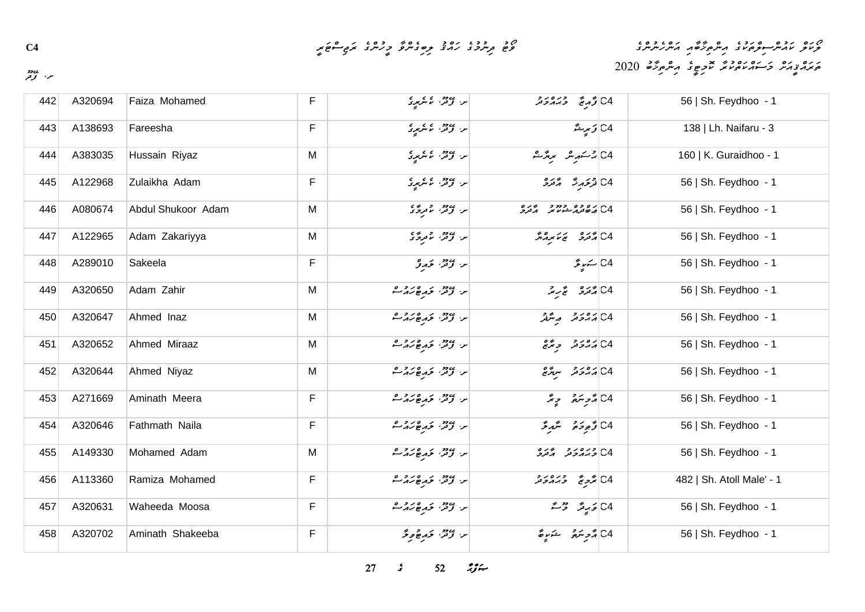*sCw7q7s5w7m< o<n9nOoAw7o< sCq;mAwBoEw7q<m; wBm;vB* م من المرة المرة المرة المرجع المرجع المرجع في 2020<br>مجم*د المريض المرجع المرجع المرجع المرجع المراجع المراجع الم*رجع

| 442 | A320694 | Faiza Mohamed      | $\mathsf F$ | بر ہوتر، ء عربی                | C4 تۇم قى ئەم ئەرگە                | 56   Sh. Feydhoo - 1      |
|-----|---------|--------------------|-------------|--------------------------------|------------------------------------|---------------------------|
| 443 | A138693 | Fareesha           | F           | بر المادور المائد براء         | C4 كوموڪ                           | 138   Lh. Naifaru - 3     |
| 444 | A383035 | Hussain Riyaz      | M           | بر المادور المائد براء         | C4 ئرسىمبرىش مېر <del>ى</del> ر شە | 160   K. Guraidhoo - 1    |
| 445 | A122968 | Zulaikha Adam      | $\mathsf F$ | ىن ئۇقرا مائىرىمى              | C4 نْرْجَهِ رَّ مُرْتَرَدُّ        | 56   Sh. Feydhoo - 1      |
| 446 | A080674 | Abdul Shukoor Adam | M           | ر مصور و دره و                 | C4 رەدە دەد دىرە                   | 56   Sh. Feydhoo - 1      |
| 447 | A122965 | Adam Zakariyya     | M           | ر من دور و دره و               | C4 مُقرَّد يَمَ مَعْ مِرْمَّدَ     | 56   Sh. Feydhoo - 1      |
| 448 | A289010 | Sakeela            | F           | ىر: ئۇنتى: ئۇم بۇ              | C4 سەمبەقتە                        | 56   Sh. Feydhoo - 1      |
| 449 | A320650 | Adam Zahir         | M           | ر پيرو بر وروت                 | C4 مُرْمَرْدَ بِحَرِيمَ            | 56   Sh. Feydhoo - 1      |
| 450 | A320647 | Ahmed Inaz         | M           | ر. ئۇقرا ئوم ھەر ئە            | C4 كەبرى قىر مەسى <i>گە</i> ر      | 56   Sh. Feydhoo - 1      |
| 451 | A320652 | Ahmed Miraaz       | M           | س من دور مرد و م               | C4 كەندى قىرىگە ج                  | 56   Sh. Feydhoo - 1      |
| 452 | A320644 | Ahmed Niyaz        | M           | س من دور مرد و م               | C4 كەندى قىر سىرتىمى               | 56   Sh. Feydhoo - 1      |
| 453 | A271669 | Aminath Meera      | F           | ر. وَفَرْ، وَرِجْ رَمْرٌ مَ    | C4 مُتَّحِسَّعَةُ حِيمًّا          | 56   Sh. Feydhoo - 1      |
| 454 | A320646 | Fathmath Naila     | F           | ر. ئۇقرا ئوم ھەر ئە            | C4 زَّەپِ دَە مَتَّدِمَّ           | 56   Sh. Feydhoo - 1      |
| 455 | A149330 | Mohamed Adam       | M           | ر. بيروج به عدد عام محمد السكر | C4 ديرورو محمده                    | 56   Sh. Feydhoo - 1      |
| 456 | A113360 | Ramiza Mohamed     | F           | س من دور مرد و م               | C4 بَرْدِيَّ دْبَهْدْدَنْد         | 482   Sh. Atoll Male' - 1 |
| 457 | A320631 | Waheeda Moosa      | $\mathsf F$ | ر. يه دو. د مرد و ه            | C4 كۈيەنگە ئۇسگە                   | 56   Sh. Feydhoo - 1      |
| 458 | A320702 | Aminath Shakeeba   | F           | الرا تؤثث تخديقي فخر           | C4 مُرْحِبَتِهِ صَنَّبِي           | 56   Sh. Feydhoo - 1      |

 $27$  *s* 52  $25$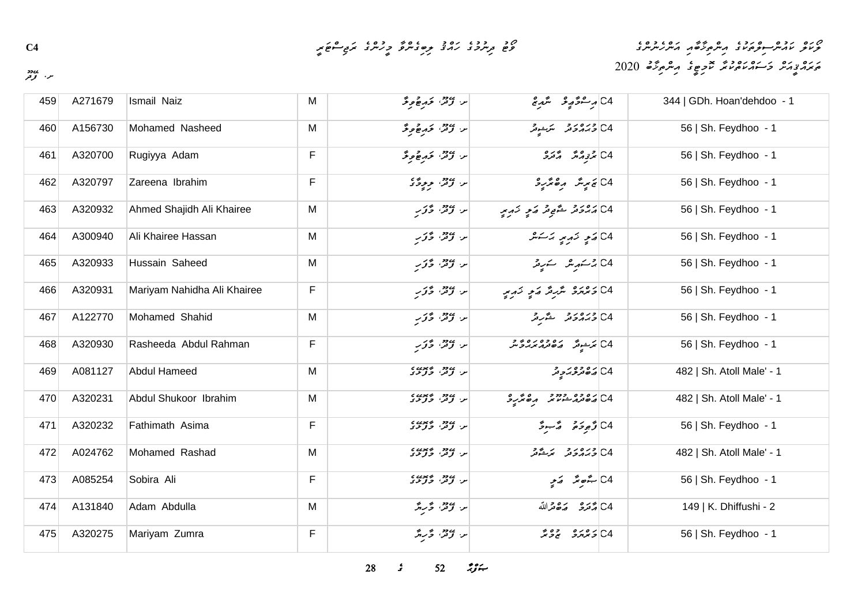*sCw7q7s5w7m< o<n9nOoAw7o< sCq;mAwBoEw7q<m; wBm;vB* م من المرة المرة المرة المرجع المرجع المرجع في 2020<br>مجم*د المريض المرجع المرجع المرجع المرجع المراجع المراجع الم*رجع

| 459 | A271679 | Ismail Naiz                 | M            | بن وُفْرٌ، مَجمعٍ ومحَّ                   | C4 مەش <i>ۇم</i> ۇ شمەم               | 344   GDh. Hoan'dehdoo - 1 |
|-----|---------|-----------------------------|--------------|-------------------------------------------|---------------------------------------|----------------------------|
| 460 | A156730 | Mohamed Nasheed             | M            | ر وتر، تزريع وتر                          | C4 <i>وُبَرُهُ دَوْ</i> سَرَشِيْتَرُ  | 56   Sh. Feydhoo - 1       |
| 461 | A320700 | Rugiyya Adam                | F            | بن دُفْرٌ، مَمْدِعُومٌ                    | C4 جُرْءِ مُرُمَّرٌ مُرْمَرَّدٌ       | 56   Sh. Feydhoo - 1       |
| 462 | A320797 | Zareena Ibrahim             | F            | بر نؤفز، وودِّی                           | C4 ئمبرى <i>گە م</i> ەھم <i>گى</i> رۇ | 56   Sh. Feydhoo - 1       |
| 463 | A320932 | Ahmed Shajidh Ali Khairee   | M            | اللا تؤثثنا لحاقاب                        | C4 كەبرى تىر قىرىمى ئىرىپ             | 56   Sh. Feydhoo - 1       |
| 464 | A300940 | Ali Khairee Hassan          | $\mathsf{M}$ | ل دانگانگان گانوکرب                       | C4 كەي ئەرىر بەس <i>ەش</i>            | 56   Sh. Feydhoo - 1       |
| 465 | A320933 | Hussain Saheed              | M            | مزاویق ځوی                                | C4 پرستمبر شر ستمریتر                 | 56   Sh. Feydhoo - 1       |
| 466 | A320931 | Mariyam Nahidha Ali Khairee | F            | اللا نؤفثرا لحاذب                         | C4 كەبرىرى ئىگرىگە كەبچە ئەمەير       | 56   Sh. Feydhoo - 1       |
| 467 | A122770 | Mohamed Shahid              | M            | اللا نؤفثرا لحاذب                         | C4 <i>\$ ئەممى ئىرىمى</i>             | 56   Sh. Feydhoo - 1       |
| 468 | A320930 | Rasheeda Abdul Rahman       | $\mathsf F$  | اللا تؤثثنا الحاتيب                       | C4 ئىشىقى مەھىر <i>مەيدى</i> ھ        | 56   Sh. Feydhoo - 1       |
| 469 | A081127 | <b>Abdul Hameed</b>         | M            | ر، 30°، 30°، 2<br>ر، ؤتر، 35°ر            | C4 كەھەترى <i>ۋىز ج</i> وتىر          | 482   Sh. Atoll Male' - 1  |
| 470 | A320231 | Abdul Shukoor Ibrahim       | M            | 2000 0000 0<br>من توفر، <del>1</del> 35 0 |                                       | 482   Sh. Atoll Male' - 1  |
| 471 | A320232 | Fathimath Asima             | F            | 2000 0000 0<br>من توفر، <del>1</del> 35 0 | C4 تَ <i>وجودة</i> مُسبودً            | 56   Sh. Feydhoo - 1       |
| 472 | A024762 | Mohamed Rashad              | M            | بر برود وبردره<br>بر وتر، ووبر            | C4 دېرورو ترڅونر                      | 482   Sh. Atoll Male' - 1  |
| 473 | A085254 | Sobira Ali                  | F            | بر برود برود و<br>بر وتر وزنرد            | C4 جُم <i>ومةً مَ</i> عِ              | 56   Sh. Feydhoo - 1       |
| 474 | A131840 | Adam Abdulla                | M            | ىر. ئۇنىڭ گەرگە                           | C4 مُعَرَّدٌ مُهَ قَمَرَ اللَّه       | 149   K. Dhiffushi - 2     |
| 475 | A320275 | Mariyam Zumra               | F            | ىر. ئۇنتر، ئۇرىتر                         | C4 كەبەر مەدىر                        | 56   Sh. Feydhoo - 1       |

 $28$  *s* 52  $29$   $\div$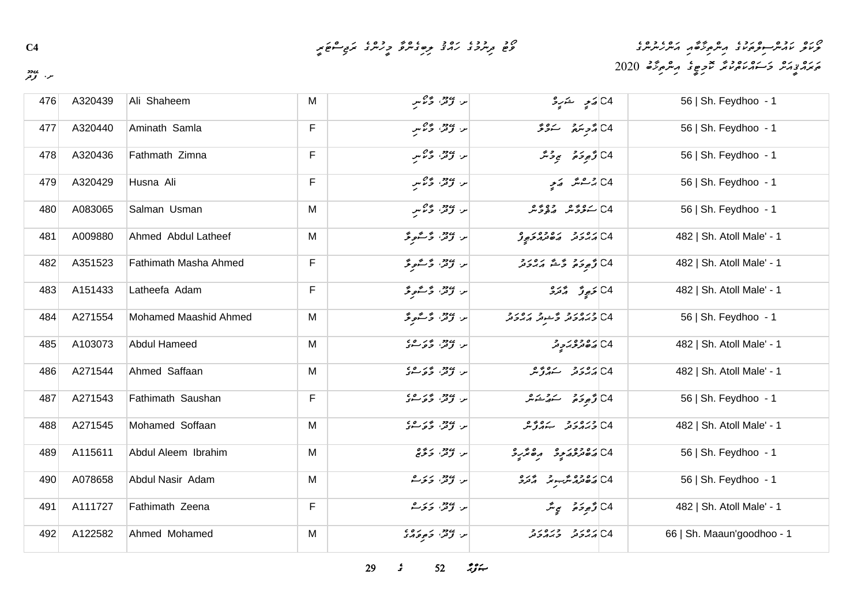*sCw7q7s5w7m< o<n9nOoAw7o< sCq;mAwBoEw7q<m; wBm;vB* م من المرة المرة المرة المرجع المرجع المرجع في 2020<br>مجم*د المريض المرجع المرجع المرجع المرجع المراجع المراجع الم*رجع

| 476 | A320439 | Ali Shaheem                  | M | ىر. ئۇنتر، ئۇتمىس    | C4  رَمِ شَرِدُ                                 | 56   Sh. Feydhoo - 1       |
|-----|---------|------------------------------|---|----------------------|-------------------------------------------------|----------------------------|
| 477 | A320440 | Aminath Samla                | F | بر. پیچ وی ش         | C4 مَّحْمِسَمَّةَ سَوَعَّةَ                     | 56   Sh. Feydhoo - 1       |
| 478 | A320436 | Fathmath Zimna               | F | بر بیروم بیری بر     | C4 تَ <i>جِوحَمْ</i> بِحِمْدَتَ                 | 56   Sh. Feydhoo - 1       |
| 479 | A320429 | Husna Ali                    | F | ىر. ئۇنتر، ئەممىر    | C4 چې شو په <del>ک</del> مو                     | 56   Sh. Feydhoo - 1       |
| 480 | A083065 | Salman Usman                 | M | ىر. ئەن ئەر بىر      | C4 جۇڭ ھەم قوڭ ھ                                | 56   Sh. Feydhoo - 1       |
| 481 | A009880 | Ahmed Abdul Latheef          | M | ىن ئۇنتر، ئۇستۇمۇ    | C4 גُرُدُونَ مُصْرِمُ مُوَرِهِ                  | 482   Sh. Atoll Male' - 1  |
| 482 | A351523 | <b>Fathimath Masha Ahmed</b> | F | ىر: ئۇنتى: بۇستۇم بۇ | C4 ۇَجِ <i>دَمْ</i> دُسْدُ مَ <sup>رور</sup> د  | 482   Sh. Atoll Male' - 1  |
| 483 | A151433 | Latheefa Adam                | F | بر بيردو گرگوگر      | C4 كَرْجِوتْرْ مُرْتَزَرْ                       | 482   Sh. Atoll Male' - 1  |
| 484 | A271554 | Mohamed Maashid Ahmed        | M | ىن ئۇنز، ئۇستمونۇ    | C4 در در در و شوتر كرد در                       | 56   Sh. Feydhoo - 1       |
| 485 | A103073 | Abdul Hameed                 | M | ىن ئەدەب بەر ق       | C4 كەھ قرى <i>ۋىز چ</i> وتر                     | 482   Sh. Atoll Male' - 1  |
| 486 | A271544 | Ahmed Saffaan                | M | ىر. ئەدە. ئەرگەر     | C4 كەبرو سەر ئەھ                                | 482   Sh. Atoll Male' - 1  |
| 487 | A271543 | Fathimath Saushan            | F | ىن ئەدەب ھەر ق       | C4 <i>وَّجِ دَمَّةَ</i> سَمَ <i>ةَ</i> شَمَسَّر | 56   Sh. Feydhoo - 1       |
| 488 | A271545 | Mohamed Soffaan              | M | بر به دو محرم و ،    | C4 دېرورو په دوس                                | 482   Sh. Atoll Male' - 1  |
| 489 | A115611 | Abdul Aleem Ibrahim          | M | ىر: ئۇنژ، ئەنۇبى     | C4 مەھىر ئەم بەھ مەم بەر 3                      | 56   Sh. Feydhoo - 1       |
| 490 | A078658 | Abdul Nasir Adam             | M | ىر: ئۇنق كەترىشى     | C4 مەھەمەمىر بىر مەمرى                          | 56   Sh. Feydhoo - 1       |
| 491 | A111727 | Fathimath Zeena              | F | ىر. ئۇنىش، كەنۇب     | C4 تۇ <sub>جو</sub> خۇ پ <sub>ىچ</sub> ىگر      | 482   Sh. Atoll Male' - 1  |
| 492 | A122582 | Ahmed Mohamed                | M | ر بیرود څو وره د     | C4 كەيرو بورەر د                                | 66   Sh. Maaun'goodhoo - 1 |

*29 sC 52 nNw?mS*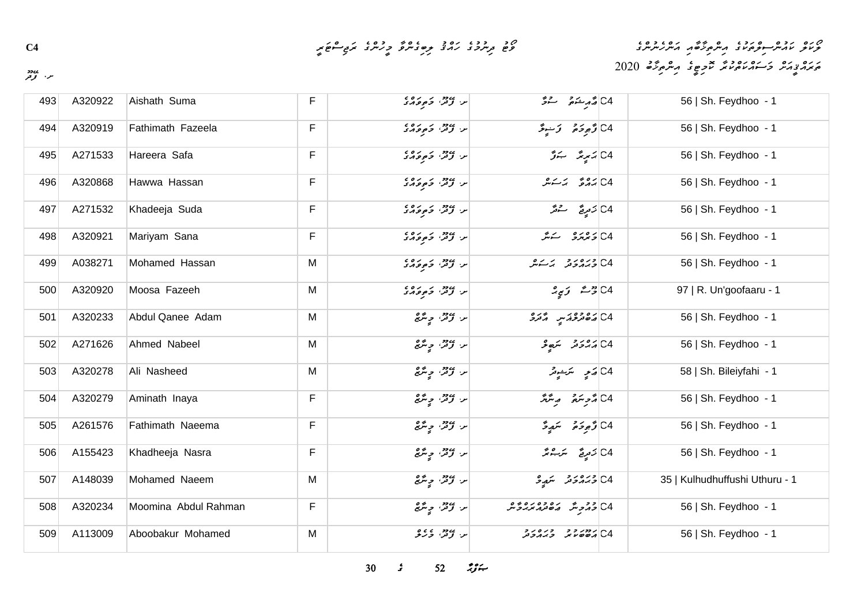*sCw7q7s5w7m< o<n9nOoAw7o< sCq;mAwBoEw7q<m; wBm;vB* م من المرة المرة المرة المرجع المرجع المرجع في 2020<br>مجم*د المريض المرجع المرجع المرجع المرجع المراجع المراجع الم*رجع

| 493 | A320922 | Aishath Suma         | $\mathsf F$  | ىن تۇتىر، خەم مەدى |                                | 56   Sh. Feydhoo - 1           |
|-----|---------|----------------------|--------------|--------------------|--------------------------------|--------------------------------|
| 494 | A320919 | Fathimath Fazeela    | F            | ر به دو که ده ده   | C4 وَجِعَة وَسِعَة             | 56   Sh. Feydhoo - 1           |
| 495 | A271533 | Hareera Safa         | $\mathsf F$  | س می ده ده ده د    | C4 ئەيرىگە س <del>ە</del> رگە  | 56   Sh. Feydhoo - 1           |
| 496 | A320868 | Hawwa Hassan         | F            | س می ده ده ده د    | C4 يَهْرُمُ يَرْسَمْرُ         | 56   Sh. Feydhoo - 1           |
| 497 | A271532 | Khadeeja Suda        | F            | ر، دود که ده ده د  | C4 كَتَعْرِيجٌ مُسْتَمَرٌ      | 56   Sh. Feydhoo - 1           |
| 498 | A320921 | Mariyam Sana         | $\mathsf F$  | ىن تۇتىر، خەم مەدى | C4 ئ <i>ۈچەدۋە سەم</i> گە      | 56   Sh. Feydhoo - 1           |
| 499 | A038271 | Mohamed Hassan       | M            | ىن تۇتىر، خەم مەدى | C4 <i>جەممى بىر يىش</i> ك      | 56   Sh. Feydhoo - 1           |
| 500 | A320920 | Moosa Fazeeh         | M            | س می ده ده ده د    | C4 تۇشقە ئۇي <sub>م</sub> ۇ    | 97   R. Un'goofaaru - 1        |
| 501 | A320233 | Abdul Qanee Adam     | M            | یں نؤفرا پر مگھ    | C4 בەممۇقەس مەرد               | 56   Sh. Feydhoo - 1           |
| 502 | A271626 | Ahmed Nabeel         | M            | ىر. ئۇنتر، بويترىج | C4 <i>مُدْدَ</i> تْرِ سَعِيْرَ | 56   Sh. Feydhoo - 1           |
| 503 | A320278 | Ali Nasheed          | M            | ىر. ئۇقتۇ، جەنتىنى | C4 كەمچە سىرسىيەتىر            | 58   Sh. Bileiyfahi - 1        |
| 504 | A320279 | Aminath Inaya        | F            | یں نؤفرا پر مگھ    | C4 مُتَّحِبةَ مِسَمَّدَّ       | 56   Sh. Feydhoo - 1           |
| 505 | A261576 | Fathimath Naeema     | F            | یں نؤفرا پر مگھ    | C4 وَّجِوَدَةٌ سَمَدٍ وَّ      | 56   Sh. Feydhoo - 1           |
| 506 | A155423 | Khadheeja Nasra      | $\mathsf{F}$ | ىر. ئۇقتۇ، جەنتىنى | C4 كَتَعِيقٌ سَرَجْتُمُّدً     | 56   Sh. Feydhoo - 1           |
| 507 | A148039 | Mohamed Naeem        | M            | ىر. ئۇقتۇ، جەنتىنى | C4 <i>جەممىتى سىم</i> بى       | 35   Kulhudhuffushi Uthuru - 1 |
| 508 | A320234 | Moomina Abdul Rahman | $\mathsf F$  | من نؤفر، حي مثر ج  | C4 جو مرکز میں محمد محمد حسن   | 56   Sh. Feydhoo - 1           |
| 509 | A113009 | Aboobakur Mohamed    | M            | ىر. مەدد. مەم بى   | $5,000$ $7,000$                | 56   Sh. Feydhoo - 1           |

**30** *s* **52** *n***<sub>s</sub>**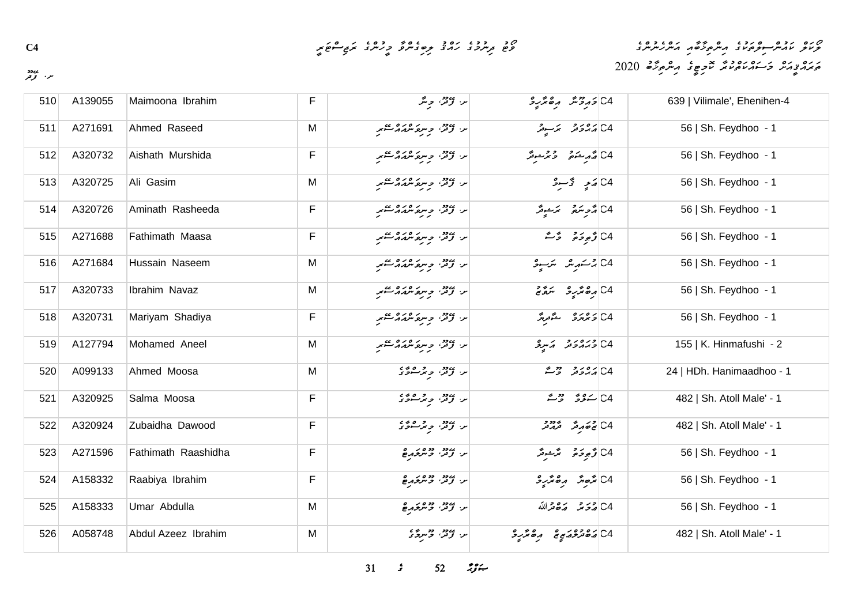*sCw7q7s5w7m< o<n9nOoAw7o< sCq;mAwBoEw7q<m; wBm;vB* م من المرة المرة المرة المرجع المرجع المرجع في 2020<br>مجم*د المريض المرجع المرجع المرجع المرجع المراجع المراجع الم*رجع

| 510 | A139055 | Maimoona Ibrahim    | F            | مز کوتش جانگ                    | C4 كەرىخ ئىر مەھ <i>ت</i> رىيى             | 639   Vilimale', Ehenihen-4 |
|-----|---------|---------------------|--------------|---------------------------------|--------------------------------------------|-----------------------------|
| 511 | A271691 | Ahmed Raseed        | M            | د. زمن و سره مده منه            | C4 كەبرى كىمى ئىر ئىرىدىگىر                | 56   Sh. Feydhoo - 1        |
| 512 | A320732 | Aishath Murshida    | F            | ر به دو د سره مره به به         | C4 مُرمِشَمْ وَتَمْسِمُو                   | 56   Sh. Feydhoo - 1        |
| 513 | A320725 | Ali Gasim           | M            | ر به ده و سره مره به ب          | C4 <i>ھَيِ</i> تَخْسِي                     | 56   Sh. Feydhoo - 1        |
| 514 | A320726 | Aminath Rasheeda    | F            | ן ישמי קיינג וחיים ו            | C4 مُرْحِبِّدَةٌ مَرْشِ <sub>و</sub> مُرَّ | 56   Sh. Feydhoo - 1        |
| 515 | A271688 | Fathimath Maasa     | F            | ر به دو د سره مره به به         | C4 تۇم <i>وخۇ</i> گەشە                     | 56   Sh. Feydhoo - 1        |
| 516 | A271684 | Hussain Naseem      | M            | ر. مصر و سره سره مصر به         | C4 يُرْسَمبر مَّرْ سَرْسِرْدَّ             | 56   Sh. Feydhoo - 1        |
| 517 | A320733 | Ibrahim Navaz       | M            | من بعد المعروف المعرض من المحمد | C4 مەھمىر بىر ئىمگىمى                      | 56   Sh. Feydhoo - 1        |
| 518 | A320731 | Mariyam Shadiya     | F            | ر به ده و سره مره ده به         | C4 <i>5 برور و</i> مس <i>گوروگر</i>        | 56   Sh. Feydhoo - 1        |
| 519 | A127794 | Mohamed Aneel       | M            | ر به ده و سره مره به ب          | C4 <i>3222 كەبىرى</i>                      | 155   K. Hinmafushi - 2     |
| 520 | A099133 | Ahmed Moosa         | M            | یں ہیں ویر سوی                  | C4 كەبرو بىر تەرىخ                         | 24   HDh. Hanimaadhoo - 1   |
| 521 | A320925 | Salma Moosa         | F            | ر به دو در ۱۶۵۵                 |                                            | 482   Sh. Atoll Male' - 1   |
| 522 | A320924 | Zubaidha Dawood     | F            | یں ہیں ویر سوی                  | C4 تح <i>قه بدقر</i> محمد مر               | 482   Sh. Atoll Male' - 1   |
| 523 | A271596 | Fathimath Raashidha | F            | ر بعد دوره و                    | C4 تَ <i>جوحَمَ</i> مَرْسُومَّرَ           | 56   Sh. Feydhoo - 1        |
| 524 | A158332 | Raabiya Ibrahim     | F            | ر بيرو دوم ده و                 | C4 بَرُھ بڑھ برھ بَرْرِ 3                  | 56   Sh. Feydhoo - 1        |
| 525 | A158333 | Umar Abdulla        | $\mathsf{M}$ | ر بيرو دوه د ه                  | C4 محر محد محدد الله                       | 56   Sh. Feydhoo - 1        |
| 526 | A058748 | Abdul Azeez Ibrahim | M            | بر وسي وسري                     | C4 مەھىر <i>ومىي مەھەرد</i> ۇ              | 482   Sh. Atoll Male' - 1   |

 $31$  *s*  $52$  *n***<sub>i</sub>** *n***<sub>i</sub>**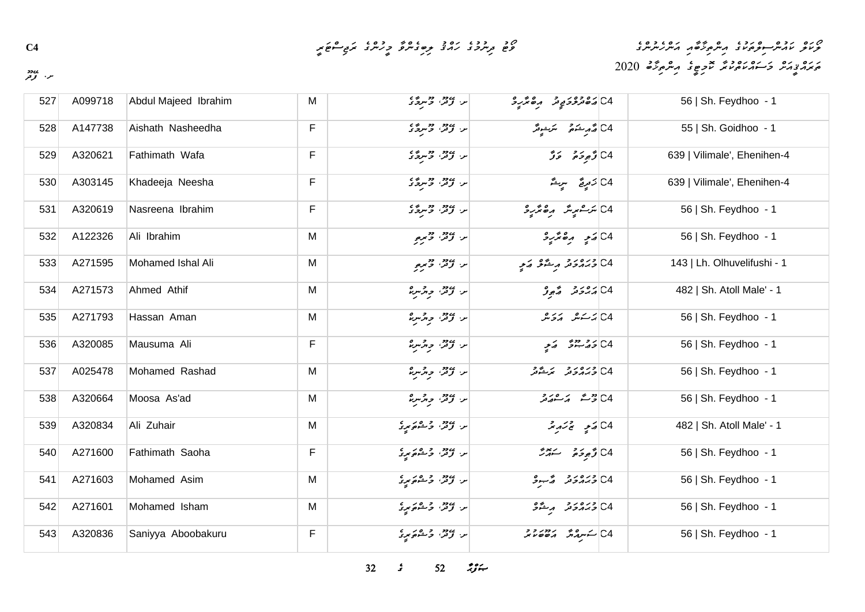*sCw7q7s5w7m< o<n9nOoAw7o< sCq;mAwBoEw7q<m; wBm;vB* م من المرة المرة المرة المرجع المرجع المرجع في 2020<br>مجم*د المريض المرجع المرجع المرجع المرجع المراجع المراجع الم*رجع

| 527 | A099718 | Abdul Majeed Ibrahim | M           | بر وسي وسره و                                                                                                 | C4 مەھىر <i>3 مۇر بىر مەمگەر 2</i>    | 56   Sh. Feydhoo - 1        |
|-----|---------|----------------------|-------------|---------------------------------------------------------------------------------------------------------------|---------------------------------------|-----------------------------|
| 528 | A147738 | Aishath Nasheedha    | F           | س مجم <sup>ود</sup> وحسرت                                                                                     | C4 م <i>ەُم</i> رىشكى ھەسىسى ئىشكە    | 55   Sh. Goidhoo - 1        |
| 529 | A320621 | Fathimath Wafa       | F           | س مجم <sup>ود</sup> وحسرت                                                                                     | C4 تۇم <i>وخ</i> ۇ قۇ                 | 639   Vilimale', Ehenihen-4 |
| 530 | A303145 | Khadeeja Neesha      | $\mathsf F$ | ا در انگروه در در در در بالاندازد.<br>در انگروهای کاربردی در                                                  | C4 كَتْمِيعٌ     سِرِيشٌ              | 639   Vilimale', Ehenihen-4 |
| 531 | A320619 | Nasreena Ibrahim     | F           | ر دی دو دو ده                                                                                                 | C4 ىئرىشمېرى <i>گە مەھەتگەي</i><br>   | 56   Sh. Feydhoo - 1        |
| 532 | A122326 | Ali Ibrahim          | M           | بر وسي وحميد المحافظ المحافظ المحافظ المحافظ المحافظ المحافظ المحافظ المحافظ المحافظ المحافظ المحافظ المحافظة | C4 <i>مَجِ م</i> ِ <i>مَعْدَبِ</i> دَ | 56   Sh. Feydhoo - 1        |
| 533 | A271595 | Mohamed Ishal Ali    | M           | بر. 30°، 3مرم                                                                                                 | C4 <i>3 ديم دو م</i> شر <i>4 مر</i>   | 143   Lh. Olhuvelifushi - 1 |
| 534 | A271573 | Ahmed Athif          | M           | ین کوفر و پر سرچ                                                                                              | C4 كەشكەتقىر م <i>گھ</i> وتى          | 482   Sh. Atoll Male' - 1   |
| 535 | A271793 | Hassan Aman          | M           | یں توفرا جائز ہور                                                                                             | C4 كەس <i>تەش مەكەنل</i>              | 56   Sh. Feydhoo - 1        |
| 536 | A320085 | Mausuma Ali          | $\mathsf F$ | ین نؤتر، جاتر سرینا                                                                                           | C4 <i>جەمبىرى م</i> ېر                | 56   Sh. Feydhoo - 1        |
| 537 | A025478 | Mohamed Rashad       | M           | الراسيج والمحاجر والرسره                                                                                      | C4 دېرورو کرځونر                      | 56   Sh. Feydhoo - 1        |
| 538 | A320664 | Moosa As'ad          | M           | یں توفرا جائز ہور                                                                                             | C4 چرمئے پر <i>محمد م</i> تر          | 56   Sh. Feydhoo - 1        |
| 539 | A320834 | Ali Zuhair           | M           | بن محصر وه در د                                                                                               | C4 <i>ھَ۔ جي تمريخ</i>                | 482   Sh. Atoll Male' - 1   |
| 540 | A271600 | Fathimath Saoha      | F           | بن محصر وهار و                                                                                                | C4 تَهْجِعَةً سَنْ يَسْتَمَ           | 56   Sh. Feydhoo - 1        |
| 541 | A271603 | Mohamed Asim         | M           | یں ہیں وے دی ہے                                                                                               | C4 <i>جەنگە خۇسبى</i> ئ               | 56   Sh. Feydhoo - 1        |
| 542 | A271601 | Mohamed Isham        | M           | بن نوفر، وشهونوی                                                                                              | C4 <i>جەنگە جۇ م</i> ېشۇ              | 56   Sh. Feydhoo - 1        |
| 543 | A320836 | Saniyya Aboobakuru   | F           | یں کافرار کا حاصل ہے                                                                                          | $2222$ $-200$                         | 56   Sh. Feydhoo - 1        |

**32** *s* **52** *n***<sub>3</sub> <b>***n*<sub>3</sub> *n*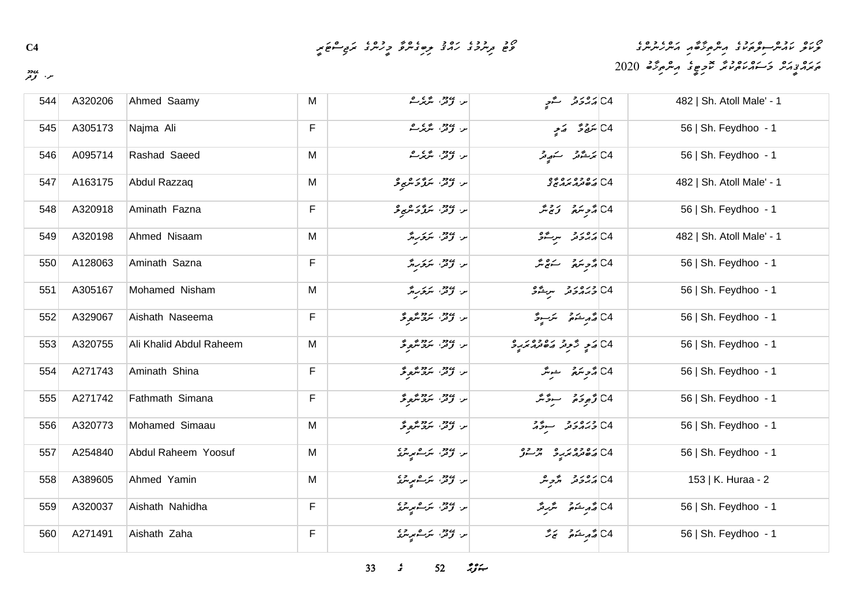*sCw7q7s5w7m< o<n9nOoAw7o< sCq;mAwBoEw7q<m; wBm;vB* م من المرة المرة المرة المرجع المرجع المرجع في 2020<br>مجم*د المريض المرجع المرجع المرجع المرجع المراجع المراجع الم*رجع

| 544 | A320206 | Ahmed Saamy             | M         | ىر. ئۇنىز، ئىگەرگ                                                         | C4 كەندى ئىقى ئىستىمبو                | 482   Sh. Atoll Male' - 1 |
|-----|---------|-------------------------|-----------|---------------------------------------------------------------------------|---------------------------------------|---------------------------|
| 545 | A305173 | Najma Ali               | F         | ىر. ئۇقرا شەرھ                                                            | C4 سَھَ5ً <i>مَ</i> حٍ                | 56   Sh. Feydhoo - 1      |
| 546 | A095714 | Rashad Saeed            | M         | ىر. ئۇقر، ئىگەر ھ                                                         | C4 بَرَحْدَّقَر سَمَ <i>وِيدً</i>     | 56   Sh. Feydhoo - 1      |
| 547 | A163175 | Abdul Razzaq            | M         | ىر. ئەدەر بەلەر ھەم ئى                                                    | C4 مەھ <i>قىرە بىرە ج</i>             | 482   Sh. Atoll Male' - 1 |
| 548 | A320918 | Aminath Fazna           | F         | ىر. ئەدەر بەلەر ھەج ئى                                                    | C4 مَّ <i>جِسَعَة وَيَحْ</i> مَّرَ    | 56   Sh. Feydhoo - 1      |
| 549 | A320198 | Ahmed Nisaam            | M         | ىر. ئۇنىڭ سىرىكىدىگە                                                      | C4 كەبرى كىر سرىسىگى                  | 482   Sh. Atoll Male' - 1 |
| 550 | A128063 | Aminath Sazna           | F         | ىر. ئۇنىڭ سىرىكىسىگە                                                      | C4 مُ <i>جِسَعْہ</i> سَبَحْ مَتَر     | 56   Sh. Feydhoo - 1      |
| 551 | A305167 | Mohamed Nisham          | ${\sf M}$ | بر وقراء مكركر المر                                                       | C4 <i>3222 مرتدى</i><br>ب             | 56   Sh. Feydhoo - 1      |
| 552 | A329067 | Aishath Naseema         | F         | من المحروم المرور مركز من المحر<br>  من المحروم المركز مركز مركز من المحر | C4 مەم ئىقىمە سىرسىمىتى ئى            | 56   Sh. Feydhoo - 1      |
| 553 | A320755 | Ali Khalid Abdul Raheem | M         | ىن ئەدەر بەدە ئەرگە ئى                                                    | C4 كور گونر كەندىكىدۇ                 | 56   Sh. Feydhoo - 1      |
| 554 | A271743 | Aminath Shina           | F         | ىن ئۇتر، سەھ شەنۇ                                                         | C4 مُرْحِبِّتَهُمْ سُبِيَّتْهِ        | 56   Sh. Feydhoo - 1      |
| 555 | A271742 | Fathmath Simana         | F         | ىن ئۆتىن سەھەتتى ئى                                                       | C4 زَّەپرىق سوڭىگە                    | 56   Sh. Feydhoo - 1      |
| 556 | A320773 | Mohamed Simaau          | M         | ىر. ئەدەب بەدە ئەرەتىگە ئى                                                | $25 - 2522$ C4                        | 56   Sh. Feydhoo - 1      |
| 557 | A254840 | Abdul Raheem Yoosuf     | M         | ىر. ئۇقرا ئىرگەمچە ئىرى                                                   | C4 בەممە جومبە ھەمبو                  | 56   Sh. Feydhoo - 1      |
| 558 | A389605 | Ahmed Yamin             | ${\sf M}$ | ىر. ئۇقرا سەھىر سى                                                        | C4 <i>مُدْدَوْرْ مُزْدِيْرْ</i>       | 153   K. Huraa - 2        |
| 559 | A320037 | Aishath Nahidha         | F         | ىر. ئەدەر ئىرگەندىكى                                                      | C4 مَدْمِرِ مَسْمَعْ مِنْ مَدْرِمَّدْ | 56   Sh. Feydhoo - 1      |
| 560 | A271491 | Aishath Zaha            | F         | ىر. ئەدەبە ئىرگە ئويىرى                                                   | C4 مەم شىم ئىم                        | 56   Sh. Feydhoo - 1      |

**33** *s* **52** *z***<sub>***f***</sub>**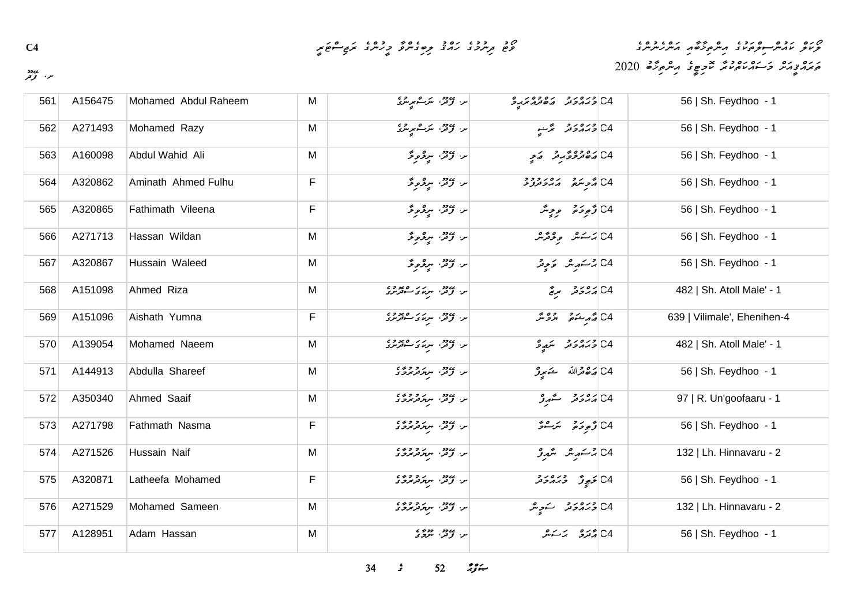*sCw7q7s5w7m< o<n9nOoAw7o< sCq;mAwBoEw7q<m; wBm;vB* م من المرة المرة المرة المرجع المرجع المرجع في 2020<br>مجم*د المريض المرجع المرجع المرجع المرجع المراجع المراجع الم*رجع

| 561 | A156475 | Mohamed Abdul Raheem | M           | من توفر، الترك مرسمة.                                                                                                                                                                                                     | C4 درورو بره دوربر و                                                                                           | 56   Sh. Feydhoo - 1        |
|-----|---------|----------------------|-------------|---------------------------------------------------------------------------------------------------------------------------------------------------------------------------------------------------------------------------|----------------------------------------------------------------------------------------------------------------|-----------------------------|
| 562 | A271493 | Mohamed Razy         | M           | بر وسيروس مركب وسير مرد و ع                                                                                                                                                                                               | C4 <i>\$222 مُرْسِ</i>                                                                                         | 56   Sh. Feydhoo - 1        |
| 563 | A160098 | Abdul Wahid Ali      | M           | بر کوتر، سرگرمونگر                                                                                                                                                                                                        | C4 مەھىرى ھەم ھەم بىر ئىن كەرىپ <b>C4</b>                                                                      | 56   Sh. Feydhoo - 1        |
| 564 | A320862 | Aminath Ahmed Fulhu  | F           | الرا ئۇقۇا سرچمۇ ئى                                                                                                                                                                                                       | C4 مەمەمەمەمەمەمەمەردىكى ئىنجان ئىنجان ئىنجان ئىنجان ئىنجان ئىنجان ئىنجان ئىنجان ئىنجان ئىنجان ئىنجان ئىنجان ئ | 56   Sh. Feydhoo - 1        |
| 565 | A320865 | Fathimath Vileena    | $\mathsf F$ | ىن ئۇتق سىۋەپتى                                                                                                                                                                                                           | C4 تَ <i>وجود وجِسَّ</i> ر                                                                                     | 56   Sh. Feydhoo - 1        |
| 566 | A271713 | Hassan Wildan        | M           | اللا تؤثثن البرقروقر                                                                                                                                                                                                      | C4 ئەسەمىر   موقۇمىر                                                                                           | 56   Sh. Feydhoo - 1        |
| 567 | A320867 | Hussain Waleed       | M           | بر کوتر، سرگرمونگر                                                                                                                                                                                                        | C4 يُرْسَمب <sup>9</sup> مَوْمِتْر                                                                             | 56   Sh. Feydhoo - 1        |
| 568 | A151098 | Ahmed Riza           | M           | س میں دوسرے میں دے<br>س توفر، سریمائی سافرس                                                                                                                                                                               | C4 <i>مەشى قىلى</i> مېرىتى                                                                                     | 482   Sh. Atoll Male' - 1   |
| 569 | A151096 | Aishath Yumna        | F           | من المهج المعروج المستخدم المحدوج المحدوج المحافر المحافر المحافر المحدوج المحافظ المحدوج المحافظ المحد<br>  من المحافظ المحافظ المحافظ المحدوج المحافظ المحدوج المحافظ المحدود المحافظ المحافظ المحافظ المحافظ المحد الم | C4 مەم شەھ مەدەبىر                                                                                             | 639   Vilimale', Ehenihen-4 |
| 570 | A139054 | Mohamed Naeem        | M           | ا در این در منطقه در ۲۵ در ۲۵<br>این اولین اسرینای سافرس                                                                                                                                                                  | C4 <i>322,25 سَمِي</i> و                                                                                       | 482   Sh. Atoll Male' - 1   |
| 571 | A144913 | Abdulla Shareef      | M           | ر، مصرح العرب و و ده د.<br>اس الوفر، سي د در در د                                                                                                                                                                         | C4 مَەھمَّرَاللَّه خَمَعِيْرَ                                                                                  | 56   Sh. Feydhoo - 1        |
| 572 | A350340 | Ahmed Saaif          | M           |                                                                                                                                                                                                                           | C4 كەبرى ئىش ئىقرىقى ئى                                                                                        | 97   R. Un'goofaaru - 1     |
| 573 | A271798 | Fathmath Nasma       | F           | ر محمد مستروف و د د کا                                                                                                                                                                                                    | C4 تَ <i>وْجِدْهُ</i> سَرَسْتُرَّ                                                                              | 56   Sh. Feydhoo - 1        |
| 574 | A271526 | Hussain Naif         | M           | ر محمد مستروف و د د کا                                                                                                                                                                                                    | C4 بر <i>کے مربر سگہ ب</i>                                                                                     | 132   Lh. Hinnavaru - 2     |
| 575 | A320871 | Latheefa Mohamed     | F           | ر به دو به دود ده با                                                                                                                                                                                                      | C4 كَجوِرَّ حَجَمَّ مَحَمَّد                                                                                   | 56   Sh. Feydhoo - 1        |
| 576 | A271529 | Mohamed Sameen       | M           | بر وسيد المستر و و د و ا                                                                                                                                                                                                  | C4 <i>ۋېزونز خوپل</i>                                                                                          | 132   Lh. Hinnavaru - 2     |
| 577 | A128951 | Adam Hassan          | M           | ر، پیوو، دوم،<br>در توفر، سرچ                                                                                                                                                                                             | C4 گەنىزى ئەسكەنلىر                                                                                            | 56   Sh. Feydhoo - 1        |

**34** *s* **52** *n***<sub>3</sub> <b>***n*<sub>3</sub> *n*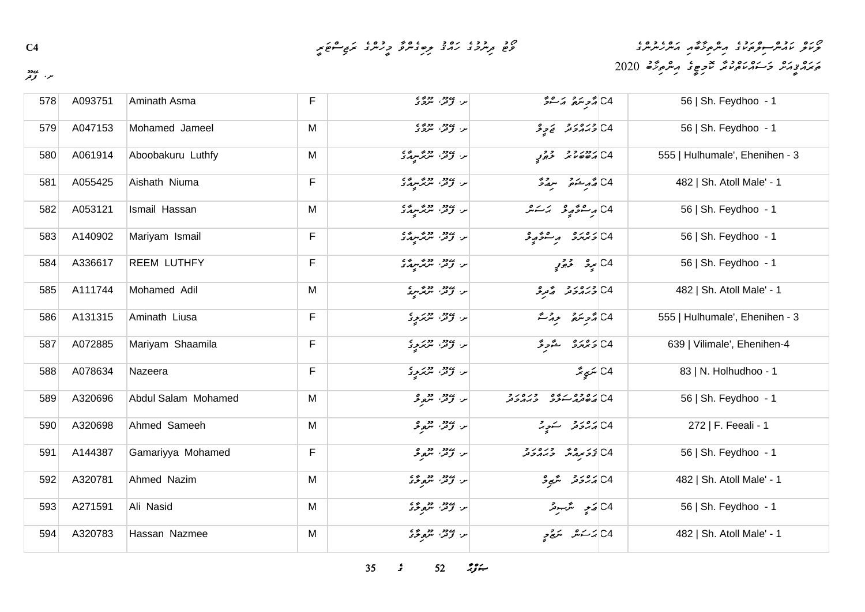*sCw7q7s5w7m< o<n9nOoAw7o< sCq;mAwBoEw7q<m; wBm;vB* م من المرة المرة المرة المرجع المرجع المرجع في 2020<br>مجم*د المريض المرجع المرجع المرجع المرجع المراجع المراجع الم*رجع

| 578 | A093751 | Aminath Asma        | F            | من صحيح العربي<br>  من المحرج العربي  | C4 مُتَّحِسَّعَةَ مَسَّتَّةً                 | 56   Sh. Feydhoo - 1           |
|-----|---------|---------------------|--------------|---------------------------------------|----------------------------------------------|--------------------------------|
| 579 | A047153 | Mohamed Jameel      | M            | ر مصور دوم.<br>در توکر، سرچای         | C4 <i>5222 فرو</i> گر                        | 56   Sh. Feydhoo - 1           |
| 580 | A061914 | Aboobakuru Luthfy   | M            | س مەدەر دولاسرە ئ                     | C4 كەھەم بىر مەدىر                           | 555   Hulhumale', Ehenihen - 3 |
| 581 | A055425 | Aishath Niuma       | $\mathsf F$  | س میں دوسرے دی۔<br>س توفر، سرگر سرمری |                                              | 482   Sh. Atoll Male' - 1      |
| 582 | A053121 | Ismail Hassan       | M            | س موفر دوم ده.<br>س وفر، سرچمبروی     | C4 مەش <i>ۇم بۇ بەسكى</i> ر                  | 56   Sh. Feydhoo - 1           |
| 583 | A140902 | Mariyam Ismail      | $\mathsf F$  | س وتر، شهر ده د                       | C4 كەممىر ئەر مەمۇر بولۇ                     | 56   Sh. Feydhoo - 1           |
| 584 | A336617 | <b>REEM LUTHFY</b>  | $\mathsf{F}$ | س موفر دوم ده.<br>س وفر، سرچمبروی     | C4  <i>پرڈ ڈچم پ</i>                         | 56   Sh. Feydhoo - 1           |
| 585 | A111744 | Mohamed Adil        | M            | ین وجود انتظامی که در کار             | C4 <i>3222 مگیر</i> و                        | 482   Sh. Atoll Male' - 1      |
| 586 | A131315 | Aminath Liusa       | $\mathsf F$  | برا عاده المرتزعي                     | C4 مُرْحِسَةً مِ <i>مِدْتُ</i>               | 555   Hulhumale', Ehenihen - 3 |
| 587 | A072885 | Mariyam Shaamila    | $\mathsf{F}$ | ىر، ئۇنى، ئەچرىرى                     | C4 <i>وَبُرْمَرْدُ</i> ـُمُّوَبِّرُ          | 639   Vilimale', Ehenihen-4    |
| 588 | A078634 | Nazeera             | $\mathsf F$  | ىن ئۇنىڭ ئىترىكرىنى كە                | C4 سَمِع تَرَ                                | 83   N. Holhudhoo - 1          |
| 589 | A320696 | Abdul Salam Mohamed | M            | من مجموعه مشروعه                      | C4 رەمەم يەم مەمەم دىر                       | 56   Sh. Feydhoo - 1           |
| 590 | A320698 | Ahmed Sameeh        | M            | بر پیوژ، نژوی                         | C4 كەبرى قىر سىمبر 2                         | 272   F. Feeali - 1            |
| 591 | A144387 | Gamariyya Mohamed   | $\mathsf{F}$ | بر. پیچ شروع                          | C4 تۈكىرە ئەرەر د                            | 56   Sh. Feydhoo - 1           |
| 592 | A320781 | Ahmed Nazim         | M            | ىن ئۇنىڭ شھوقتى                       | C4 <i>مَدْدَوْرْ</i> مَّرْبِو <sup>و</sup> ْ | 482   Sh. Atoll Male' - 1      |
| 593 | A271591 | Ali Nasid           | M            | بر وسي مع وسي                         | C4 كەنچە س <i>گرىبوت</i> گە                  | 56   Sh. Feydhoo - 1           |
| 594 | A320783 | Hassan Nazmee       | M            | ىر. ئۇنىڭ ئىتموگرى                    | C4 كەسكەنلەر س <i>كەنج</i> و                 | 482   Sh. Atoll Male' - 1      |

**35** *s* **52** *n***<sub>y</sub> <b>***n*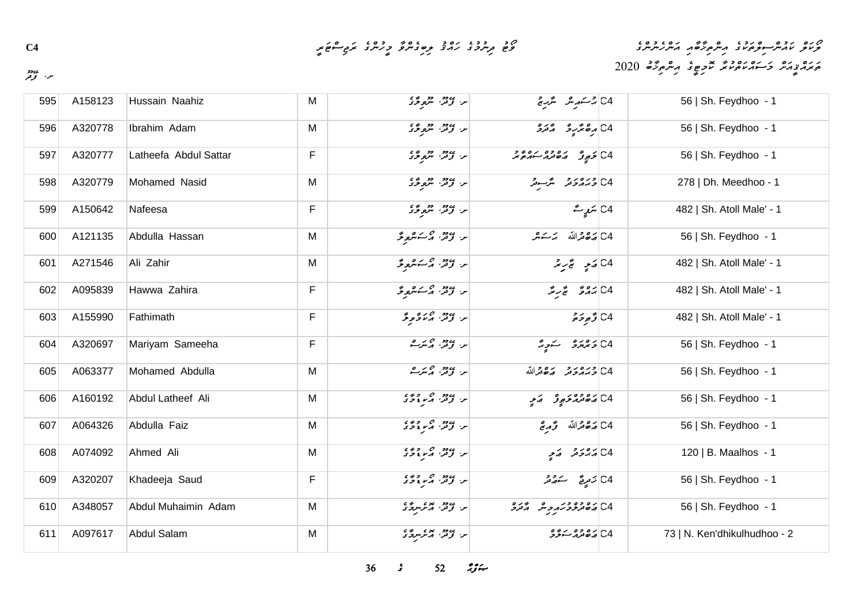*sCw7q7s5w7m< o<n9nOoAw7o< sCq;mAwBoEw7q<m; wBm;vB* م من المرة المرة المرة المرجع المرجع المرجع في 2020<br>مجم*د المريض المرجع المرجع المرجع المرجع المراجع المراجع الم*رجع

| 595 | A158123 | Hussain Naahiz        | M | من مجمد معظمة المحمدة المحمدة المحمدة المحمدة المحمدة المحمدة المحمدة المحمدة المحمدة المحمدة المح | C4 بڑے پر مگر بے                   | 56   Sh. Feydhoo - 1         |
|-----|---------|-----------------------|---|----------------------------------------------------------------------------------------------------|------------------------------------|------------------------------|
| 596 | A320778 | Ibrahim Adam          | M | بر ہیں شہر گھ                                                                                      | C4 مەھەمگەيدى مەممەدى              | 56   Sh. Feydhoo - 1         |
| 597 | A320777 | Latheefa Abdul Sattar | F | ىن ئۇنىز، شھوقتى                                                                                   | C4 ځېږ ته ده ده ده د د             | 56   Sh. Feydhoo - 1         |
| 598 | A320779 | Mohamed Nasid         | M | ىن تۈتۈ، شىم ئۆت                                                                                   | C4 <i>ۋېرو دو</i> سگرسەتر          | 278   Dh. Meedhoo - 1        |
| 599 | A150642 | Nafeesa               | F | ىن تۇتىق شىمبۇ ئەت                                                                                 | C4 سَمِير مَشَر                    | 482   Sh. Atoll Male' - 1    |
| 600 | A121135 | Abdulla Hassan        | M | ىر. ئۇقرا مەسكەھرىگە                                                                               | C4 مَەقراللە ئەسكەش                | 56   Sh. Feydhoo - 1         |
| 601 | A271546 | Ali Zahir             | M | ىر. ئۇنقۇ، كەسكەنلىرىدىگە                                                                          | C4 <i>ھَ۔</i> جَرِيْرَ             | 482   Sh. Atoll Male' - 1    |
| 602 | A095839 | Hawwa Zahira          | F | ىر. ئۇقرا مەسكەھرىگە                                                                               | C4 يَدْرُمَّ تَجْرِبَّرَ           | 482   Sh. Atoll Male' - 1    |
| 603 | A155990 | Fathimath             | F | ىر. ئەدەر 270 مۇ                                                                                   | C4 وَجوحَم                         | 482   Sh. Atoll Male' - 1    |
| 604 | A320697 | Mariyam Sameeha       | F | ىر. ئۇقرا ئەيترىش                                                                                  | C4 <i>جىندۇ سەي</i> گە             | 56   Sh. Feydhoo - 1         |
| 605 | A063377 | Mohamed Abdulla       | M | ىر. ئۇقرا ئەيترىشە                                                                                 | C4 3223 مَرْهُوَ مَدْ هُمْ لِللَّه | 56   Sh. Feydhoo - 1         |
| 606 | A160192 | Abdul Latheef Ali     | M | ىن تۆتىن كەن 252                                                                                   | C4 <i>مَەقىدىمۇ ئۇستى</i> ر        | 56   Sh. Feydhoo - 1         |
| 607 | A064326 | Abdulla Faiz          | M | س میں دورہ دورہ ہے                                                                                 | C4 مَصْعَرْاللَّهُ قَرَّمِ مَحْ    | 56   Sh. Feydhoo - 1         |
| 608 | A074092 | Ahmed Ali             | M | $\begin{array}{c} 0.45 & 0.326 \\ 0.32 & 0.326 \\ 0.32 & 0.326 \end{array}$                        | C4 كەبرى <i>قىلى</i> قەرىپە        | 120   B. Maalhos - 1         |
| 609 | A320207 | Khadeeja Saud         | F | س می ده کار ده د                                                                                   | C4 كَتَعْرِيجٌ مُسْتَعْرَضْرٌ      | 56   Sh. Feydhoo - 1         |
| 610 | A348057 | Abdul Muhaimin Adam   | M | ر دور برورد.                                                                                       | C4 مەھىر <i>ۋە دىر بىر مەندە</i>   | 56   Sh. Feydhoo - 1         |
| 611 | A097617 | Abdul Salam           | M | ىر. يەدە بىرى بىرى                                                                                 | C4 كەھەمبەر سىۋېر                  | 73   N. Ken'dhikulhudhoo - 2 |

**36** *s* **52** *z***<sub>***f***</sub>**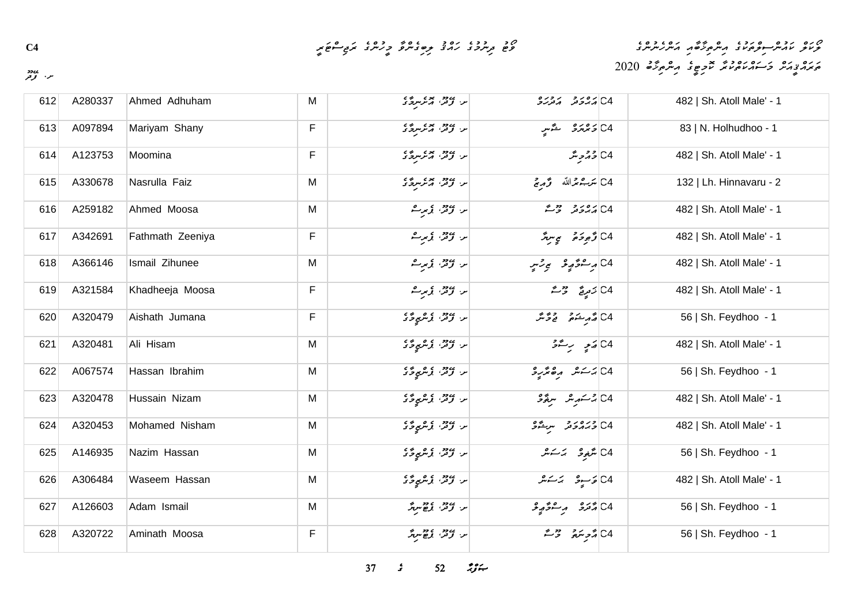*sCw7q7s5w7m< o<n9nOoAw7o< sCq;mAwBoEw7q<m; wBm;vB* م من المرة المرة المرة المرجع المرجع المرجع في 2020<br>مجم*د المريض المرجع المرجع المرجع المرجع المراجع المراجع الم*رجع

| 612 | A280337 | Ahmed Adhuham    | M         | ر، ۱۶۴۵ موسی <i> و</i> ره<br>در نوفر، از کرد | C4 <i>היכת הנגפ</i>                        | 482   Sh. Atoll Male' - 1 |
|-----|---------|------------------|-----------|----------------------------------------------|--------------------------------------------|---------------------------|
| 613 | A097894 | Mariyam Shany    | F         | مر به دو سره ده د د                          | C4 كەنگە بىر ئىشلىر                        | 83   N. Holhudhoo - 1     |
| 614 | A123753 | Moomina          | F         | مر به دو سره ده د د                          | C4 دېم د مگر                               | 482   Sh. Atoll Male' - 1 |
| 615 | A330678 | Nasrulla Faiz    | M         | ىر. ئۇقرا ئەترىپرىگى                         | C4 سَرَبِّهُ مِّدَاللّه وَ مِعْ            | 132   Lh. Hinnavaru - 2   |
| 616 | A259182 | Ahmed Moosa      | M         | ىن ئۇقتۇ، ئۇيرىش                             | $23.221$ C4                                | 482   Sh. Atoll Male' - 1 |
| 617 | A342691 | Fathmath Zeeniya | F         | ىر. ئۇنىش ئۈيرىشە                            | C4 تَهِ <i>حَقَ</i> پِسِرَّ                | 482   Sh. Atoll Male' - 1 |
| 618 | A366146 | Ismail Zihunee   | M         | ىر، ئۇقۇ، ئۇيرىش                             | C4 م <i>وس<sup>و</sup>ڈ م</i> وٹر ہوتے ہیں | 482   Sh. Atoll Male' - 1 |
| 619 | A321584 | Khadheeja Moosa  | F         | بر. پیچ پی پی ش                              | C4 كَتَامِيعٌ مَنْ حَمْ                    | 482   Sh. Atoll Male' - 1 |
| 620 | A320479 | Aishath Jumana   | F         | ىر. ئۇنىڭ كۆشپۈتۈك                           | C4 مەم ئىق قىق قى                          | 56   Sh. Feydhoo - 1      |
| 621 | A320481 | Ali Hisam        | M         | ىر، ئۇنق، بۇشبېرىمى                          | C4 <i>جَمْعِيَّة بِ</i> سُمَّةَتْ          | 482   Sh. Atoll Male' - 1 |
| 622 | A067574 | Hassan Ibrahim   | M         | ىر، ئۇنق، بۇشبېرىمى                          | C4 ئەسەمىر مەھ <i>مەر ۋ</i>                | 56   Sh. Feydhoo - 1      |
| 623 | A320478 | Hussain Nizam    | M         | ىر. ئۇنۇ، ئۇشبېرىگە                          | C4 جۇ سىر سىنى بىر                         | 482   Sh. Atoll Male' - 1 |
| 624 | A320453 | Mohamed Nisham   | M         | ىر. ئۇنۇ، ئۇشبېرىگە                          | C4 <i>32828 سرمنگ</i> و                    | 482   Sh. Atoll Male' - 1 |
| 625 | A146935 | Nazim Hassan     | M         | ىر. ئۇنىڭ كۆشپۈتۈك                           | C4 سَّمَعِ حَسَرَ سَمَسَّر                 | 56   Sh. Feydhoo - 1      |
| 626 | A306484 | Waseem Hassan    | M         | ىر، ئۇنق، بۇشبېرىمى                          | C4 كۈسىد <i>ى ئەسكىل</i> ر                 | 482   Sh. Atoll Male' - 1 |
| 627 | A126603 | Adam Ismail      | ${\sf M}$ | ىر بىردە بىرە بىر                            | C4 مُترَى مِ سُوَّمِ وَ                    | 56   Sh. Feydhoo - 1      |
| 628 | A320722 | Aminath Moosa    | F         | ىر. ئۇنىڭ بوقق بىرىگە                        | C4 مُوسَع ح                                | 56   Sh. Feydhoo - 1      |

**37** *s* **52** *n***<sub>3</sub> <b>***n*<sub>3</sub> *n*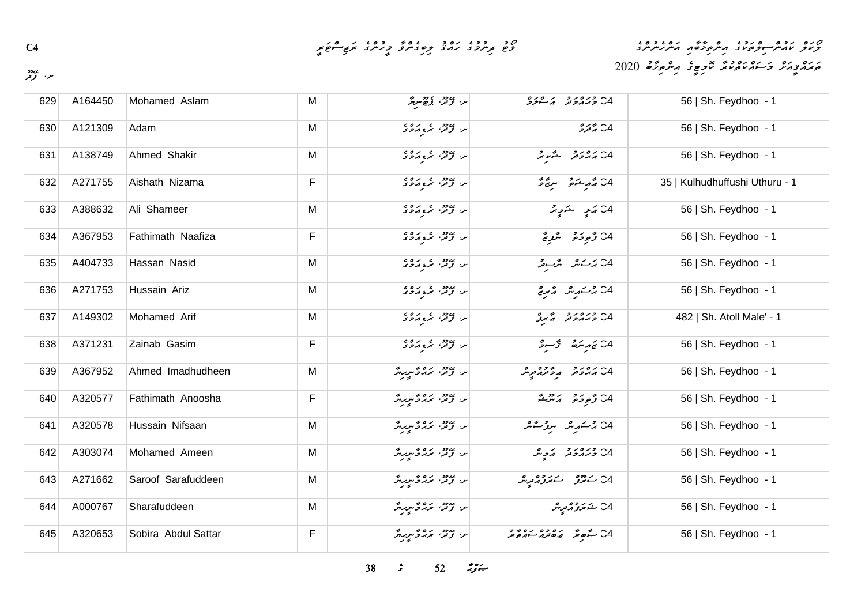*sCw7q7s5w7m< o<n9nOoAw7o< sCq;mAwBoEw7q<m; wBm;vB* م من المرة المرة المرة المرجع المرجع المرجع في 2020<br>مجم*د المريض المرجع المرجع المرجع المرجع المراجع المراجع الم*رجع

| 629 | A164450 | Mohamed Aslam       | M            | بر برود برومبر                                     | C4 ديروبر پر مردو                     | 56   Sh. Feydhoo - 1           |
|-----|---------|---------------------|--------------|----------------------------------------------------|---------------------------------------|--------------------------------|
| 630 | A121309 | Adam                | M            | ىن بەدە بەرە بەرە<br>س ۋەر بىرە بەرە ب             | C4 مُرْحَر                            | 56   Sh. Feydhoo - 1           |
| 631 | A138749 | Ahmed Shakir        | M            | بر مصور می ده و د                                  | C4 كەبرىق شەرىخە                      | 56   Sh. Feydhoo - 1           |
| 632 | A271755 | Aishath Nizama      | F            | بن ويه ده ده ده ده و                               | C4 مەم ئىستىم ھەرتىگە ئى              | 35   Kulhudhuffushi Uthuru - 1 |
| 633 | A388632 | Ali Shameer         | M            | بر عصود محدود و د و د                              | C4 <i>۾َ جِ</i> شَمِيمُ               | 56   Sh. Feydhoo - 1           |
| 634 | A367953 | Fathimath Naafiza   | F            | بن ويوم المستخدم بره من                            | C4 تَهِ حَيْثَ سَمَّدِيَّ             | 56   Sh. Feydhoo - 1           |
| 635 | A404733 | Hassan Nasid        | M            | بن بيرود مرء بره ده.                               | C4 كەسكەنلەر مىگرىس <sub>ى</sub> قىر  | 56   Sh. Feydhoo - 1           |
| 636 | A271753 | Hussain Ariz        | M            | بن من ده ده ده ده د                                | C4 پر سمبر شریع میں پر میں پر بھی جات | 56   Sh. Feydhoo - 1           |
| 637 | A149302 | Mohamed Arif        | M            | بن ويوم المروري                                    | C4 <i>2222 مگیرو</i>                  | 482   Sh. Atoll Male' - 1      |
| 638 | A371231 | Zainab Gasim        | F            | بن مصور محدود و در و د                             | C4 ىج مەيتىھ گ <sup>ە</sup> سوڭر      | 56   Sh. Feydhoo - 1           |
| 639 | A367952 | Ahmed Imadhudheen   | $\mathsf{M}$ |                                                    | C4 <i>הُدْوَنْ مِوَنْدْمُ بِ</i> رِسُ | 56   Sh. Feydhoo - 1           |
| 640 | A320577 | Fathimath Anoosha   | F            | ر بيرود برو وسربرگر                                | C4 تُرجوحَ مَ مَتَرْسُمٌ              | 56   Sh. Feydhoo - 1           |
| 641 | A320578 | Hussain Nifsaan     | M            | من كوفر، مركز كارمريكر                             | C4 يُرْسَمَ مِيْشْ سِيْرْسَتْمَسْ     | 56   Sh. Feydhoo - 1           |
| 642 | A303074 | Mohamed Ameen       | M            |                                                    | C4 <i>\$2923</i> مَحِيش               | 56   Sh. Feydhoo - 1           |
| 643 | A271662 | Saroof Sarafuddeen  | M            | س من دور برو محمد بر برگر<br>س توفر، محمد شهر محمد | C4 كەندۇ سەندۇرمۇرىتىر                | 56   Sh. Feydhoo - 1           |
| 644 | A000767 | Sharafuddeen        | M            |                                                    | C4 شەنىرۇ قرىرىشر                     | 56   Sh. Feydhoo - 1           |
| 645 | A320653 | Sobira Abdul Sattar | F            | من قومي مركز محر مريد مر                           | C4 شوځ ده ده ده د                     | 56   Sh. Feydhoo - 1           |

**38** *s* **52** *n***<sub>y</sub> <b>***n*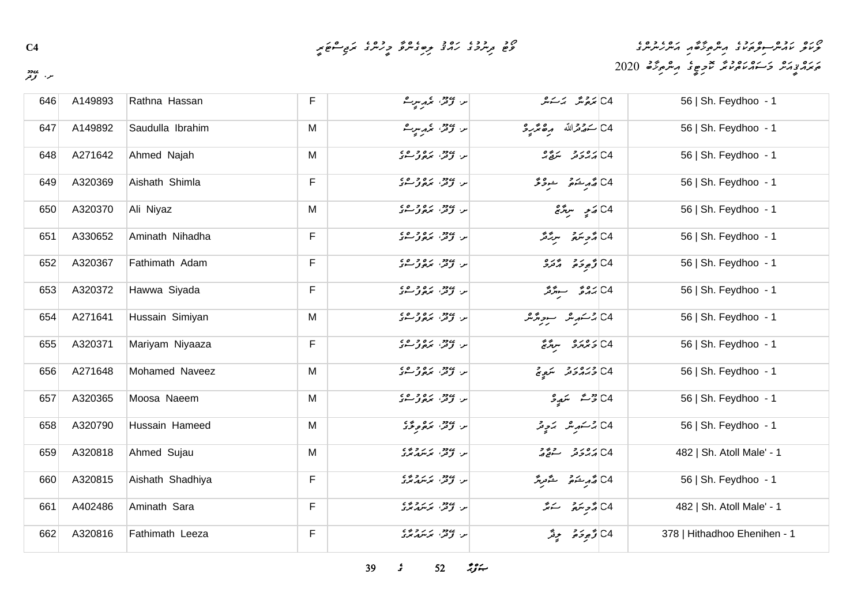*sCw7q7s5w7m< o<n9nOoAw7o< sCq;mAwBoEw7q<m; wBm;vB* م من المرة المرة المرة المرجع المرجع المرجع في 2020<br>مجم*د المريض المرجع المرجع المرجع المرجع المراجع المراجع الم*رجع

| 646 | A149893 | Rathna Hassan    | F            | ىر. ئۇقرا ئۇم بىرىش                                                                                                                                                                                                              | C4 ئىق <sub>ە</sub> قىش ئەسەئىر           | 56   Sh. Feydhoo - 1         |
|-----|---------|------------------|--------------|----------------------------------------------------------------------------------------------------------------------------------------------------------------------------------------------------------------------------------|-------------------------------------------|------------------------------|
| 647 | A149892 | Saudulla Ibrahim | M            | یں توفر، عہدیدے                                                                                                                                                                                                                  | C4 ستر <i>م</i> قرالله م <i>وکانگری</i> و | 56   Sh. Feydhoo - 1         |
| 648 | A271642 | Ahmed Najah      | M            | ىن ئەدەر بەھ دە ئ                                                                                                                                                                                                                | C4 كەبرى بىر سى <i>مىغ</i>                | 56   Sh. Feydhoo - 1         |
| 649 | A320369 | Aishath Shimla   | F            | ىن ئەدەر بەھ دە ئ                                                                                                                                                                                                                | C4 مُ مِسْمَعْ صِحْرَ                     | 56   Sh. Feydhoo - 1         |
| 650 | A320370 | Ali Niyaz        | M            | ىن ئۇنتر، برە دە ە ،                                                                                                                                                                                                             | C4 کیے مر <i>مڑ</i> ی                     | 56   Sh. Feydhoo - 1         |
| 651 | A330652 | Aminath Nihadha  | F            | ىن ئەدەر بەھ دە ئ                                                                                                                                                                                                                | C4 مُّحِ سَمَّةً مِسْتَقَّهُ              | 56   Sh. Feydhoo - 1         |
| 652 | A320367 | Fathimath Adam   | F            | ىن ئۇنتر، برە دە ە ي                                                                                                                                                                                                             | C4 وَّجِوحَةٌ مُحَمَّدٌ                   | 56   Sh. Feydhoo - 1         |
| 653 | A320372 | Hawwa Siyada     | F            | ر، پیور بره و و ع<br>بر· توتر، برجوتوسوی                                                                                                                                                                                         | C4 ئەمگە ئەسىر ئىگە                       | 56   Sh. Feydhoo - 1         |
| 654 | A271641 | Hussain Simiyan  | M            | ر به دو بره و و د و د<br>بر از تولن المرجو توسع                                                                                                                                                                                  | C4 بر سے ہر سو بڑ مگر                     | 56   Sh. Feydhoo - 1         |
| 655 | A320371 | Mariyam Niyaaza  | F            | ىن ئۇنتر، برە دە ە ،                                                                                                                                                                                                             | C4 كەبەر ئەرمەتىتى                        | 56   Sh. Feydhoo - 1         |
| 656 | A271648 | Mohamed Naveez   | $\mathsf{M}$ | ىر. ئەدەر برە دەرە ئ                                                                                                                                                                                                             | C4 <i>\$222 مكون</i> ح                    | 56   Sh. Feydhoo - 1         |
| 657 | A320365 | Moosa Naeem      | M            | ىن ئۇنتر، برە دە ە ،                                                                                                                                                                                                             | C4 جي س <i>تمب</i> و                      | 56   Sh. Feydhoo - 1         |
| 658 | A320790 | Hussain Hameed   | M            | ىن كۆمى برە بەرى                                                                                                                                                                                                                 | C4 جُسَمَ مِرْ جَرِيْرٌ                   | 56   Sh. Feydhoo - 1         |
| 659 | A320818 | Ahmed Sujau      | M            |                                                                                                                                                                                                                                  | $222$ $222$ $-222$ $-6$                   | 482   Sh. Atoll Male' - 1    |
| 660 | A320815 | Aishath Shadhiya | F            | ر، می دور در در در در در در در این باشد و باشد و باشد و باشد و باشد و باشد و باشد و باشد باشد باشد باشد باشد ب<br>باشد باشد و باشد باشد باشد باشد باشد باشد و باشد و باشد و باشد و باشد و باشد باشد باشد باشد باشد باشد باشد باش | C4 مُذْمِرْ حَدَّمَوْ مُحَسَّمَةِ مِرْدَّ | 56   Sh. Feydhoo - 1         |
| 661 | A402486 | Aminath Sara     | F            | ىن ئەدەب بەر دەپ                                                                                                                                                                                                                 | C4 مرَّحب <i>ر بِنَ</i> هُمْ سَمَتَر      | 482   Sh. Atoll Male' - 1    |
| 662 | A320816 | Fathimath Leeza  | F            |                                                                                                                                                                                                                                  | C4 <i>وَّجودَة</i> مِيثَر                 | 378   Hithadhoo Ehenihen - 1 |

**39** *s* **52** *z s* 

*roce*<br>مر. توق*م*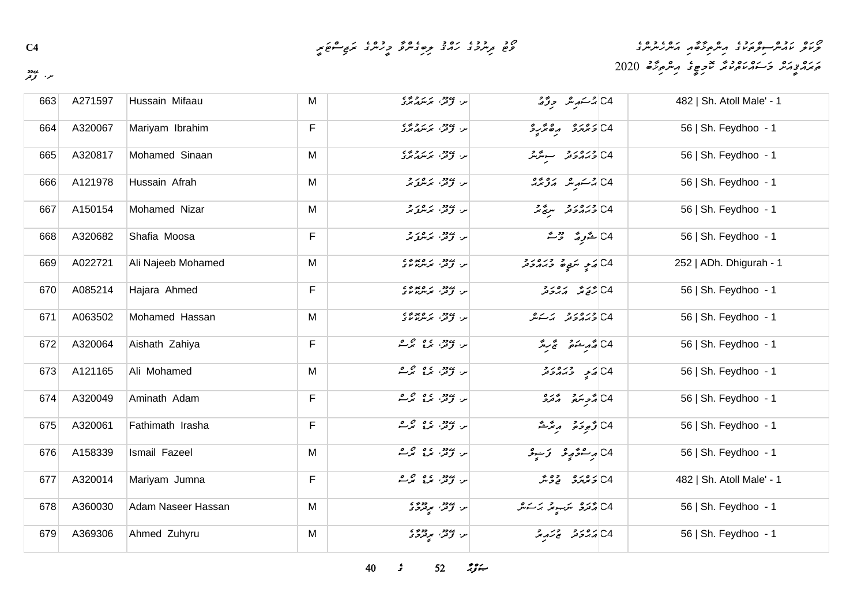*sCw7q7s5w7m< o<n9nOoAw7o< sCq;mAwBoEw7q<m; wBm;vB* م من المرة المرة المرة المرجع المرجع المرجع في 2020<br>مجم*د المريض المرجع المرجع المرجع المرجع المراجع المراجع الم*رجع

| 663 | A271597 | Hussain Mifaau     | M | س کادو بر دیده و                                                               | C4  جرشہ مرو <i>گ</i> ھ                    | 482   Sh. Atoll Male' - 1 |
|-----|---------|--------------------|---|--------------------------------------------------------------------------------|--------------------------------------------|---------------------------|
| 664 | A320067 | Mariyam Ibrahim    | F | ر، می در در در در در در در در در این برای کرد.<br>سرد او تولیل استر میکرد کرد. | C4 <i>كا تحمير من مقترب</i>                | 56   Sh. Feydhoo - 1      |
| 665 | A320817 | Mohamed Sinaan     | M | ر، دود.<br>در کوتر، برسمدبود                                                   | C4 دېرونو سوش                              | 56   Sh. Feydhoo - 1      |
| 666 | A121978 | Hussain Afrah      | M | یں بھی بر مرد و                                                                | C4 ير <i>شهر مگر مگر مگر ب</i>             | 56   Sh. Feydhoo - 1      |
| 667 | A150154 | Mohamed Nizar      | M | ىن ئەدەب بەھەر د                                                               | C4 <i>دېمم</i> ونه سرچ تر                  | 56   Sh. Feydhoo - 1      |
| 668 | A320682 | Shafia Moosa       | F | ىن كەن ئەھەم 2                                                                 | C4 شَوِرَةٌ حَ <sup>م</sup> َّةً           | 56   Sh. Feydhoo - 1      |
| 669 | A022721 | Ali Najeeb Mohamed | M | מי כם גם גם)<br>תי צבלי המיטוב                                                 | C4 كەبىي سەم 250.0 د                       | 252   ADh. Dhigurah - 1   |
| 670 | A085214 | Hajara Ahmed       | F | ر بیرود بر دیده با<br>در نوتس برس در دی                                        | C4 ترْيَح مَدْ دَوْرْ                      | 56   Sh. Feydhoo - 1      |
| 671 | A063502 | Mohamed Hassan     | M | ر میرود بر وید دی.<br>در کوتن مرس در دی                                        | C4 <i>32823</i> برسكس                      | 56   Sh. Feydhoo - 1      |
| 672 | A320064 | Aishath Zahiya     | F | ىر، ئۇنىز، ئىرە مىرگ                                                           | C4 مەم يىسىم ئىتى بىر                      | 56   Sh. Feydhoo - 1      |
| 673 | A121165 | Ali Mohamed        | M | ىر. ئۇنز، ئىرق بوگ                                                             | C4 <i>جَمْعِي حَمَدُو</i> مَرَ             | 56   Sh. Feydhoo - 1      |
| 674 | A320049 | Aminath Adam       | F | ىر. ئۇنز، ئىرق بوگ                                                             | C4 مُجرِسَع <sub>ة</sub> مُعَرَّد          | 56   Sh. Feydhoo - 1      |
| 675 | A320061 | Fathimath Irasha   | F | بر، پی دو می می شد.                                                            | C4 تۇموخۇ مەمگەشگە                         | 56   Sh. Feydhoo - 1      |
| 676 | A158339 | Ismail Fazeel      | M | ىر. ئۇنتى، ئىرقى ئىرگ                                                          | C4 م <sup>ر</sup> مۇھۇر ئىي ئىيدى          | 56   Sh. Feydhoo - 1      |
| 677 | A320014 | Mariyam Jumna      | F | بر کارو پاه هم ش                                                               | C4 كەبەد قومۇ                              | 482   Sh. Atoll Male' - 1 |
| 678 | A360030 | Adam Naseer Hassan | M | بر عصوم برودی                                                                  | C4 <i>مُقرَّدٌ</i> مَرْسِوِيْرَ بَرْسَمْسُ | 56   Sh. Feydhoo - 1      |
| 679 | A369306 | Ahmed Zuhyru       | M | ىر: ئۇنى، مەد <i>ەرە</i>                                                       | C4 كەبروتىر ب <i>ې ئەبەب</i> تى            | 56   Sh. Feydhoo - 1      |

*40 s* 52 *i*<sub>S</sub> $\approx$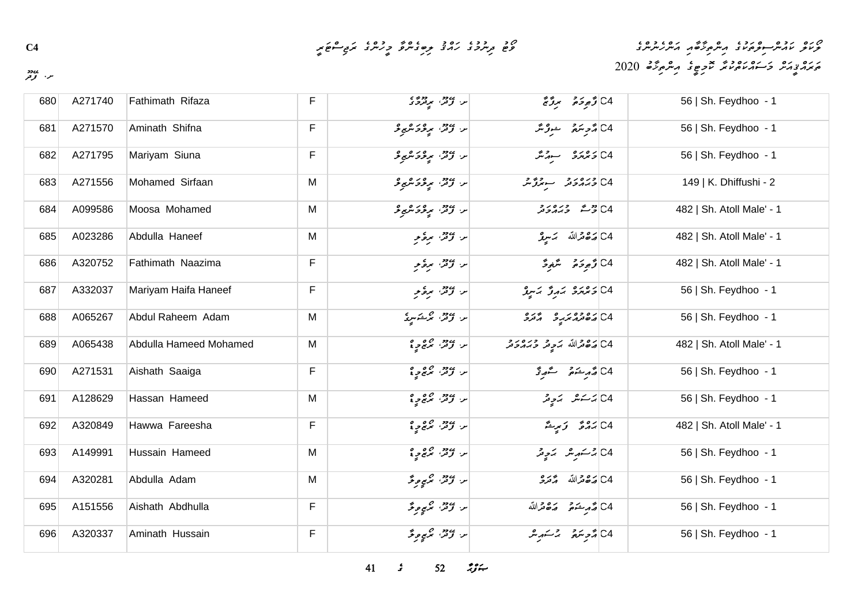*sCw7q7s5w7m< o<n9nOoAw7o< sCq;mAwBoEw7q<m; wBm;vB* م من المرة المرة المرة المرجع المرجع المرجع في 2020<br>مجم*د المريض المرجع المرجع المرجع المرجع المراجع المراجع الم*رجع

| 680 | A271740 | Fathimath Rifaza       | F            | بر عصوم موفوع ا                | C4 ۇ <sub>جو</sub> رۇ برۇئج                   | 56   Sh. Feydhoo - 1      |
|-----|---------|------------------------|--------------|--------------------------------|-----------------------------------------------|---------------------------|
| 681 | A271570 | Aminath Shifna         | F            | ر پير پروژم په ک               | C4 مُرْحِبَتَهُمْ سُورْتَثَر                  | 56   Sh. Feydhoo - 1      |
| 682 | A271795 | Mariyam Siuna          | F            | بر وتمرس برود شهر و            | C4 كەبىر كىرىگە بىر ئىگە                      | 56   Sh. Feydhoo - 1      |
| 683 | A271556 | Mohamed Sirfaan        | M            | ما الأقراء البر فركز مرتبع فر  | C4 <i>ۋىرە دو</i> سو <i>مرۇ</i> تىر           | 149   K. Dhiffushi - 2    |
| 684 | A099586 | Moosa Mohamed          | M            | ىر. ئۇقرا بېرىمى ئىسى ئى       | C4 تر دبره ديو                                | 482   Sh. Atoll Male' - 1 |
| 685 | A023286 | Abdulla Haneef         | $\mathsf{M}$ | برا گانی برهٔ و                | C4 كەھىراللە ئەس <i>بىر</i>                   | 482   Sh. Atoll Male' - 1 |
| 686 | A320752 | Fathimath Naazima      | F            | اللا تؤثثن لبرقام              | C4 تَ <i>'جوحَمْ سَّنْج</i> ِحَّ              | 482   Sh. Atoll Male' - 1 |
| 687 | A332037 | Mariyam Haifa Haneef   | $\mathsf F$  | من نؤفراً، سرة مع              | C4 5 يوپرى بر برق بر سرپى                     | 56   Sh. Feydhoo - 1      |
| 688 | A065267 | Abdul Raheem Adam      | M            | اللا أوقراء المرحضوري          | C4 مُصْعَمِّه مَعْرِ مُعَرَّدٍ                | 56   Sh. Feydhoo - 1      |
| 689 | A065438 | Abdulla Hameed Mohamed | M            | بر پیوو می ه ه                 | C4 رَحْمَة اللَّهُ بَرَدِيْرٌ وَبَرَمُ وَمَهْ | 482   Sh. Atoll Male' - 1 |
| 690 | A271531 | Aishath Saaiga         | F            | بر ہوتو، برج و ہ               | C4 مُرْمِسْمَ صَمْرِيَّ                       | 56   Sh. Feydhoo - 1      |
| 691 | A128629 | Hassan Hameed          | M            | ىر. يەدە مى مى م               | C4   پرسترېنته   پر ټرم <i>گر</i>             | 56   Sh. Feydhoo - 1      |
| 692 | A320849 | Hawwa Fareesha         | $\mathsf F$  | بر ہے جو صوص                   | C4 كەشرىق كى موسقە                            | 482   Sh. Atoll Male' - 1 |
| 693 | A149991 | Hussain Hameed         | M            | بر په دوه چې ده و              | C4 بر <i>کشمیر بنگ بر</i> و تر                | 56   Sh. Feydhoo - 1      |
| 694 | A320281 | Abdulla Adam           | M            | بر وسي چې چې په کلیمې په په کل | C4 مَصْعَراللَّهُ مَعْرَضُ                    | 56   Sh. Feydhoo - 1      |
| 695 | A151556 | Aishath Abdhulla       | F            | بر کوفر، نژیږدگ                | C4 مُجمِّسَة مَ صَوْتِرَ اللّه                | 56   Sh. Feydhoo - 1      |
| 696 | A320337 | Aminath Hussain        | F            | بر وسي چې چې په کلیمې په په کل | C4 مُتَّحِسَمُ مُتَ يَسَمَّرِ مِثْر           | 56   Sh. Feydhoo - 1      |

 $41$  *s* 52  $25$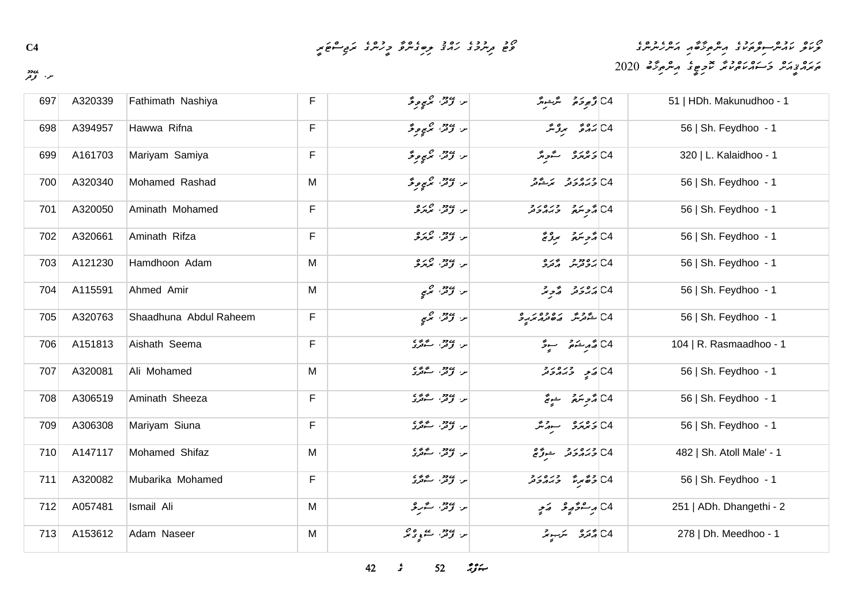*sCw7q7s5w7m< o<n9nOoAw7o< sCq;mAwBoEw7q<m; wBm;vB* م من المرة المرة المرة المرجع المرجع المرجع في 2020<br>مجم*د المريض المرجع المرجع المرجع المرجع المراجع المراجع الم*رجع

| 697 | A320339 | Fathimath Nashiya      | F           | ىر: ئۇنىڭ ئىگىج جانگى              | C4 تُرجوحَة مُتَرْسُوتَرَ            | 51   HDh. Makunudhoo - 1  |
|-----|---------|------------------------|-------------|------------------------------------|--------------------------------------|---------------------------|
| 698 | A394957 | Hawwa Rifna            | F           | ىر. ئۇنۇ، ئۇي بوق                  | C4 <i>بَدْهُ تَمْ بِرِوْ</i> نَدُ    | 56   Sh. Feydhoo - 1      |
| 699 | A161703 | Mariyam Samiya         | F           | بر په ده چې د گ                    | C4 <i>جەندى گەج</i> ىگە              | 320   L. Kalaidhoo - 1    |
| 700 | A320340 | Mohamed Rashad         | M           | ىر: ئۇنىش ئىمى بوڭ                 | C4 <i>3222 كرش</i> گ                 | 56   Sh. Feydhoo - 1      |
| 701 | A320050 | Aminath Mohamed        | F           | ىر. ئەدەب مەرە                     | C4 مُوسَعْدِ حِمْدَ مَعْ             | 56   Sh. Feydhoo - 1      |
| 702 | A320661 | Aminath Rifza          | F           | ىر. ئەجى مى بەرە                   | C4 مُجِسَعَةٍ مِرْدَىَّ              | 56   Sh. Feydhoo - 1      |
| 703 | A121230 | Hamdhoon Adam          | M           | ىر. ئەدەر 2 رە                     | C4 كەفتەتتە ئەتەرە                   | 56   Sh. Feydhoo - 1      |
| 704 | A115591 | Ahmed Amir             | M           | ىر. ئۇنىش ئۈيى                     | C4 <i>مُدْحَدٌ</i> مُحْمِدٌ          | 56   Sh. Feydhoo - 1      |
| 705 | A320763 | Shaadhuna Abdul Raheem | $\mathsf F$ | ىر. ئۇنتر، ئىرىپى                  | C4 شۇنرىش مەھ <i>ىرمىكى</i> ر        | 56   Sh. Feydhoo - 1      |
| 706 | A151813 | Aishath Seema          | F           | ىن ئەدەب شەھرى<br>ىن ئۇقىر، سەتىرى | C4 مەمرىشمۇ سوڭر                     | 104   R. Rasmaadhoo - 1   |
| 707 | A320081 | Ali Mohamed            | M           | ىن ئەدەپ سەھ ي                     | C4 كەير <i>مەمم</i> ۇم               | 56   Sh. Feydhoo - 1      |
| 708 | A306519 | Aminath Sheeza         | F           | ىن ئەدەپ سەھ ي                     | C4 مُجرِسَعُ شَيِّعَ                 | 56   Sh. Feydhoo - 1      |
| 709 | A306308 | Mariyam Siuna          | F           | ىر. يەدە. سەھەي                    | C4 كەبىر كەرگە سىرتىگە               | 56   Sh. Feydhoo - 1      |
| 710 | A147117 | Mohamed Shifaz         | M           | ىر. يەدە.<br>ىر. تۇقىر، سىقرى      | C4 <i>32828 شوقى</i> ج               | 482   Sh. Atoll Male' - 1 |
| 711 | A320082 | Mubarika Mohamed       | F           | ىن ئەدەپى سەھرى                    | C4 جۇھىرى <i>گە جەم</i> ردىر         | 56   Sh. Feydhoo - 1      |
| 712 | A057481 | Ismail Ali             | M           | ىر. ئۇقۇ، سەرىۋ                    | C4 <sub>م</sub> رےد <i>ؤر</i> ی کے پ | 251   ADh. Dhangethi - 2  |
| 713 | A153612 | Adam Naseer            | M           | ىر، ئۇتتى، شەيدىم                  | C4 مُحَمَّدَ مَعَ يَجْمُ             | 278   Dh. Meedhoo - 1     |

*42 s* 52  $2.94$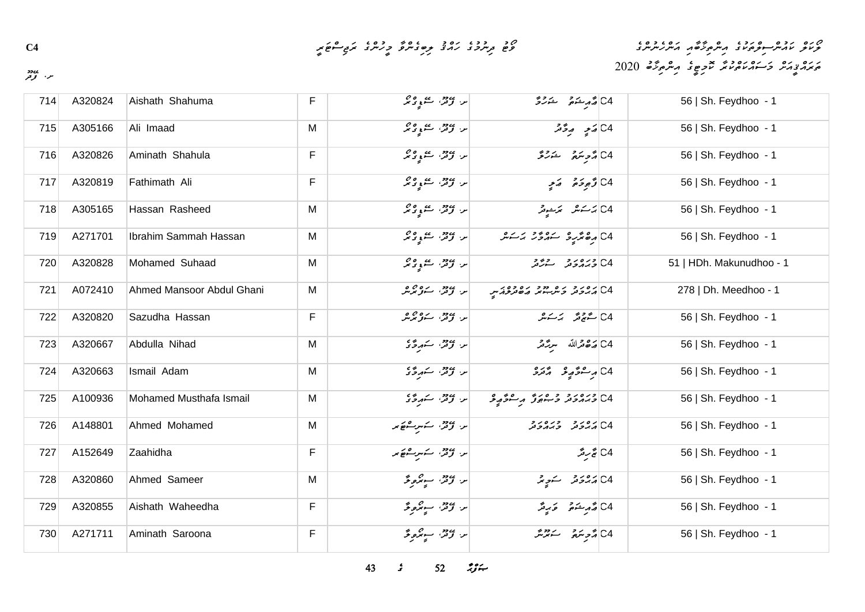*sCw7q7s5w7m< o<n9nOoAw7o< sCq;mAwBoEw7q<m; wBm;vB* م من المرة المرة المرة المرجع المرجع المرجع في 2020<br>مجم*د المريض المرجع المرجع المرجع المرجع المراجع المراجع الم*رجع

| 714 | A320824 | Aishath Shahuma           | $\mathsf F$  | ىر، ئۇقتى، شەيدىرىم                     | C4 م <i>ەمبىنى خەرق</i>                   | 56   Sh. Feydhoo - 1     |
|-----|---------|---------------------------|--------------|-----------------------------------------|-------------------------------------------|--------------------------|
| 715 | A305166 | Ali Imaad                 | M            | پر اورمان سے وی ح                       | C4 <i>ھَ جِهِ مِ</i> قَمَّد               | 56   Sh. Feydhoo - 1     |
| 716 | A320826 | Aminath Shahula           | F            | ىر، ئۇنىش شەرەرى<br>بىر، ئۇنىش، شەرىخىل | C4 مُجِسَعَةِ شَمَرْتَزَ                  | 56   Sh. Feydhoo - 1     |
| 717 | A320819 | Fathimath Ali             | $\mathsf{F}$ | بر بیرود سے وی                          | C4 و <i>گيوڅو مک</i> م                    | 56   Sh. Feydhoo - 1     |
| 718 | A305165 | Hassan Rasheed            | M            | لر. يه ده سند وچ                        | C4 كەسكەنلەر <b>ك</b> رىش <sub>ۇ</sub> قر | 56   Sh. Feydhoo - 1     |
| 719 | A271701 | Ibrahim Sammah Hassan     | M            | ابن المناوح المعدوم المحافظ             | C4 رەغرىرى سەممىر ئەسەر                   | 56   Sh. Feydhoo - 1     |
| 720 | A320828 | Mohamed Suhaad            | M            | من توفق ستوى مى                         | C4 <i>جەممى تەشق</i> ر                    | 51   HDh. Makunudhoo - 1 |
| 721 | A072410 | Ahmed Mansoor Abdul Ghani | M            | پن قومی سوچ چی                          | C4 גפני כי פי פי גם כפנית                 | 278   Dh. Meedhoo - 1    |
| 722 | A320820 | Sazudha Hassan            | $\mathsf{F}$ | پن میں دوم میں                          | C4 گەنچوقر ئەسكەنلىر                      | 56   Sh. Feydhoo - 1     |
| 723 | A320667 | Abdulla Nihad             | M            | ىن ئۇنتى سەھلىمى                        | C4 مَەھىراللە س <i>ېرت</i> ىر             | 56   Sh. Feydhoo - 1     |
| 724 | A320663 | Ismail Adam               | M            | بر عصوم ستهروی                          | C4 مِـــْمَرَّمِهِ مَـْ مَرْمَرَّدَّ      | 56   Sh. Feydhoo - 1     |
| 725 | A100936 | Mohamed Musthafa Ismail   | M            | من بين بين مسكور بين بين ا              | C4 دره در د و وروژ مرگوری                 | 56   Sh. Feydhoo - 1     |
| 726 | A148801 | Ahmed Mohamed             | M            | ر کوئر، سکس کاهر                        | C4 كەبەر دىرەرد                           | 56   Sh. Feydhoo - 1     |
| 727 | A152649 | Zaahidha                  | $\mathsf{F}$ | ىر. ئۇنىز، سەسرىسىمى                    | C4 محج س <sub>ر</sub> مثر                 | 56   Sh. Feydhoo - 1     |
| 728 | A320860 | Ahmed Sameer              | M            | مرا تؤثث سوچري گ                        | C4 <i>مەندى قىلى</i> سەم <i>چەت</i> ر     | 56   Sh. Feydhoo - 1     |
| 729 | A320855 | Aishath Waheedha          | F            | من تۇتقا سومگرمونخە                     | C4 مەم ئىسكەم قىرىمىگە                    | 56   Sh. Feydhoo - 1     |
| 730 | A271711 | Aminath Saroona           | F            | ىر. ئۇنىڭ سونترى ئى                     | C4 مُرْحِبَتَهُمْ مُسْتَمَبَّتُر          | 56   Sh. Feydhoo - 1     |

*43 s* 52  $25.7$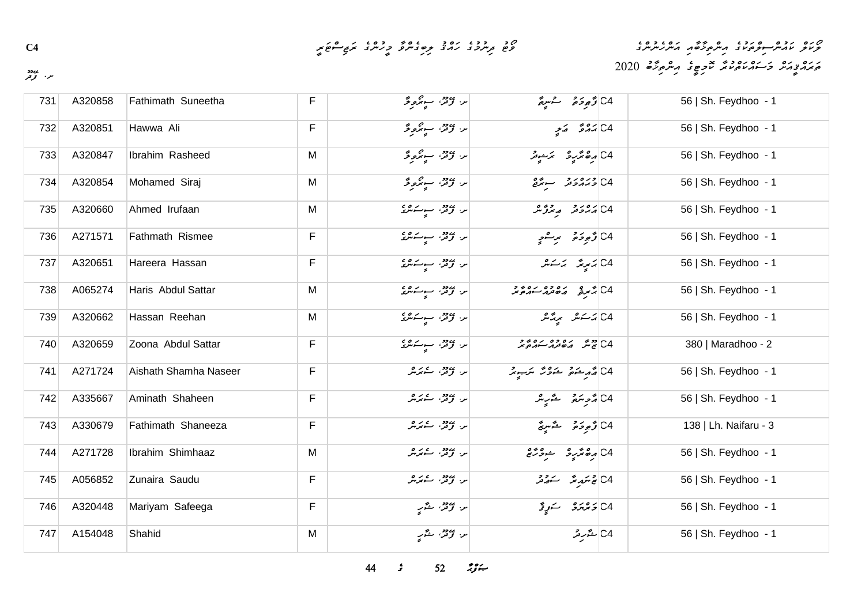*sCw7q7s5w7m< o<n9nOoAw7o< sCq;mAwBoEw7q<m; wBm;vB* م من المرة المرة المرة المرجع المرجع المرجع في 2020<br>مجم*د المريض المرجع المرجع المرجع المرجع المراجع المراجع الم*رجع

| 731 | A320858 | Fathimath Suneetha    | F           | ىر. ئۇنتر، سونترە ئى | C4 زَّەپرىز ئىشىر ئەشرىقى                                                                                     | 56   Sh. Feydhoo - 1  |
|-----|---------|-----------------------|-------------|----------------------|---------------------------------------------------------------------------------------------------------------|-----------------------|
| 732 | A320851 | Hawwa Ali             | F           | ىر. ئۇنق سونترىرىگە  | C4 بَرْدَةً <sub>م</sub> َر <sub>َ</sub> حِ                                                                   | 56   Sh. Feydhoo - 1  |
| 733 | A320847 | Ibrahim Rasheed       | M           | بر نۇش سەنگەنگە      | C4 مەھەمگەر ئىس مىخسىمىتى C4                                                                                  | 56   Sh. Feydhoo - 1  |
| 734 | A320854 | Mohamed Siraj         | M           | بر پيوه سوټرونځ      | C4 <i>32828</i> برمو <i>ق</i>                                                                                 | 56   Sh. Feydhoo - 1  |
| 735 | A320660 | Ahmed Irufaan         | M           | یں ہیں سوسکسی        | C4 كەبرى قىر مەيزۇنتىر                                                                                        | 56   Sh. Feydhoo - 1  |
| 736 | A271571 | Fathmath Rismee       | $\mathsf F$ | یں ہیں سوسکسی ک      | C4 وَجوحَة مَ سِرْحَةٍ                                                                                        | 56   Sh. Feydhoo - 1  |
| 737 | A320651 | Hareera Hassan        | F           | یں اوپوں سوسکسی ک    | C4 كىمبەنگە كەسكەنلى                                                                                          | 56   Sh. Feydhoo - 1  |
| 738 | A065274 | Haris Abdul Sattar    | M           | بر ہیں سوسکاری       | C4 مجمع مقادر مقدم محمد مقادر محمد حرم محمد المجمع محمد المحمد محمد المحمد المحمد المحمد المحمد المحمد المحمد | 56   Sh. Feydhoo - 1  |
| 739 | A320662 | Hassan Reehan         | M           | بر ہیں سوسکاری       | C4 ئەسەمىر س <sub>ى</sub> رمىگىر                                                                              | 56   Sh. Feydhoo - 1  |
| 740 | A320659 | Zoona Abdul Sattar    | $\mathsf F$ | یں ہیں سوسکھی        | C4 تړين پره ده بره د د                                                                                        | 380   Maradhoo - 2    |
| 741 | A271724 | Aishath Shamha Naseer | $\mathsf F$ | ر پیچ شکریں          | C4 مەمرىشمى ئىشى ئىرىسى ئىسىم                                                                                 | 56   Sh. Feydhoo - 1  |
| 742 | A335667 | Aminath Shaheen       | F           | ىر. ئۇقرا سەيرىش     | C4 مُرْحِسَةً شَّرِيْتُر                                                                                      | 56   Sh. Feydhoo - 1  |
| 743 | A330679 | Fathimath Shaneeza    | $\mathsf F$ | ىر. ئەدە ئەيرىش      | C4 تُرجوحَر حَمَّسِيحَ                                                                                        | 138   Lh. Naifaru - 3 |
| 744 | A271728 | Ibrahim Shimhaaz      | M           | ىن ئەدەر بەيرىش      | C4 مەھەر بەر سىر <i>ە</i> مى                                                                                  | 56   Sh. Feydhoo - 1  |
| 745 | A056852 | Zunaira Saudu         | $\mathsf F$ | ىر. ئۇقرا شەيرىش     | C4 ىج ئىترىم ئىش سىزدىتر                                                                                      | 56   Sh. Feydhoo - 1  |
| 746 | A320448 | Mariyam Safeega       | $\mathsf F$ | ىر. ئۇنىڭ سۇپ        | C4 كۆچ <sub>ى</sub> رى سەرپ <sup>ى</sup> ق                                                                    | 56   Sh. Feydhoo - 1  |
| 747 | A154048 | Shahid                | M           | ىر. ئۇنىز، ئىگەر     | C4 ڪمريز                                                                                                      | 56   Sh. Feydhoo - 1  |

*44 sC 52 nNw?mS*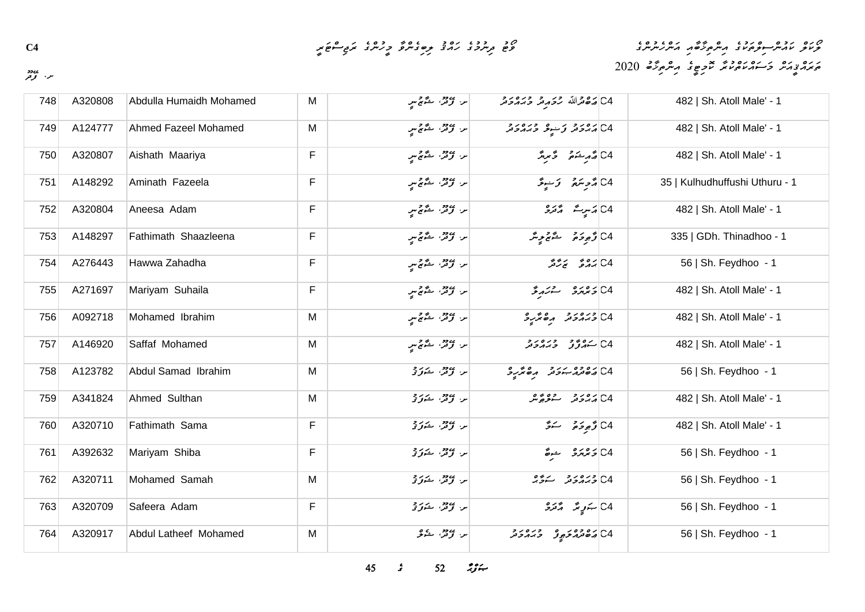*sCw7q7s5w7m< o<n9nOoAw7o< sCq;mAwBoEw7q<m; wBm;vB* م من المرة المرة المرة المرجع المرجع المرجع في 2020<br>مجم*د المريض المرجع المرجع المرجع المرجع المراجع المراجع الم*رجع

| 748 | A320808 | Abdulla Humaidh Mohamed | M            | موسىقى ھەتتى مىر     | C4 كَرْهُ مِّرَاللَّهُ رَحَرَ مِنْ حَرَبَ مِنْ حَرْ                                                                                                                                                                                                                                                                                                                                                                                                          | 482   Sh. Atoll Male' - 1      |
|-----|---------|-------------------------|--------------|----------------------|--------------------------------------------------------------------------------------------------------------------------------------------------------------------------------------------------------------------------------------------------------------------------------------------------------------------------------------------------------------------------------------------------------------------------------------------------------------|--------------------------------|
| 749 | A124777 | Ahmed Fazeel Mohamed    | M            | ىر. ئۇقتى، ئىشتى بىر |                                                                                                                                                                                                                                                                                                                                                                                                                                                              | 482   Sh. Atoll Male' - 1      |
| 750 | A320807 | Aishath Maariya         | $\mathsf{F}$ | ىن ئۇقرا ھەتتى بىر   | C4 مەم شىم ئى ئىبەر                                                                                                                                                                                                                                                                                                                                                                                                                                          | 482   Sh. Atoll Male' - 1      |
| 751 | A148292 | Aminath Fazeela         | $\mathsf F$  | ىن ئۇقرا ھەمچىس      | C4 مَّ <i>جِسَمَةَ وَسِيغَ</i> ّ                                                                                                                                                                                                                                                                                                                                                                                                                             | 35   Kulhudhuffushi Uthuru - 1 |
| 752 | A320804 | Aneesa Adam             | $\mathsf F$  | ىن ئۇقرا ھەمچىس      | C4 كەسرىسە مەمەرد                                                                                                                                                                                                                                                                                                                                                                                                                                            | 482   Sh. Atoll Male' - 1      |
| 753 | A148297 | Fathimath Shaazleena    | $\mathsf F$  | ىن ئۇقرا ھەتتى بىر   | C4 تَ <i>جوحَمْ شَيْءِ مِيتَر</i>                                                                                                                                                                                                                                                                                                                                                                                                                            | 335   GDh. Thinadhoo - 1       |
| 754 | A276443 | Hawwa Zahadha           | F            | ىن ئۇقرا ھەتتى بىر   | C4 بَرْدْتَرْ بِحَرْتَدْ                                                                                                                                                                                                                                                                                                                                                                                                                                     | 56   Sh. Feydhoo - 1           |
| 755 | A271697 | Mariyam Suhaila         | $\mathsf F$  | ىن ئۇقرا ھەمچىس      | C4 كەنگەر ئەسىمبەر ئى                                                                                                                                                                                                                                                                                                                                                                                                                                        | 482   Sh. Atoll Male' - 1      |
| 756 | A092718 | Mohamed Ibrahim         | M            | ىر. ئۇقرا ھۇيج بىر   | C4 <i>وُبَهُ دَوَنَّةَ</i> مِنْ مُرَّمِّهِ                                                                                                                                                                                                                                                                                                                                                                                                                   | 482   Sh. Atoll Male' - 1      |
| 757 | A146920 | Saffaf Mohamed          | M            | ىن ئۇقرا ھەمچىس      | C4 شهر در در در د                                                                                                                                                                                                                                                                                                                                                                                                                                            | 482   Sh. Atoll Male' - 1      |
| 758 | A123782 | Abdul Samad Ibrahim     | M            | ىن ئۇنىش، ئىشتۇتى    | C4 كەھىركە بىر ئەر مەھكرىرى                                                                                                                                                                                                                                                                                                                                                                                                                                  | 56   Sh. Feydhoo - 1           |
| 759 | A341824 | Ahmed Sulthan           | M            | ىن كۆش خەرج          | C4 كەبرو يەم يوم بىر                                                                                                                                                                                                                                                                                                                                                                                                                                         | 482   Sh. Atoll Male' - 1      |
| 760 | A320710 | Fathimath Sama          | $\mathsf F$  | ىن ئۇنىش، ئىشتۇتى    | C4 تۇ <sub>جۇ</sub> خۇ س <del>ى</del> گە                                                                                                                                                                                                                                                                                                                                                                                                                     | 482   Sh. Atoll Male' - 1      |
| 761 | A392632 | Mariyam Shiba           | $\mathsf F$  | ىن ئۇنىڭ سەرىج       | $\stackrel{2}{\bullet}$ $\stackrel{2}{\bullet}$ $\stackrel{2}{\bullet}$ $\stackrel{2}{\bullet}$ $\stackrel{2}{\bullet}$ $\stackrel{2}{\bullet}$ $\stackrel{2}{\bullet}$ $\stackrel{2}{\bullet}$ $\stackrel{2}{\bullet}$ $\stackrel{2}{\bullet}$ $\stackrel{2}{\bullet}$ $\stackrel{2}{\bullet}$ $\stackrel{2}{\bullet}$ $\stackrel{2}{\bullet}$ $\stackrel{2}{\bullet}$ $\stackrel{2}{\bullet}$ $\stackrel{2}{\bullet}$ $\stackrel{2}{\bullet}$ $\stackrel{$ | 56   Sh. Feydhoo - 1           |
| 762 | A320711 | Mohamed Samah           | M            | ىن ئۇنىڭ شۇقۇقى      | $23222$ $-2522$                                                                                                                                                                                                                                                                                                                                                                                                                                              | 56   Sh. Feydhoo - 1           |
| 763 | A320709 | Safeera Adam            | $\mathsf F$  | ىن ئۇنىڭ سەرىج       | C4 ج <i>نوبنڈ م<sup>جو</sup>ند</i> و                                                                                                                                                                                                                                                                                                                                                                                                                         | 56   Sh. Feydhoo - 1           |
| 764 | A320917 | Abdul Latheef Mohamed   | M            | ىر. ئۇنىش، سەھ       | C4 בەممە 25,070 دىرە د                                                                                                                                                                                                                                                                                                                                                                                                                                       | 56   Sh. Feydhoo - 1           |

*45 sC 52 nNw?mS*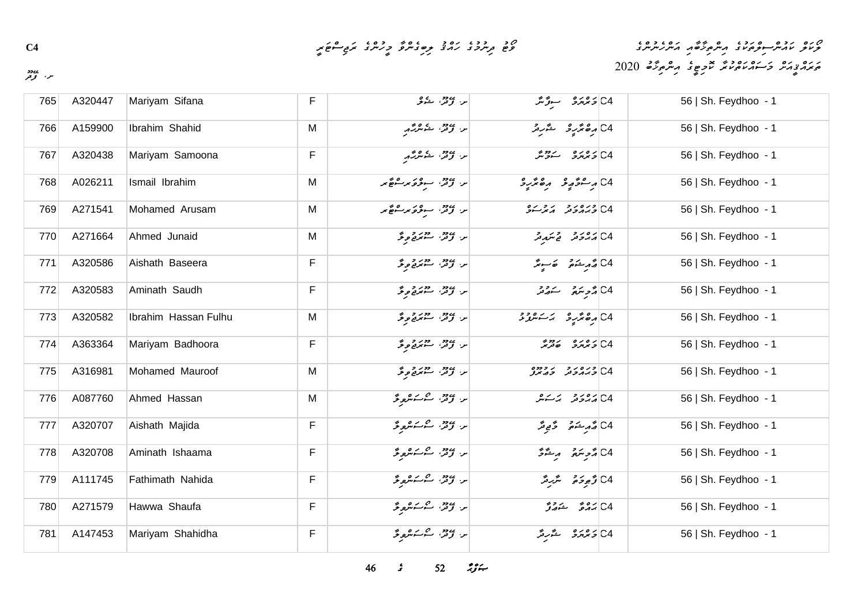*sCw7q7s5w7m< o<n9nOoAw7o< sCq;mAwBoEw7q<m; wBm;vB* م من المرة المرة المرة المرجع المرجع المرجع في 2020<br>مجم*د المريض المرجع المرجع المرجع المرجع المراجع المراجع الم*رجع

| 765 | A320447 | Mariyam Sifana       | $\mathsf F$  | ىر. ئەدىر، ئىقلى                                  | C4 كەنگەر ئىس سوڭ ئىگە                                                                                      | 56   Sh. Feydhoo - 1 |
|-----|---------|----------------------|--------------|---------------------------------------------------|-------------------------------------------------------------------------------------------------------------|----------------------|
| 766 | A159900 | Ibrahim Shahid       | M            | ر په دو شکر شکر                                   | C4 مەھەر ئەر سەر ئىقىرىتىلىكى بىر                                                                           | 56   Sh. Feydhoo - 1 |
| 767 | A320438 | Mariyam Samoona      | $\mathsf F$  | ىن ئۈتۈ، شەھرىمە                                  | C4 كەمەم ئەھمىر                                                                                             | 56   Sh. Feydhoo - 1 |
| 768 | A026211 | Ismail Ibrahim       | M            | ر. يې ده. سوه برسوځ بر                            | C4 مەش <i>ۇم ۋە مەھىرد</i>                                                                                  | 56   Sh. Feydhoo - 1 |
| 769 | A271541 | Mohamed Arusam       | M            | ىر. ئۇنى، سوھى مەسىم مە                           | C4 دره در دره دره                                                                                           | 56   Sh. Feydhoo - 1 |
| 770 | A271664 | Ahmed Junaid         | M            | ىر، ئۇقۇي سىمبەھ بوڭر                             | C4 كەبروتىر قى <i>مىگە</i> قىل                                                                              | 56   Sh. Feydhoo - 1 |
| 771 | A320586 | Aishath Baseera      | F            | ىن ئەدەر دەردە ئە                                 | C4 مەم ئىسكە قىلىم ئىسىمگىز                                                                                 | 56   Sh. Feydhoo - 1 |
| 772 | A320583 | Aminath Saudh        | $\mathsf F$  | ىر. ئۇنىڭ سىتىرنى ئوغ                             | C4 مُحْرِسَمُ مَسْتَصْرَ                                                                                    | 56   Sh. Feydhoo - 1 |
| 773 | A320582 | Ibrahim Hassan Fulhu | M            | من دور دور و د عربي محمد محمد السنة المستخرجي بحر | C4 مەھمگىيە ئەسكەتلەرد                                                                                      | 56   Sh. Feydhoo - 1 |
| 774 | A363364 | Mariyam Badhoora     | $\mathsf{F}$ | ىر، ئۇنى، سىمبەر <i>قى</i> رىگە                   | C4 كەمەم ھەمەم كەنتىر                                                                                       | 56   Sh. Feydhoo - 1 |
| 775 | A316981 | Mohamed Mauroof      | M            | ىن ئەدەر دەرد ھەتتى                               | C4 دره رو دوه                                                                                               | 56   Sh. Feydhoo - 1 |
| 776 | A087760 | Ahmed Hassan         | M            | ىر. ئۇنز، سەسكەھرىمۇ                              | C4 كەبر <i>ە بىر كەنگەن</i>                                                                                 | 56   Sh. Feydhoo - 1 |
| 777 | A320707 | Aishath Majida       | $\mathsf F$  | ىر. ئۇنز، سەسكەھرىم                               | C4 مەم ئىسكە قىلى ئىستىكى بىر                                                                               | 56   Sh. Feydhoo - 1 |
| 778 | A320708 | Aminath Ishaama      | F            | ىر. ئۇقرا سەسكەھرىمى ئى                           | C4 مَّحِسَمَّةَ مِشَّعَّ                                                                                    | 56   Sh. Feydhoo - 1 |
| 779 | A111745 | Fathimath Nahida     | F            | ىر. ئۇنز، سەسكەھرىمىگە                            | C4 رَّجِ دَمَر سَّرَبِ مَّرْ                                                                                | 56   Sh. Feydhoo - 1 |
| 780 | A271579 | Hawwa Shaufa         | $\mathsf F$  | ىر. ئۇنز، سەسكەنلىرىگە                            | $\begin{array}{ccccc}\n\circ & \circ & \circ & \circ & \circ \\ \circ & \circ & \circ & \circ\n\end{array}$ | 56   Sh. Feydhoo - 1 |
| 781 | A147453 | Mariyam Shahidha     | F            | ىر. ئۇنز، سەسكەنلىرىگە                            | C4 ك <i>ۈچرى ئىقى</i> رى <i>گ</i>                                                                           | 56   Sh. Feydhoo - 1 |

*46 s* 52  $2.94$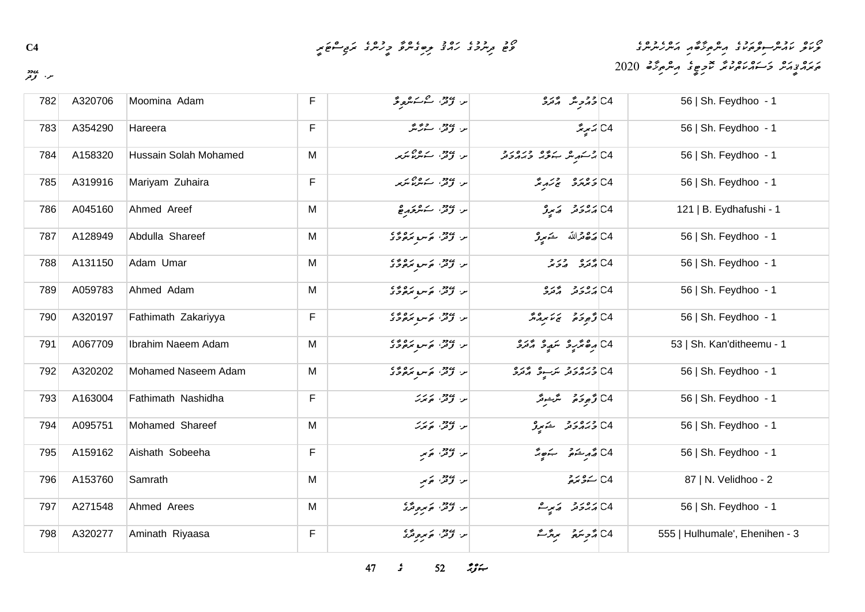*sCw7q7s5w7m< o<n9nOoAw7o< sCq;mAwBoEw7q<m; wBm;vB* م من المرة المرة المرة المرجع المرجع المرجع في 2020<br>مجم*د المريض المرجع المرجع المرجع المرجع المراجع المراجع الم*رجع

| 782 | A320706 | Moomina Adam          | $\mathsf{F}$ | ىر. ئۇنز، سەسكەھرىگە                                                                                | C4 جۇم <i>جەنگە</i> م <i>ەترى</i>                                                                   | 56   Sh. Feydhoo - 1           |
|-----|---------|-----------------------|--------------|-----------------------------------------------------------------------------------------------------|-----------------------------------------------------------------------------------------------------|--------------------------------|
| 783 | A354290 | Hareera               | F            | ىر. ئەدەبە سەرمىگە                                                                                  | C4 ئەمەيگە                                                                                          | 56   Sh. Feydhoo - 1           |
| 784 | A158320 | Hussain Solah Mohamed | M            | ئۈچ ئەشرىكەتلەر                                                                                     | C4 يُرْسَمْ مِيْشَ مِيْشَ مَسْتَمْتَ مِيْشَ مِيْشَ مِيْشَ مِيْشَ مِيْشَ مِيْشَ مِيْشَ مِيْشَ مِيْشَ | 56   Sh. Feydhoo - 1           |
| 785 | A319916 | Mariyam Zuhaira       | $\mathsf F$  | ىر. ئۇقرا سەھرىكىلىر                                                                                | C4 كەبىر <i>25 كەبىرى</i> گە                                                                        | 56   Sh. Feydhoo - 1           |
| 786 | A045160 | Ahmed Areef           | M            | ىر. ئۇقرا سەئىر ئەھ                                                                                 | C4 كەش <sup>ى</sup> كەتىر قىلىر بىر                                                                 | 121   B. Eydhafushi - 1        |
| 787 | A128949 | Abdulla Shareef       | M            | ىن بەدەر بەر ئەرەپ                                                                                  | C4 مَەھىراللە خەمب <i>وت</i>                                                                        | 56   Sh. Feydhoo - 1           |
| 788 | A131150 | Adam Umar             | M            | من نجص المرسم من المراه والمحمد المراجع المراجع المراجع المراجع المراجع المراجع المراجع المراجع الم | C4 جُمْرَوْ حَمْرَ جَمْ                                                                             | 56   Sh. Feydhoo - 1           |
| 789 | A059783 | Ahmed Adam            | M            | ىن بەدەر بەر ئەرەپ                                                                                  | C4 كەبرو ئەرە                                                                                       | 56   Sh. Feydhoo - 1           |
| 790 | A320197 | Fathimath Zakariyya   | F            |                                                                                                     | C4 تَ <i>جِدحَةْ تمّ تبديد</i>                                                                      | 56   Sh. Feydhoo - 1           |
| 791 | A067709 | Ibrahim Naeem Adam    | M            | بن به دو د به بره و د .<br>بن گرفتر انگریبود برخانه د                                               | C4 مەھەر ئەھەر مەمدە                                                                                | 53   Sh. Kan'ditheemu - 1      |
| 792 | A320202 | Mohamed Naseem Adam   | M            | بن به دو .<br>بن گرفرا به سرع برگاری                                                                | C4 ويرورو ترسوفر م <i>دو</i> د                                                                      | 56   Sh. Feydhoo - 1           |
| 793 | A163004 | Fathimath Nashidha    | F            | ىن ئۇقۇم ئەترىر                                                                                     | C4 تُرجوحَمُ سَنَّدِمَنَّہ                                                                          | 56   Sh. Feydhoo - 1           |
| 794 | A095751 | Mohamed Shareef       | M            | ىن ئۇقرا ئەترىر                                                                                     | C4 <i>3222 شمېرو</i>                                                                                | 56   Sh. Feydhoo - 1           |
| 795 | A159162 | Aishath Sobeeha       | $\mathsf F$  | برا وسيبي المحاسب                                                                                   | C4 مەم شىم ئىسىم يىلىم                                                                              | 56   Sh. Feydhoo - 1           |
| 796 | A153760 | Samrath               | M            | ىن ئۇقۇم كۆپ                                                                                        | C4 يخو <i>نزه</i>                                                                                   | 87   N. Velidhoo - 2           |
| 797 | A271548 | Ahmed Arees           | M            | ىن كۆتى، ئەمرەپىرى                                                                                  | C4 <i>مەندى مىي ھەم</i> رىشە                                                                        | 56   Sh. Feydhoo - 1           |
| 798 | A320277 | Aminath Riyaasa       | F            | ىن كۆش ئۈمرۈشى                                                                                      | C4 مُرْحِسَةً مِتَرَسَّةً                                                                           | 555   Hulhumale', Ehenihen - 3 |

*47 sC 52 nNw?mS*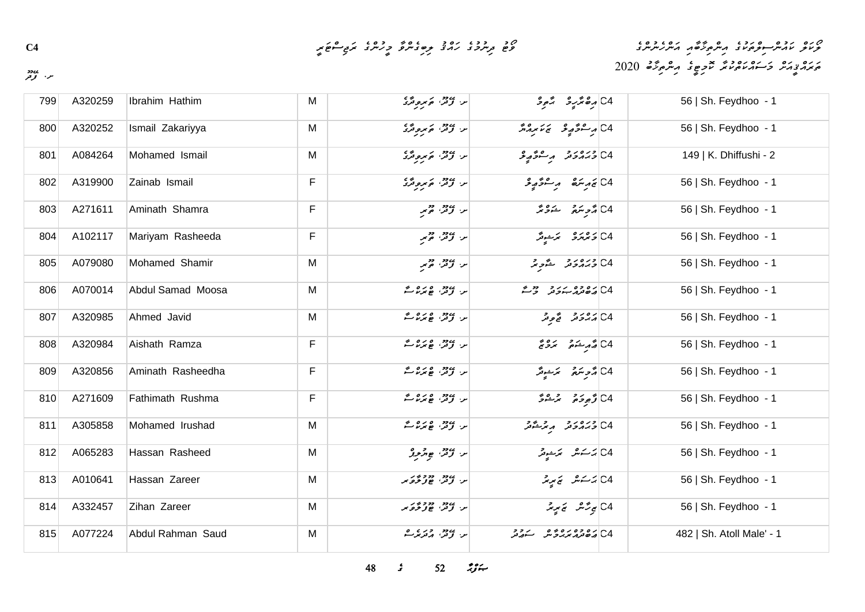*sCw7q7s5w7m< o<n9nOoAw7o< sCq;mAwBoEw7q<m; wBm;vB* م من المرة المرة المرة المرجع المرجع المرجع في 2020<br>مجم*د المريض المرجع المرجع المرجع المرجع المراجع المراجع الم*رجع

| 799 | A320259 | Ibrahim Hathim    | M           | یں بھی تھ برہ مگری                                                 | C4 مەھ <i>مگىي</i> ھەممىتى ئى               | 56   Sh. Feydhoo - 1      |
|-----|---------|-------------------|-------------|--------------------------------------------------------------------|---------------------------------------------|---------------------------|
| 800 | A320252 | Ismail Zakariyya  | M           | من مجمعي محمد من محرج محرى                                         | C4 مەشقۇم بۇ ئەسىم ئىرىدىكى<br>مەنبە        | 56   Sh. Feydhoo - 1      |
| 801 | A084264 | Mohamed Ismail    | M           |                                                                    | C4 <i>جەممىقى م</i> ېشمۇمبۇ                 | 149   K. Dhiffushi - 2    |
| 802 | A319900 | Zainab Ismail     | F           | ىن كۆتۈ، ئەمرەتىرى                                                 | C4 يَوسِّعُ مِسْتَوَّمِيْتَرَ               | 56   Sh. Feydhoo - 1      |
| 803 | A271611 | Aminath Shamra    | F           | یں ہے جو جو پر                                                     | C4 مُجِسَعَة حَدَّثَتْهُ                    | 56   Sh. Feydhoo - 1      |
| 804 | A102117 | Mariyam Rasheeda  | $\mathsf F$ | یں ہیں جو موجب                                                     | C4 ك <i>رىمبرى بترىنبوتۇ</i>                | 56   Sh. Feydhoo - 1      |
| 805 | A079080 | Mohamed Shamir    | M           | یں نوچی دو پر                                                      | C4 <i>وُبَهُ دو دَ</i> شَوِيْرَ             | 56   Sh. Feydhoo - 1      |
| 806 | A070014 | Abdul Samad Moosa | M           | بر. يه ده مردم ش                                                   | C4 مەھەرمەدىر تىرىشى                        | 56   Sh. Feydhoo - 1      |
| 807 | A320985 | Ahmed Javid       | M           | ىر. ئۇتتى، ھەيرەك                                                  | C4 <i>مُرْدَدُ فَيَ وِ</i> مَرُ             | 56   Sh. Feydhoo - 1      |
| 808 | A320984 | Aishath Ramza     | F           | ىر. ئەدەب قايرىما ئە                                               | C4 مەم ئىشقى ئىر <i>دى</i> م                | 56   Sh. Feydhoo - 1      |
| 809 | A320856 | Aminath Rasheedha | $\mathsf F$ | ىر. ئەدەب قايرىما ئە                                               | C4 مُرْحِ مَرَمْ مَنْ مِنْ مِنْ             | 56   Sh. Feydhoo - 1      |
| 810 | A271609 | Fathimath Rushma  | F           | ىر. ئۇتتى، ھەيرەك                                                  | C4 تۇم <sub>ب</sub> وكى ئىرىشى <del>گ</del> | 56   Sh. Feydhoo - 1      |
| 811 | A305858 | Mohamed Irushad   | M           | بر. يه ده مردم ش                                                   | C4 درورو برتمشه                             | 56   Sh. Feydhoo - 1      |
| 812 | A065283 | Hassan Rasheed    | M           | بر وقرا جار وو                                                     | C4 كەسكەنلەر كىزىش <sub>ى</sub> قر          | 56   Sh. Feydhoo - 1      |
| 813 | A010641 | Hassan Zareer     | M           | ىر. تۆتىر، مەدبەر.<br>بر. تۆتىر، ھۆ <del>ت</del> رى <i>ق</i> ەبىر. | C4   پرستہ سے ہیں تھ                        | 56   Sh. Feydhoo - 1      |
| 814 | A332457 | Zihan Zareer      | M           | ر، 300 دووور<br>در ژند، <u>۱</u> ۹ <i>ژو</i> مبر                   | C4 ىېرتىش ئ <sub>ىك مېرىتى</sub>            | 56   Sh. Feydhoo - 1      |
| 815 | A077224 | Abdul Rahman Saud | M           | ىن ئەدەر جەرى ھ                                                    | C4   مەھەرمەمەمەر بەر دەر                   | 482   Sh. Atoll Male' - 1 |

*48 s* 52 *i*<sub>S</sub> $\approx$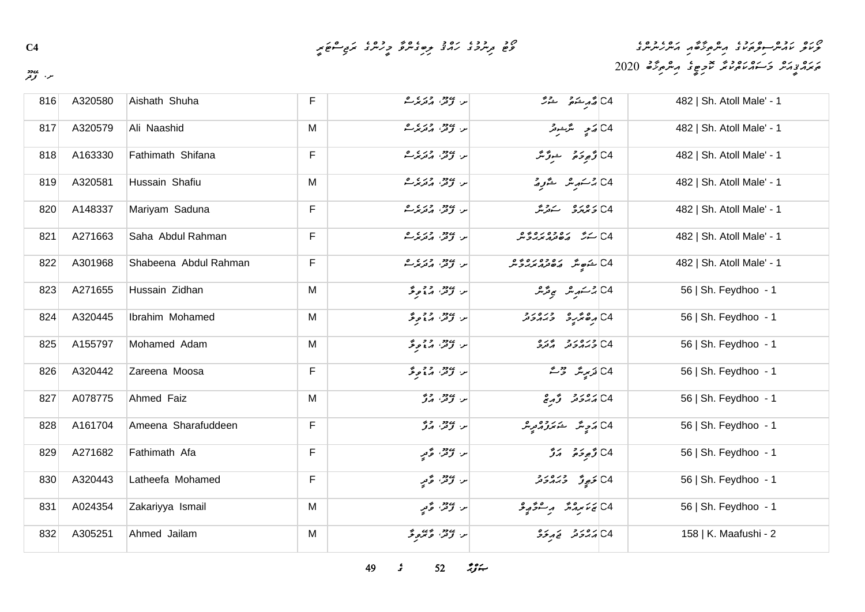*sCw7q7s5w7m< o<n9nOoAw7o< sCq;mAwBoEw7q<m; wBm;vB* م من المرة المرة المرة المرجع المرجع المرجع في 2020<br>مجم*د المريض المرجع المرجع المرجع المرجع المراجع المراجع الم*رجع

| 816 | A320580 | Aishath Shuha         | $\mathsf F$  | ىر. ئەدەب دىر ئەر      | C4 مەمبەھ ھەر                                                                                                 | 482   Sh. Atoll Male' - 1 |
|-----|---------|-----------------------|--------------|------------------------|---------------------------------------------------------------------------------------------------------------|---------------------------|
| 817 | A320579 | Ali Naashid           | M            | ىن ئەدەر جەرى ھ        | C4 كەمچ گەشمىقە                                                                                               | 482   Sh. Atoll Male' - 1 |
| 818 | A163330 | Fathimath Shifana     | F            | ىن ئەدەپ دىرى ھ        | C4 رَّجِ دَمَ شِعَرَتَمَ                                                                                      | 482   Sh. Atoll Male' - 1 |
| 819 | A320581 | Hussain Shafiu        | M            | بر عصوم وری ه          | C4 ير <i>ستمبر شگور</i> ته                                                                                    | 482   Sh. Atoll Male' - 1 |
| 820 | A148337 | Mariyam Saduna        | F            | ىن ئەدەپ دىرى ھ        | C4 كەندىرى سەم ئىرتىر                                                                                         | 482   Sh. Atoll Male' - 1 |
| 821 | A271663 | Saha Abdul Rahman     | $\mathsf F$  | ىر. ئەدەب دىرى ھ       | C4 ئەش مەھ <i>ەرە بورە بو</i> ر                                                                               | 482   Sh. Atoll Male' - 1 |
| 822 | A301968 | Shabeena Abdul Rahman | F            | ىن ئەدەر جەرى ھ        | C4 شوم محمد محمد المعامرة من حمد المحمد المحمد المحمد المحمد المحمد المحمد المحمد المحمد المحمد المحمد المحمد | 482   Sh. Atoll Male' - 1 |
| 823 | A271655 | Hussain Zidhan        | M            | لرس پيږي چې چې ځه      | C4 پرڪ <i>مبر بڻ پيونگر</i>                                                                                   | 56   Sh. Feydhoo - 1      |
| 824 | A320445 | Ibrahim Mohamed       | M            | برا عصر المردم وتحريحه | C4 مەھمگىرى ئەمەدىر                                                                                           | 56   Sh. Feydhoo - 1      |
| 825 | A155797 | Mohamed Adam          | M            | ىن ئۇنىڭ مەقمۇقى       | C4 32923 كرو                                                                                                  | 56   Sh. Feydhoo - 1      |
| 826 | A320442 | Zareena Moosa         | $\mathsf F$  | ىن كەن ھەرقى كە        | C4 نَدَمِيسَ حَرْبَتَهُ                                                                                       | 56   Sh. Feydhoo - 1      |
| 827 | A078775 | Ahmed Faiz            | M            | ىر: ئۇنتر، مەن         | C4 <i>مُدْدَنْد</i> وُمِعْ                                                                                    | 56   Sh. Feydhoo - 1      |
| 828 | A161704 | Ameena Sharafuddeen   | F            | ىر: ئۇنىش جەم          | C4 كەچ ئىگر سىم <i>تىر قەم</i> رىكر                                                                           | 56   Sh. Feydhoo - 1      |
| 829 | A271682 | Fathimath Afa         | F            | ىن كۆتى، گەير          | C4 وَم <i>ُوحَمَّة مَنَّ</i> رَّ                                                                              | 56   Sh. Feydhoo - 1      |
| 830 | A320443 | Latheefa Mohamed      | F            | ىن كۆتى، گەير          | C4 كۇم <sub>ۇ</sub> گ ئە <i>مەدە</i> ر                                                                        | 56   Sh. Feydhoo - 1      |
| 831 | A024354 | Zakariyya Ismail      | $\mathsf{M}$ | من کريمر، گھير         | C4 ئ <i>ىنكىرىگە مەشۇمب</i> ۇ                                                                                 | 56   Sh. Feydhoo - 1      |
| 832 | A305251 | Ahmed Jailam          | M            | ىن كۆتىن ھەتتى ھىر     | C4 <i>مَدْدَوْرٌ فَهِ مِوَدْ</i>                                                                              | 158   K. Maafushi - 2     |

*49 s* 52  $2.3$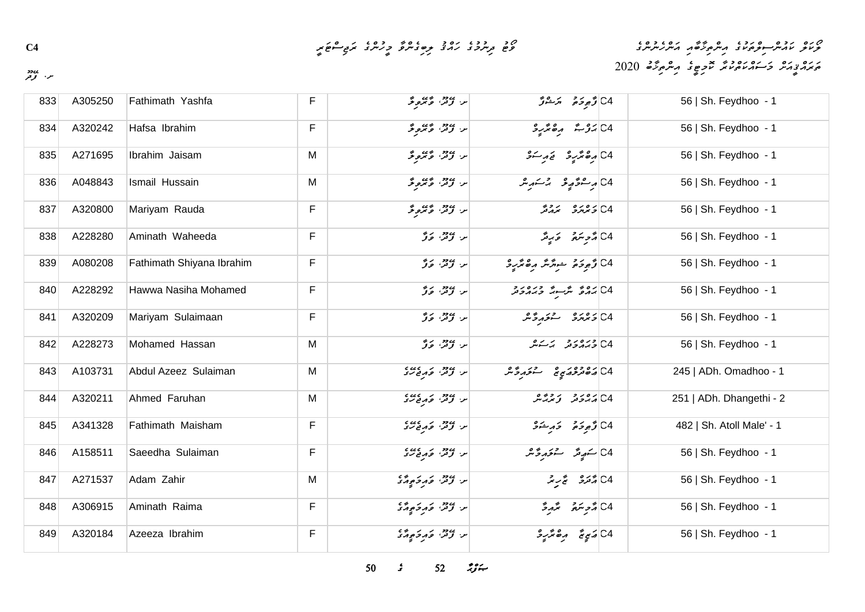*sCw7q7s5w7m< o<n9nOoAw7o< sCq;mAwBoEw7q<m; wBm;vB* م من المرة المرة المرة المرجع المرجع المرجع في 2020<br>مجم*د المريض المرجع المرجع المرجع المرجع المراجع المراجع الم*رجع

| 833 | A305250 | Fathimath Yashfa          | $\mathsf{F}$ | ىن كەن ھەرق                                  | C4 تُرجوحه مَ مَشْرَتَرَ               | 56   Sh. Feydhoo - 1      |
|-----|---------|---------------------------|--------------|----------------------------------------------|----------------------------------------|---------------------------|
| 834 | A320242 | Hafsa Ibrahim             | $\mathsf F$  | ىن كەن ھەرھ                                  | C4 ئەۋىبە مەھ <i>مەرى</i> ۋ            | 56   Sh. Feydhoo - 1      |
| 835 | A271695 | Ibrahim Jaisam            | M            | ىن كەن ھەرھ                                  | C4 مەھەر ئەھ ئەم ئىككى تەرىپ           | 56   Sh. Feydhoo - 1      |
| 836 | A048843 | Ismail Hussain            | M            | ىن كەن ھەرھ                                  | C4 مەش <i>ۇم بۇ يىشمى</i> رىش          | 56   Sh. Feydhoo - 1      |
| 837 | A320800 | Mariyam Rauda             | $\mathsf{F}$ | ىن كەن ھەرھ                                  | C4 كەبىر ئەرەبىر                       | 56   Sh. Feydhoo - 1      |
| 838 | A228280 | Aminath Waheeda           | $\mathsf F$  | ىر: گ <sup>ەچ</sup> ە: گ                     | C4 مُتَّحِسَمَةٌ عَبِيقٌ               | 56   Sh. Feydhoo - 1      |
| 839 | A080208 | Fathimath Shiyana Ibrahim | F            | ىن كۆتىن بەرگە                               | C4 زُوِدَهُ سُنَ مَشْرٌ مِنْ مُرِدْ    | 56   Sh. Feydhoo - 1      |
| 840 | A228292 | Hawwa Nasiha Mohamed      | $\mathsf F$  | ىر. ئەنزى ئەتى                               | C4 بَرْدُوَّ سَّرَ-بِرَّ وَبَرْدُونَدِ | 56   Sh. Feydhoo - 1      |
| 841 | A320209 | Mariyam Sulaimaan         | F            | ىن كۆتىن بەرگە                               | C4 <i>كې</i> رو گوړوگر                 | 56   Sh. Feydhoo - 1      |
| 842 | A228273 | Mohamed Hassan            | M            | ىر: گ <sup>ەن</sup> ھۆ                       | C4 <i>جېزه دي پر کنگر</i>              | 56   Sh. Feydhoo - 1      |
| 843 | A103731 | Abdul Azeez Sulaiman      | M            | ر من دو که در دی داد.<br>اس نوفر، نوم دی کرد | C4 مەھىر <i>ئىم مەمەر ئى</i> ر         | 245   ADh. Omadhoo - 1    |
| 844 | A320211 | Ahmed Faruhan             | M            | ر سودد.<br>مزاومی، حکم بی مربی               | C4 كەبردىر كۆپرىگىر                    | 251   ADh. Dhangethi - 2  |
| 845 | A341328 | Fathimath Maisham         | $\mathsf F$  | ىن تۇتىر، ئەم 200 ئا                         | C4 تَ <i>وجوه خوشو</i> ه               | 482   Sh. Atoll Male' - 1 |
| 846 | A158511 | Saeedha Sulaiman          | F            | ىن تۇتىر، ئەم 200 ئا                         | C4 سەمەمىر ئىقتىمبۇ ئىر                | 56   Sh. Feydhoo - 1      |
| 847 | A271537 | Adam Zahir                | M            | ىن كۆتتى، ھەر ھەم ھ                          | C4 مُحَمَّدَ مَحَمَّ <sup>ر</sup> مَدْ | 56   Sh. Feydhoo - 1      |
| 848 | A306915 | Aminath Raima             | $\mathsf F$  | ر بيرود كرمركر وي                            | C4 مُحْرِسَمُ مُحْمِدِيَّ              | 56   Sh. Feydhoo - 1      |
| 849 | A320184 | Azeeza Ibrahim            | F            | ىر: ئۇنىڭ قەم قەم ئەڭ                        | C4 أَمَيٍّ مَنْ مِنْ مَحْرَبِ 2        | 56   Sh. Feydhoo - 1      |

 $50$  *s*  $52$  *z*  $2\frac{1}{2}$ 

*roce*<br>مر. توق*م*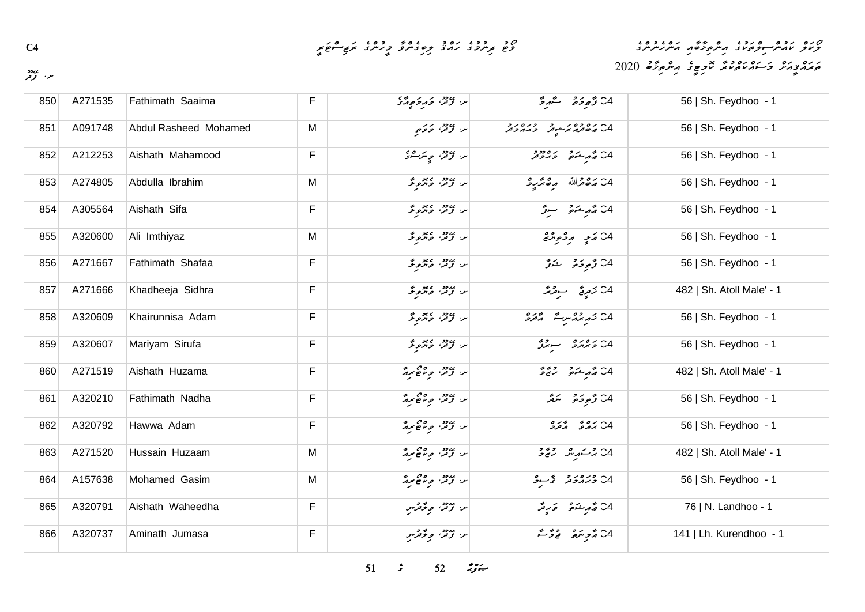*sCw7q7s5w7m< o<n9nOoAw7o< sCq;mAwBoEw7q<m; wBm;vB* م من المرة المرة المرة المرجع المرجع المرجع في 2020<br>مجم*د المريض المرجع المرجع المرجع المرجع المراجع المراجع الم*رجع

| 850 | A271535 | Fathimath Saaima      | F            | من توفر، كور كومرى | C4 وَجِعَة مُسْمَدة            | 56   Sh. Feydhoo - 1      |
|-----|---------|-----------------------|--------------|--------------------|--------------------------------|---------------------------|
| 851 | A091748 | Abdul Rasheed Mohamed | M            | الراسيق والمتحققي  | C4 رەۋە برىشى ھەدەر د          | 56   Sh. Feydhoo - 1      |
| 852 | A212253 | Aishath Mahamood      | F            | بر عصود ويتربيعي   | C4 مەم ھەمدىرە دىر             | 56   Sh. Feydhoo - 1      |
| 853 | A274805 | Abdulla Ibrahim       | $\mathsf{M}$ | بر به ده به پوځ    | C4 مَصْعَراللَّهُ مِصْعَرِ وَ  | 56   Sh. Feydhoo - 1      |
| 854 | A305564 | Aishath Sifa          | F            | بر به دو به پوځ    | C4 مەم شىم ئىسىرتى             | 56   Sh. Feydhoo - 1      |
| 855 | A320600 | Ali Imthiyaz          | M            | بر بيرو به پوځ     | C4 ڪَمحي مرڪبو گريمي           | 56   Sh. Feydhoo - 1      |
| 856 | A271667 | Fathimath Shafaa      | F            | بر بيرو به پوځ     | C4 تۇم <i>وخۇ</i> شىرتى        | 56   Sh. Feydhoo - 1      |
| 857 | A271666 | Khadheeja Sidhra      | F            | بر بیرو ، پوه ع    | C4 كَتَعِيقٌ سِعَتْرَ مَتَّزَ  | 482   Sh. Atoll Male' - 1 |
| 858 | A320609 | Khairunnisa Adam      | F            | بر بيرو به پوځ     | C4 ئەمەتمەمىرىگە مەمەدى        | 56   Sh. Feydhoo - 1      |
| 859 | A320607 | Mariyam Sirufa        | F            | بر بیرو ، پوه ع    | C4 <i>جىمىر ئى جىمۇ</i>        | 56   Sh. Feydhoo - 1      |
| 860 | A271519 | Aishath Huzama        | F            | بر بيردد والمعجمة  | C4 مەم شىم ئىسى 25             | 482   Sh. Atoll Male' - 1 |
| 861 | A320210 | Fathimath Nadha       | F            | بر بيردد والمعجمة  | C4 تَ <i>جِ دَءْ</i> مَسَمَّد  | 56   Sh. Feydhoo - 1      |
| 862 | A320792 | Hawwa Adam            | F            | بر بيردو وه عبر    | C4 بَرْدَةَ مُحَمَّدَةِ        | 56   Sh. Feydhoo - 1      |
| 863 | A271520 | Hussain Huzaam        | M            | بر بيردو وه عبر    | C4 بر <i>شهر شر ج</i> محتار من | 482   Sh. Atoll Male' - 1 |
| 864 | A157638 | Mohamed Gasim         | M            | بر بيردد والمعجمة  | C4 <i>جەنگە خۇسى</i> ۋ         | 56   Sh. Feydhoo - 1      |
| 865 | A320791 | Aishath Waheedha      | F            | س وقرم و ومحمد سر  | C4 مەم ئىقىم ئىق تىر           | 76   N. Landhoo - 1       |
| 866 | A320737 | Aminath Jumasa        | F            | ىر. ئۇنتى، موڭخىرس | C4 مَّحْرِسَمَ مِنْ مَحَمَّد   | 141   Lh. Kurendhoo - 1   |

 $51$  *s*  $52$  *n***<sub>i</sub>** *n***<sub>i</sub>**